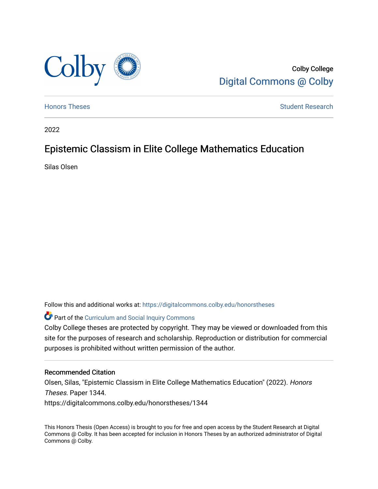

Colby College [Digital Commons @ Colby](https://digitalcommons.colby.edu/) 

[Honors Theses](https://digitalcommons.colby.edu/honorstheses) **Student Research** Student Research

2022

# Epistemic Classism in Elite College Mathematics Education

Silas Olsen

Follow this and additional works at: [https://digitalcommons.colby.edu/honorstheses](https://digitalcommons.colby.edu/honorstheses?utm_source=digitalcommons.colby.edu%2Fhonorstheses%2F1344&utm_medium=PDF&utm_campaign=PDFCoverPages) 

**Part of the Curriculum and Social Inquiry Commons** 

Colby College theses are protected by copyright. They may be viewed or downloaded from this site for the purposes of research and scholarship. Reproduction or distribution for commercial purposes is prohibited without written permission of the author.

#### Recommended Citation

Olsen, Silas, "Epistemic Classism in Elite College Mathematics Education" (2022). Honors Theses. Paper 1344.

https://digitalcommons.colby.edu/honorstheses/1344

This Honors Thesis (Open Access) is brought to you for free and open access by the Student Research at Digital Commons @ Colby. It has been accepted for inclusion in Honors Theses by an authorized administrator of Digital Commons @ Colby.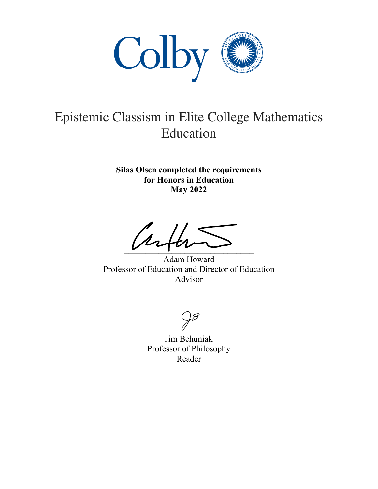

# Epistemic Classism in Elite College Mathematics Education

 **Silas Olsen completed the requirements for Honors in Education May 2022**

 $v$  -  $v$  -  $v$ 

 Adam Howard Professor of Education and Director of Education Advisor

 $\overline{U}$ 

Jim Behuniak Professor of Philosophy Reader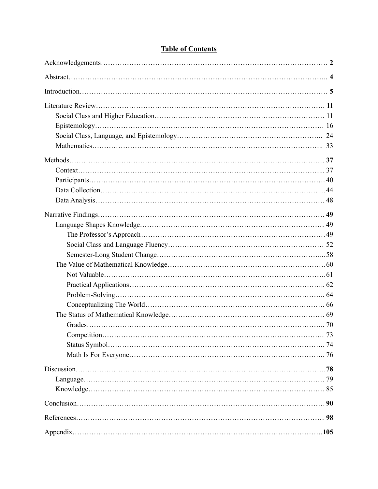| 73 |
|----|
|    |
|    |
|    |
|    |
|    |
|    |
|    |
|    |
|    |

# **Table of Contents**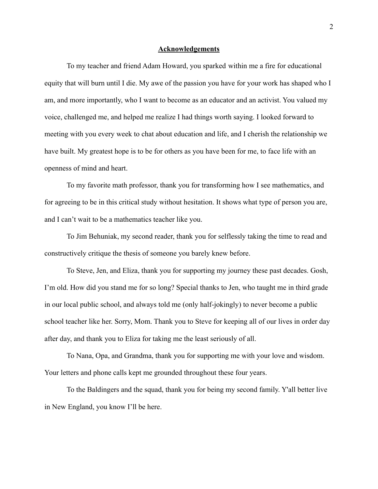#### **Acknowledgements**

<span id="page-4-0"></span>To my teacher and friend Adam Howard, you sparked within me a fire for educational equity that will burn until I die. My awe of the passion you have for your work has shaped who I am, and more importantly, who I want to become as an educator and an activist. You valued my voice, challenged me, and helped me realize I had things worth saying. I looked forward to meeting with you every week to chat about education and life, and I cherish the relationship we have built. My greatest hope is to be for others as you have been for me, to face life with an openness of mind and heart.

To my favorite math professor, thank you for transforming how I see mathematics, and for agreeing to be in this critical study without hesitation. It shows what type of person you are, and I can't wait to be a mathematics teacher like you.

To Jim Behuniak, my second reader, thank you for selflessly taking the time to read and constructively critique the thesis of someone you barely knew before.

To Steve, Jen, and Eliza, thank you for supporting my journey these past decades. Gosh, I'm old. How did you stand me for so long? Special thanks to Jen, who taught me in third grade in our local public school, and always told me (only half-jokingly) to never become a public school teacher like her. Sorry, Mom. Thank you to Steve for keeping all of our lives in order day after day, and thank you to Eliza for taking me the least seriously of all.

To Nana, Opa, and Grandma, thank you for supporting me with your love and wisdom. Your letters and phone calls kept me grounded throughout these four years.

To the Baldingers and the squad, thank you for being my second family. Y'all better live in New England, you know I'll be here.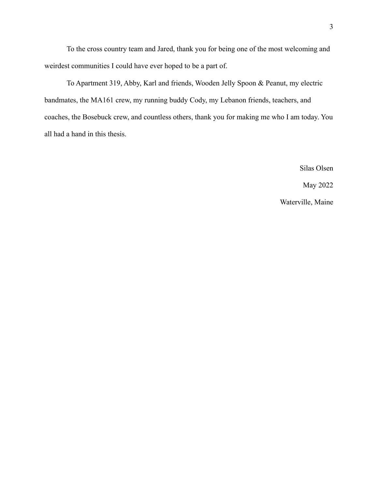To the cross country team and Jared, thank you for being one of the most welcoming and weirdest communities I could have ever hoped to be a part of.

To Apartment 319, Abby, Karl and friends, Wooden Jelly Spoon & Peanut, my electric bandmates, the MA161 crew, my running buddy Cody, my Lebanon friends, teachers, and coaches, the Bosebuck crew, and countless others, thank you for making me who I am today. You all had a hand in this thesis.

> Silas Olsen May 2022 Waterville, Maine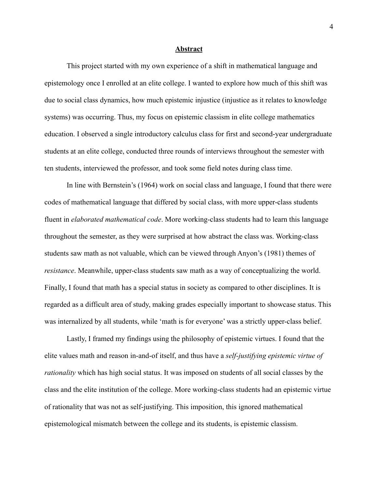#### **Abstract**

<span id="page-6-0"></span>This project started with my own experience of a shift in mathematical language and epistemology once I enrolled at an elite college. I wanted to explore how much of this shift was due to social class dynamics, how much epistemic injustice (injustice as it relates to knowledge systems) was occurring. Thus, my focus on epistemic classism in elite college mathematics education. I observed a single introductory calculus class for first and second-year undergraduate students at an elite college, conducted three rounds of interviews throughout the semester with ten students, interviewed the professor, and took some field notes during class time.

In line with Bernstein's (1964) work on social class and language, I found that there were codes of mathematical language that differed by social class, with more upper-class students fluent in *elaborated mathematical code*. More working-class students had to learn this language throughout the semester, as they were surprised at how abstract the class was. Working-class students saw math as not valuable, which can be viewed through Anyon's (1981) themes of *resistance*. Meanwhile, upper-class students saw math as a way of conceptualizing the world. Finally, I found that math has a special status in society as compared to other disciplines. It is regarded as a difficult area of study, making grades especially important to showcase status. This was internalized by all students, while 'math is for everyone' was a strictly upper-class belief.

Lastly, I framed my findings using the philosophy of epistemic virtues. I found that the elite values math and reason in-and-of itself, and thus have a *self-justifying epistemic virtue of rationality* which has high social status. It was imposed on students of all social classes by the class and the elite institution of the college. More working-class students had an epistemic virtue of rationality that was not as self-justifying. This imposition, this ignored mathematical epistemological mismatch between the college and its students, is epistemic classism.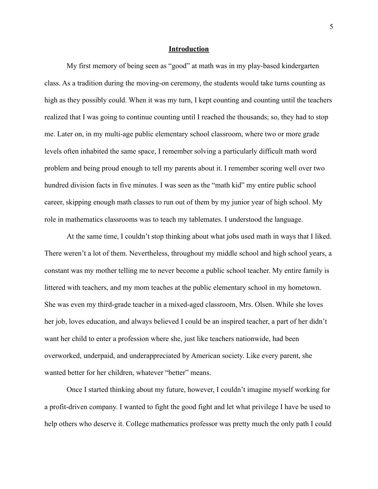#### **Introduction**

<span id="page-7-0"></span>My first memory of being seen as "good" at math was in my play-based kindergarten class. As a tradition during the moving-on ceremony, the students would take turns counting as high as they possibly could. When it was my turn, I kept counting and counting until the teachers realized that I was going to continue counting until I reached the thousands; so, they had to stop me. Later on, in my multi-age public elementary school classroom, where two or more grade levels often inhabited the same space, I remember solving a particularly difficult math word problem and being proud enough to tell my parents about it. I remember scoring well over two hundred division facts in five minutes. I was seen as the "math kid" my entire public school career, skipping enough math classes to run out of them by my junior year of high school. My role in mathematics classrooms was to teach my tablemates. I understood the language.

At the same time, I couldn't stop thinking about what jobs used math in ways that I liked. There weren't a lot of them. Nevertheless, throughout my middle school and high school years, a constant was my mother telling me to never become a public school teacher. My entire family is littered with teachers, and my mom teaches at the public elementary school in my hometown. She was even my third-grade teacher in a mixed-aged classroom, Mrs. Olsen. While she loves her job, loves education, and always believed I could be an inspired teacher, a part of her didn't want her child to enter a profession where she, just like teachers nationwide, had been overworked, underpaid, and underappreciated by American society. Like every parent, she wanted better for her children, whatever "better" means.

Once I started thinking about my future, however, I couldn't imagine myself working for a profit-driven company. I wanted to fight the good fight and let what privilege I have be used to help others who deserve it. College mathematics professor was pretty much the only path I could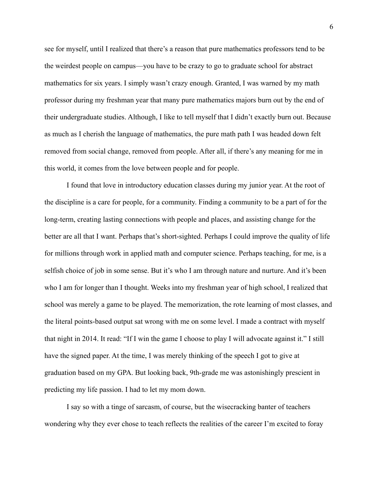see for myself, until I realized that there's a reason that pure mathematics professors tend to be the weirdest people on campus—you have to be crazy to go to graduate school for abstract mathematics for six years. I simply wasn't crazy enough. Granted, I was warned by my math professor during my freshman year that many pure mathematics majors burn out by the end of their undergraduate studies. Although, I like to tell myself that I didn't exactly burn out. Because as much as I cherish the language of mathematics, the pure math path I was headed down felt removed from social change, removed from people. After all, if there's any meaning for me in this world, it comes from the love between people and for people.

I found that love in introductory education classes during my junior year. At the root of the discipline is a care for people, for a community. Finding a community to be a part of for the long-term, creating lasting connections with people and places, and assisting change for the better are all that I want. Perhaps that's short-sighted. Perhaps I could improve the quality of life for millions through work in applied math and computer science. Perhaps teaching, for me, is a selfish choice of job in some sense. But it's who I am through nature and nurture. And it's been who I am for longer than I thought. Weeks into my freshman year of high school, I realized that school was merely a game to be played. The memorization, the rote learning of most classes, and the literal points-based output sat wrong with me on some level. I made a contract with myself that night in 2014. It read: "If I win the game I choose to play I will advocate against it." I still have the signed paper. At the time, I was merely thinking of the speech I got to give at graduation based on my GPA. But looking back, 9th-grade me was astonishingly prescient in predicting my life passion. I had to let my mom down.

I say so with a tinge of sarcasm, of course, but the wisecracking banter of teachers wondering why they ever chose to teach reflects the realities of the career I'm excited to foray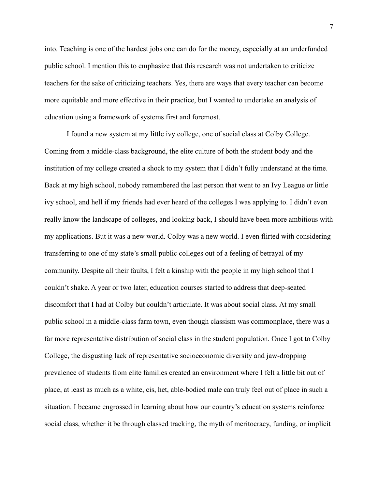into. Teaching is one of the hardest jobs one can do for the money, especially at an underfunded public school. I mention this to emphasize that this research was not undertaken to criticize teachers for the sake of criticizing teachers. Yes, there are ways that every teacher can become more equitable and more effective in their practice, but I wanted to undertake an analysis of education using a framework of systems first and foremost.

I found a new system at my little ivy college, one of social class at Colby College. Coming from a middle-class background, the elite culture of both the student body and the institution of my college created a shock to my system that I didn't fully understand at the time. Back at my high school, nobody remembered the last person that went to an Ivy League or little ivy school, and hell if my friends had ever heard of the colleges I was applying to. I didn't even really know the landscape of colleges, and looking back, I should have been more ambitious with my applications. But it was a new world. Colby was a new world. I even flirted with considering transferring to one of my state's small public colleges out of a feeling of betrayal of my community. Despite all their faults, I felt a kinship with the people in my high school that I couldn't shake. A year or two later, education courses started to address that deep-seated discomfort that I had at Colby but couldn't articulate. It was about social class. At my small public school in a middle-class farm town, even though classism was commonplace, there was a far more representative distribution of social class in the student population. Once I got to Colby College, the disgusting lack of representative socioeconomic diversity and jaw-dropping prevalence of students from elite families created an environment where I felt a little bit out of place, at least as much as a white, cis, het, able-bodied male can truly feel out of place in such a situation. I became engrossed in learning about how our country's education systems reinforce social class, whether it be through classed tracking, the myth of meritocracy, funding, or implicit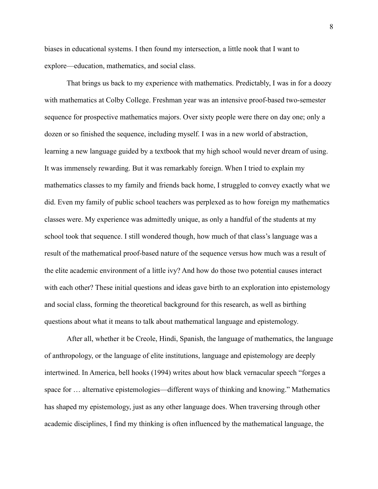biases in educational systems. I then found my intersection, a little nook that I want to explore—education, mathematics, and social class.

That brings us back to my experience with mathematics. Predictably, I was in for a doozy with mathematics at Colby College. Freshman year was an intensive proof-based two-semester sequence for prospective mathematics majors. Over sixty people were there on day one; only a dozen or so finished the sequence, including myself. I was in a new world of abstraction, learning a new language guided by a textbook that my high school would never dream of using. It was immensely rewarding. But it was remarkably foreign. When I tried to explain my mathematics classes to my family and friends back home, I struggled to convey exactly what we did. Even my family of public school teachers was perplexed as to how foreign my mathematics classes were. My experience was admittedly unique, as only a handful of the students at my school took that sequence. I still wondered though, how much of that class's language was a result of the mathematical proof-based nature of the sequence versus how much was a result of the elite academic environment of a little ivy? And how do those two potential causes interact with each other? These initial questions and ideas gave birth to an exploration into epistemology and social class, forming the theoretical background for this research, as well as birthing questions about what it means to talk about mathematical language and epistemology.

After all, whether it be Creole, Hindi, Spanish, the language of mathematics, the language of anthropology, or the language of elite institutions, language and epistemology are deeply intertwined. In America, bell hooks (1994) writes about how black vernacular speech "forges a space for … alternative epistemologies—different ways of thinking and knowing." Mathematics has shaped my epistemology, just as any other language does. When traversing through other academic disciplines, I find my thinking is often influenced by the mathematical language, the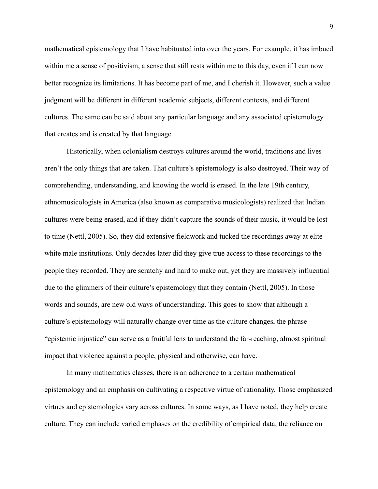mathematical epistemology that I have habituated into over the years. For example, it has imbued within me a sense of positivism, a sense that still rests within me to this day, even if I can now better recognize its limitations. It has become part of me, and I cherish it. However, such a value judgment will be different in different academic subjects, different contexts, and different cultures. The same can be said about any particular language and any associated epistemology that creates and is created by that language.

Historically, when colonialism destroys cultures around the world, traditions and lives aren't the only things that are taken. That culture's epistemology is also destroyed. Their way of comprehending, understanding, and knowing the world is erased. In the late 19th century, ethnomusicologists in America (also known as comparative musicologists) realized that Indian cultures were being erased, and if they didn't capture the sounds of their music, it would be lost to time (Nettl, 2005). So, they did extensive fieldwork and tucked the recordings away at elite white male institutions. Only decades later did they give true access to these recordings to the people they recorded. They are scratchy and hard to make out, yet they are massively influential due to the glimmers of their culture's epistemology that they contain (Nettl, 2005). In those words and sounds, are new old ways of understanding. This goes to show that although a culture's epistemology will naturally change over time as the culture changes, the phrase "epistemic injustice" can serve as a fruitful lens to understand the far-reaching, almost spiritual impact that violence against a people, physical and otherwise, can have.

In many mathematics classes, there is an adherence to a certain mathematical epistemology and an emphasis on cultivating a respective virtue of rationality. Those emphasized virtues and epistemologies vary across cultures. In some ways, as I have noted, they help create culture. They can include varied emphases on the credibility of empirical data, the reliance on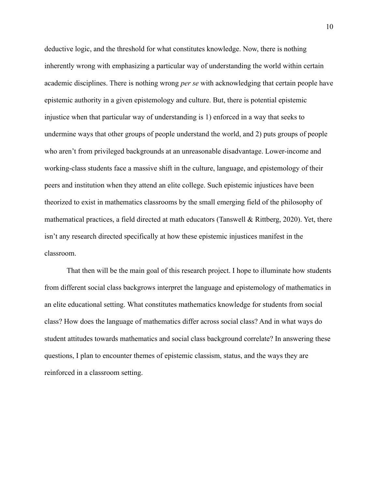deductive logic, and the threshold for what constitutes knowledge. Now, there is nothing inherently wrong with emphasizing a particular way of understanding the world within certain academic disciplines. There is nothing wrong *per se* with acknowledging that certain people have epistemic authority in a given epistemology and culture. But, there is potential epistemic injustice when that particular way of understanding is 1) enforced in a way that seeks to undermine ways that other groups of people understand the world, and 2) puts groups of people who aren't from privileged backgrounds at an unreasonable disadvantage. Lower-income and working-class students face a massive shift in the culture, language, and epistemology of their peers and institution when they attend an elite college. Such epistemic injustices have been theorized to exist in mathematics classrooms by the small emerging field of the philosophy of mathematical practices, a field directed at math educators (Tanswell & Rittberg, 2020). Yet, there isn't any research directed specifically at how these epistemic injustices manifest in the classroom.

That then will be the main goal of this research project. I hope to illuminate how students from different social class backgrows interpret the language and epistemology of mathematics in an elite educational setting. What constitutes mathematics knowledge for students from social class? How does the language of mathematics differ across social class? And in what ways do student attitudes towards mathematics and social class background correlate? In answering these questions, I plan to encounter themes of epistemic classism, status, and the ways they are reinforced in a classroom setting.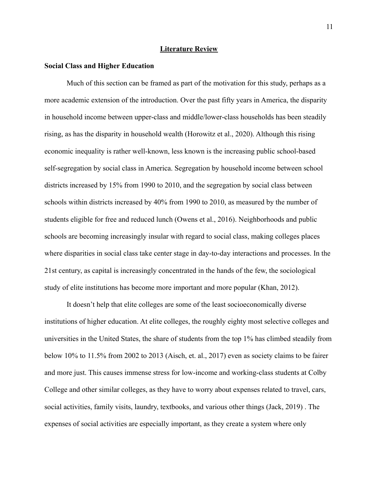#### **Literature Review**

#### <span id="page-13-1"></span><span id="page-13-0"></span>**Social Class and Higher Education**

Much of this section can be framed as part of the motivation for this study, perhaps as a more academic extension of the introduction. Over the past fifty years in America, the disparity in household income between upper-class and middle/lower-class households has been steadily rising, as has the disparity in household wealth (Horowitz et al., 2020). Although this rising economic inequality is rather well-known, less known is the increasing public school-based self-segregation by social class in America. Segregation by household income between school districts increased by 15% from 1990 to 2010, and the segregation by social class between schools within districts increased by 40% from 1990 to 2010, as measured by the number of students eligible for free and reduced lunch (Owens et al., 2016). Neighborhoods and public schools are becoming increasingly insular with regard to social class, making colleges places where disparities in social class take center stage in day-to-day interactions and processes. In the 21st century, as capital is increasingly concentrated in the hands of the few, the sociological study of elite institutions has become more important and more popular (Khan, 2012).

It doesn't help that elite colleges are some of the least socioeconomically diverse institutions of higher education. At elite colleges, the roughly eighty most selective colleges and universities in the United States, the share of students from the top 1% has climbed steadily from below 10% to 11.5% from 2002 to 2013 (Aisch, et. al., 2017) even as society claims to be fairer and more just. This causes immense stress for low-income and working-class students at Colby College and other similar colleges, as they have to worry about expenses related to travel, cars, social activities, family visits, laundry, textbooks, and various other things (Jack, 2019) . The expenses of social activities are especially important, as they create a system where only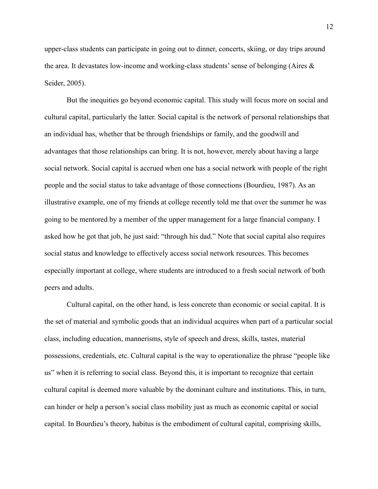upper-class students can participate in going out to dinner, concerts, skiing, or day trips around the area. It devastates low-income and working-class students' sense of belonging (Aires & Seider, 2005).

But the inequities go beyond economic capital. This study will focus more on social and cultural capital, particularly the latter. Social capital is the network of personal relationships that an individual has, whether that be through friendships or family, and the goodwill and advantages that those relationships can bring. It is not, however, merely about having a large social network. Social capital is accrued when one has a social network with people of the right people and the social status to take advantage of those connections (Bourdieu, 1987). As an illustrative example, one of my friends at college recently told me that over the summer he was going to be mentored by a member of the upper management for a large financial company. I asked how he got that job, he just said: "through his dad." Note that social capital also requires social status and knowledge to effectively access social network resources. This becomes especially important at college, where students are introduced to a fresh social network of both peers and adults.

Cultural capital, on the other hand, is less concrete than economic or social capital. It is the set of material and symbolic goods that an individual acquires when part of a particular social class, including education, mannerisms, style of speech and dress, skills, tastes, material possessions, credentials, etc. Cultural capital is the way to operationalize the phrase "people like us" when it is referring to social class. Beyond this, it is important to recognize that certain cultural capital is deemed more valuable by the dominant culture and institutions. This, in turn, can hinder or help a person's social class mobility just as much as economic capital or social capital. In Bourdieu's theory, habitus is the embodiment of cultural capital, comprising skills,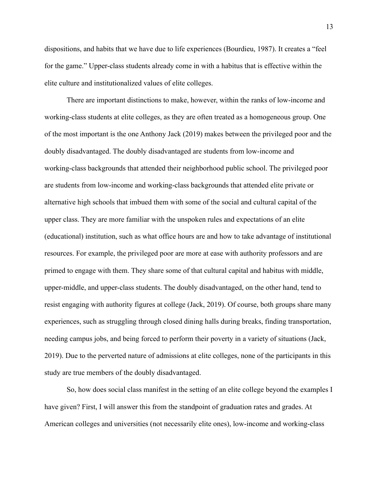dispositions, and habits that we have due to life experiences (Bourdieu, 1987). It creates a "feel for the game." Upper-class students already come in with a habitus that is effective within the elite culture and institutionalized values of elite colleges.

There are important distinctions to make, however, within the ranks of low-income and working-class students at elite colleges, as they are often treated as a homogeneous group. One of the most important is the one Anthony Jack (2019) makes between the privileged poor and the doubly disadvantaged. The doubly disadvantaged are students from low-income and working-class backgrounds that attended their neighborhood public school. The privileged poor are students from low-income and working-class backgrounds that attended elite private or alternative high schools that imbued them with some of the social and cultural capital of the upper class. They are more familiar with the unspoken rules and expectations of an elite (educational) institution, such as what office hours are and how to take advantage of institutional resources. For example, the privileged poor are more at ease with authority professors and are primed to engage with them. They share some of that cultural capital and habitus with middle, upper-middle, and upper-class students. The doubly disadvantaged, on the other hand, tend to resist engaging with authority figures at college (Jack, 2019). Of course, both groups share many experiences, such as struggling through closed dining halls during breaks, finding transportation, needing campus jobs, and being forced to perform their poverty in a variety of situations (Jack, 2019). Due to the perverted nature of admissions at elite colleges, none of the participants in this study are true members of the doubly disadvantaged.

So, how does social class manifest in the setting of an elite college beyond the examples I have given? First, I will answer this from the standpoint of graduation rates and grades. At American colleges and universities (not necessarily elite ones), low-income and working-class

13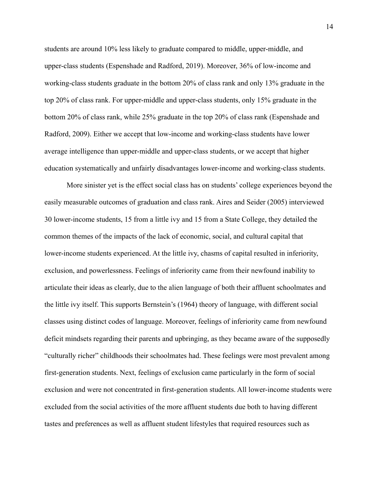students are around 10% less likely to graduate compared to middle, upper-middle, and upper-class students (Espenshade and Radford, 2019). Moreover, 36% of low-income and working-class students graduate in the bottom 20% of class rank and only 13% graduate in the top 20% of class rank. For upper-middle and upper-class students, only 15% graduate in the bottom 20% of class rank, while 25% graduate in the top 20% of class rank (Espenshade and Radford, 2009). Either we accept that low-income and working-class students have lower average intelligence than upper-middle and upper-class students, or we accept that higher education systematically and unfairly disadvantages lower-income and working-class students.

More sinister yet is the effect social class has on students' college experiences beyond the easily measurable outcomes of graduation and class rank. Aires and Seider (2005) interviewed 30 lower-income students, 15 from a little ivy and 15 from a State College, they detailed the common themes of the impacts of the lack of economic, social, and cultural capital that lower-income students experienced. At the little ivy, chasms of capital resulted in inferiority, exclusion, and powerlessness. Feelings of inferiority came from their newfound inability to articulate their ideas as clearly, due to the alien language of both their affluent schoolmates and the little ivy itself. This supports Bernstein's (1964) theory of language, with different social classes using distinct codes of language. Moreover, feelings of inferiority came from newfound deficit mindsets regarding their parents and upbringing, as they became aware of the supposedly "culturally richer" childhoods their schoolmates had. These feelings were most prevalent among first-generation students. Next, feelings of exclusion came particularly in the form of social exclusion and were not concentrated in first-generation students. All lower-income students were excluded from the social activities of the more affluent students due both to having different tastes and preferences as well as affluent student lifestyles that required resources such as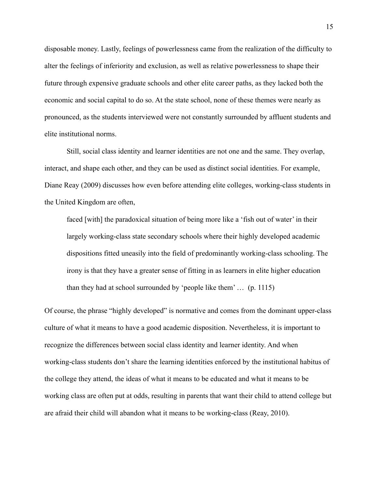disposable money. Lastly, feelings of powerlessness came from the realization of the difficulty to alter the feelings of inferiority and exclusion, as well as relative powerlessness to shape their future through expensive graduate schools and other elite career paths, as they lacked both the economic and social capital to do so. At the state school, none of these themes were nearly as pronounced, as the students interviewed were not constantly surrounded by affluent students and elite institutional norms.

Still, social class identity and learner identities are not one and the same. They overlap, interact, and shape each other, and they can be used as distinct social identities. For example, Diane Reay (2009) discusses how even before attending elite colleges, working-class students in the United Kingdom are often,

faced [with] the paradoxical situation of being more like a 'fish out of water' in their largely working-class state secondary schools where their highly developed academic dispositions fitted uneasily into the field of predominantly working-class schooling. The irony is that they have a greater sense of fitting in as learners in elite higher education than they had at school surrounded by 'people like them' … (p. 1115)

Of course, the phrase "highly developed" is normative and comes from the dominant upper-class culture of what it means to have a good academic disposition. Nevertheless, it is important to recognize the differences between social class identity and learner identity. And when working-class students don't share the learning identities enforced by the institutional habitus of the college they attend, the ideas of what it means to be educated and what it means to be working class are often put at odds, resulting in parents that want their child to attend college but are afraid their child will abandon what it means to be working-class (Reay, 2010).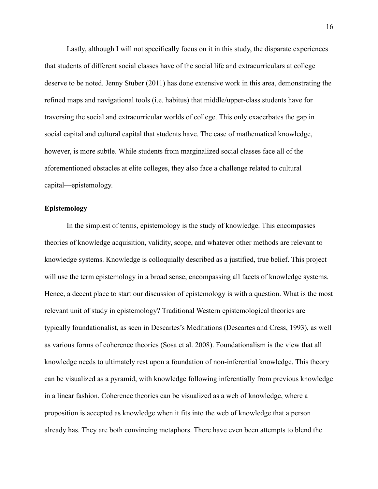Lastly, although I will not specifically focus on it in this study, the disparate experiences that students of different social classes have of the social life and extracurriculars at college deserve to be noted. Jenny Stuber (2011) has done extensive work in this area, demonstrating the refined maps and navigational tools (i.e. habitus) that middle/upper-class students have for traversing the social and extracurricular worlds of college. This only exacerbates the gap in social capital and cultural capital that students have. The case of mathematical knowledge, however, is more subtle. While students from marginalized social classes face all of the aforementioned obstacles at elite colleges, they also face a challenge related to cultural capital—epistemology.

#### <span id="page-18-0"></span>**Epistemology**

In the simplest of terms, epistemology is the study of knowledge. This encompasses theories of knowledge acquisition, validity, scope, and whatever other methods are relevant to knowledge systems. Knowledge is colloquially described as a justified, true belief. This project will use the term epistemology in a broad sense, encompassing all facets of knowledge systems. Hence, a decent place to start our discussion of epistemology is with a question. What is the most relevant unit of study in epistemology? Traditional Western epistemological theories are typically foundationalist, as seen in Descartes's Meditations (Descartes and Cress, 1993), as well as various forms of coherence theories (Sosa et al. 2008). Foundationalism is the view that all knowledge needs to ultimately rest upon a foundation of non-inferential knowledge. This theory can be visualized as a pyramid, with knowledge following inferentially from previous knowledge in a linear fashion. Coherence theories can be visualized as a web of knowledge, where a proposition is accepted as knowledge when it fits into the web of knowledge that a person already has. They are both convincing metaphors. There have even been attempts to blend the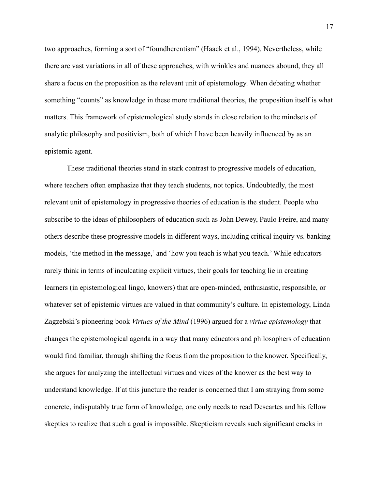two approaches, forming a sort of "foundherentism" (Haack et al., 1994). Nevertheless, while there are vast variations in all of these approaches, with wrinkles and nuances abound, they all share a focus on the proposition as the relevant unit of epistemology. When debating whether something "counts" as knowledge in these more traditional theories, the proposition itself is what matters. This framework of epistemological study stands in close relation to the mindsets of analytic philosophy and positivism, both of which I have been heavily influenced by as an epistemic agent.

These traditional theories stand in stark contrast to progressive models of education, where teachers often emphasize that they teach students, not topics. Undoubtedly, the most relevant unit of epistemology in progressive theories of education is the student. People who subscribe to the ideas of philosophers of education such as John Dewey, Paulo Freire, and many others describe these progressive models in different ways, including critical inquiry vs. banking models, 'the method in the message,' and 'how you teach is what you teach.' While educators rarely think in terms of inculcating explicit virtues, their goals for teaching lie in creating learners (in epistemological lingo, knowers) that are open-minded, enthusiastic, responsible, or whatever set of epistemic virtues are valued in that community's culture. In epistemology, Linda Zagzebski's pioneering book *Virtues of the Mind* (1996) argued for a *virtue epistemology* that changes the epistemological agenda in a way that many educators and philosophers of education would find familiar, through shifting the focus from the proposition to the knower. Specifically, she argues for analyzing the intellectual virtues and vices of the knower as the best way to understand knowledge. If at this juncture the reader is concerned that I am straying from some concrete, indisputably true form of knowledge, one only needs to read Descartes and his fellow skeptics to realize that such a goal is impossible. Skepticism reveals such significant cracks in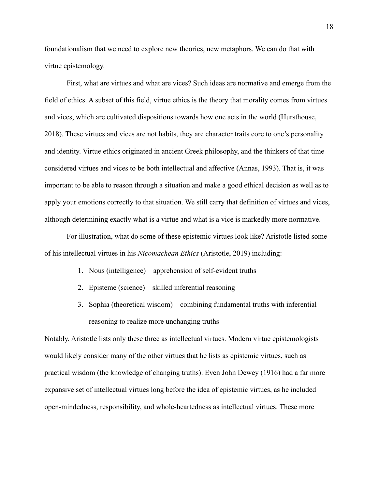foundationalism that we need to explore new theories, new metaphors. We can do that with virtue epistemology.

First, what are virtues and what are vices? Such ideas are normative and emerge from the field of ethics. A subset of this field, virtue ethics is the theory that morality comes from virtues and vices, which are cultivated dispositions towards how one acts in the world (Hursthouse, 2018). These virtues and vices are not habits, they are character traits core to one's personality and identity. Virtue ethics originated in ancient Greek philosophy, and the thinkers of that time considered virtues and vices to be both intellectual and affective (Annas, 1993). That is, it was important to be able to reason through a situation and make a good ethical decision as well as to apply your emotions correctly to that situation. We still carry that definition of virtues and vices, although determining exactly what is a virtue and what is a vice is markedly more normative.

For illustration, what do some of these epistemic virtues look like? Aristotle listed some of his intellectual virtues in his *Nicomachean Ethics* (Aristotle, 2019) including:

- 1. Nous (intelligence) apprehension of self-evident truths
- 2. Episteme (science) skilled inferential reasoning
- 3. Sophia (theoretical wisdom) combining fundamental truths with inferential reasoning to realize more unchanging truths

Notably, Aristotle lists only these three as intellectual virtues. Modern virtue epistemologists would likely consider many of the other virtues that he lists as epistemic virtues, such as practical wisdom (the knowledge of changing truths). Even John Dewey (1916) had a far more expansive set of intellectual virtues long before the idea of epistemic virtues, as he included open-mindedness, responsibility, and whole-heartedness as intellectual virtues. These more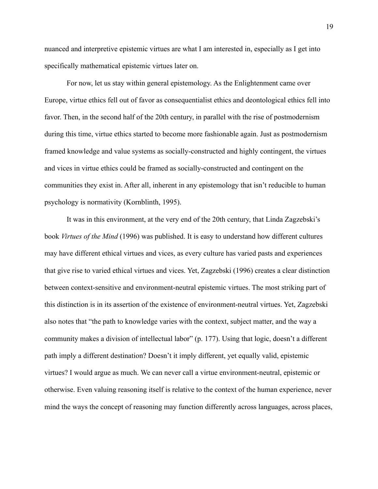nuanced and interpretive epistemic virtues are what I am interested in, especially as I get into specifically mathematical epistemic virtues later on.

For now, let us stay within general epistemology. As the Enlightenment came over Europe, virtue ethics fell out of favor as consequentialist ethics and deontological ethics fell into favor. Then, in the second half of the 20th century, in parallel with the rise of postmodernism during this time, virtue ethics started to become more fashionable again. Just as postmodernism framed knowledge and value systems as socially-constructed and highly contingent, the virtues and vices in virtue ethics could be framed as socially-constructed and contingent on the communities they exist in. After all, inherent in any epistemology that isn't reducible to human psychology is normativity (Kornblinth, 1995).

It was in this environment, at the very end of the 20th century, that Linda Zagzebski's book *Virtues of the Mind* (1996) was published. It is easy to understand how different cultures may have different ethical virtues and vices, as every culture has varied pasts and experiences that give rise to varied ethical virtues and vices. Yet, Zagzebski (1996) creates a clear distinction between context-sensitive and environment-neutral epistemic virtues. The most striking part of this distinction is in its assertion of the existence of environment-neutral virtues. Yet, Zagzebski also notes that "the path to knowledge varies with the context, subject matter, and the way a community makes a division of intellectual labor" (p. 177). Using that logic, doesn't a different path imply a different destination? Doesn't it imply different, yet equally valid, epistemic virtues? I would argue as much. We can never call a virtue environment-neutral, epistemic or otherwise. Even valuing reasoning itself is relative to the context of the human experience, never mind the ways the concept of reasoning may function differently across languages, across places,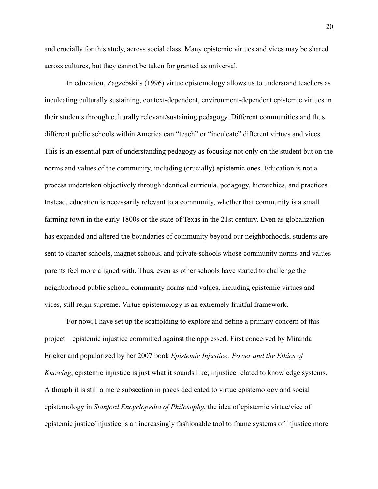and crucially for this study, across social class. Many epistemic virtues and vices may be shared across cultures, but they cannot be taken for granted as universal.

In education, Zagzebski's (1996) virtue epistemology allows us to understand teachers as inculcating culturally sustaining, context-dependent, environment-dependent epistemic virtues in their students through culturally relevant/sustaining pedagogy. Different communities and thus different public schools within America can "teach" or "inculcate" different virtues and vices. This is an essential part of understanding pedagogy as focusing not only on the student but on the norms and values of the community, including (crucially) epistemic ones. Education is not a process undertaken objectively through identical curricula, pedagogy, hierarchies, and practices. Instead, education is necessarily relevant to a community, whether that community is a small farming town in the early 1800s or the state of Texas in the 21st century. Even as globalization has expanded and altered the boundaries of community beyond our neighborhoods, students are sent to charter schools, magnet schools, and private schools whose community norms and values parents feel more aligned with. Thus, even as other schools have started to challenge the neighborhood public school, community norms and values, including epistemic virtues and vices, still reign supreme. Virtue epistemology is an extremely fruitful framework.

For now, I have set up the scaffolding to explore and define a primary concern of this project—epistemic injustice committed against the oppressed. First conceived by Miranda Fricker and popularized by her 2007 book *Epistemic Injustice: Power and the Ethics of Knowing*, epistemic injustice is just what it sounds like; injustice related to knowledge systems. Although it is still a mere subsection in pages dedicated to virtue epistemology and social epistemology in *Stanford Encyclopedia of Philosophy*, the idea of epistemic virtue/vice of epistemic justice/injustice is an increasingly fashionable tool to frame systems of injustice more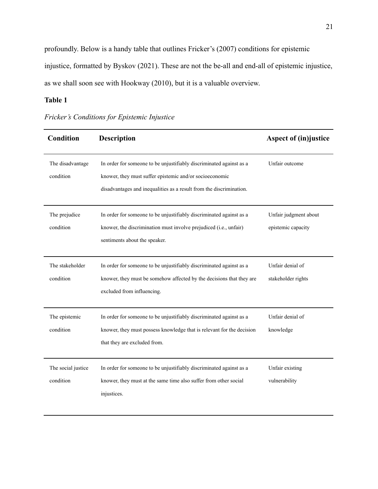profoundly. Below is a handy table that outlines Fricker's (2007) conditions for epistemic injustice, formatted by Byskov (2021). These are not the be-all and end-all of epistemic injustice, as we shall soon see with Hookway (2010), but it is a valuable overview.

# **Table 1**

| Condition                       | <b>Description</b>                                                                                                                                                                                    | <b>Aspect of (in) justice</b>               |
|---------------------------------|-------------------------------------------------------------------------------------------------------------------------------------------------------------------------------------------------------|---------------------------------------------|
| The disadvantage<br>condition   | In order for someone to be unjustifiably discriminated against as a<br>knower, they must suffer epistemic and/or socioeconomic<br>disadvantages and inequalities as a result from the discrimination. | Unfair outcome                              |
| The prejudice<br>condition      | In order for someone to be unjustifiably discriminated against as a<br>knower, the discrimination must involve prejudiced (i.e., unfair)<br>sentiments about the speaker.                             | Unfair judgment about<br>epistemic capacity |
| The stakeholder<br>condition    | In order for someone to be unjustifiably discriminated against as a<br>knower, they must be somehow affected by the decisions that they are<br>excluded from influencing.                             | Unfair denial of<br>stakeholder rights      |
| The epistemic<br>condition      | In order for someone to be unjustifiably discriminated against as a<br>knower, they must possess knowledge that is relevant for the decision<br>that they are excluded from.                          | Unfair denial of<br>knowledge               |
| The social justice<br>condition | In order for someone to be unjustifiably discriminated against as a<br>knower, they must at the same time also suffer from other social<br>injustices.                                                | Unfair existing<br>vulnerability            |

## *Fricker's Conditions for Epistemic Injustice*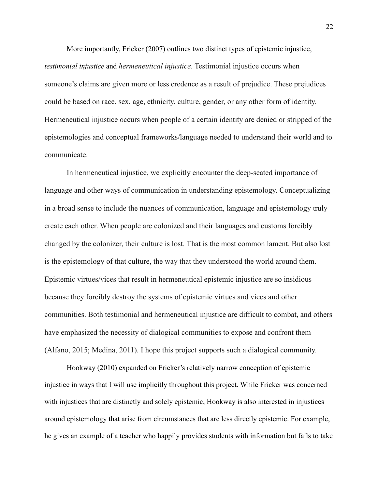More importantly, Fricker (2007) outlines two distinct types of epistemic injustice, *testimonial injustice* and *hermeneutical injustice*. Testimonial injustice occurs when someone's claims are given more or less credence as a result of prejudice. These prejudices could be based on race, sex, age, ethnicity, culture, gender, or any other form of identity. Hermeneutical injustice occurs when people of a certain identity are denied or stripped of the epistemologies and conceptual frameworks/language needed to understand their world and to communicate.

In hermeneutical injustice, we explicitly encounter the deep-seated importance of language and other ways of communication in understanding epistemology. Conceptualizing in a broad sense to include the nuances of communication, language and epistemology truly create each other. When people are colonized and their languages and customs forcibly changed by the colonizer, their culture is lost. That is the most common lament. But also lost is the epistemology of that culture, the way that they understood the world around them. Epistemic virtues/vices that result in hermeneutical epistemic injustice are so insidious because they forcibly destroy the systems of epistemic virtues and vices and other communities. Both testimonial and hermeneutical injustice are difficult to combat, and others have emphasized the necessity of dialogical communities to expose and confront them (Alfano, 2015; Medina, 2011). I hope this project supports such a dialogical community.

Hookway (2010) expanded on Fricker's relatively narrow conception of epistemic injustice in ways that I will use implicitly throughout this project. While Fricker was concerned with injustices that are distinctly and solely epistemic, Hookway is also interested in injustices around epistemology that arise from circumstances that are less directly epistemic. For example, he gives an example of a teacher who happily provides students with information but fails to take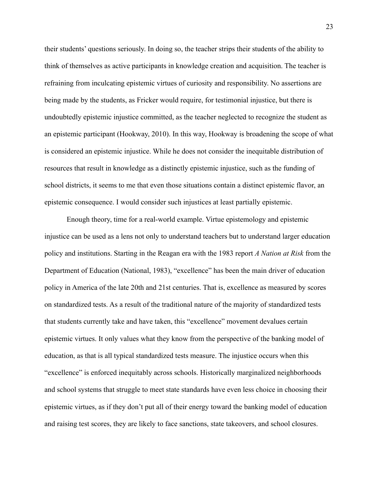their students' questions seriously. In doing so, the teacher strips their students of the ability to think of themselves as active participants in knowledge creation and acquisition. The teacher is refraining from inculcating epistemic virtues of curiosity and responsibility. No assertions are being made by the students, as Fricker would require, for testimonial injustice, but there is undoubtedly epistemic injustice committed, as the teacher neglected to recognize the student as an epistemic participant (Hookway, 2010). In this way, Hookway is broadening the scope of what is considered an epistemic injustice. While he does not consider the inequitable distribution of resources that result in knowledge as a distinctly epistemic injustice, such as the funding of school districts, it seems to me that even those situations contain a distinct epistemic flavor, an epistemic consequence. I would consider such injustices at least partially epistemic.

Enough theory, time for a real-world example. Virtue epistemology and epistemic injustice can be used as a lens not only to understand teachers but to understand larger education policy and institutions. Starting in the Reagan era with the 1983 report *A Nation at Risk* from the Department of Education (National, 1983), "excellence" has been the main driver of education policy in America of the late 20th and 21st centuries. That is, excellence as measured by scores on standardized tests. As a result of the traditional nature of the majority of standardized tests that students currently take and have taken, this "excellence" movement devalues certain epistemic virtues. It only values what they know from the perspective of the banking model of education, as that is all typical standardized tests measure. The injustice occurs when this "excellence" is enforced inequitably across schools. Historically marginalized neighborhoods and school systems that struggle to meet state standards have even less choice in choosing their epistemic virtues, as if they don't put all of their energy toward the banking model of education and raising test scores, they are likely to face sanctions, state takeovers, and school closures.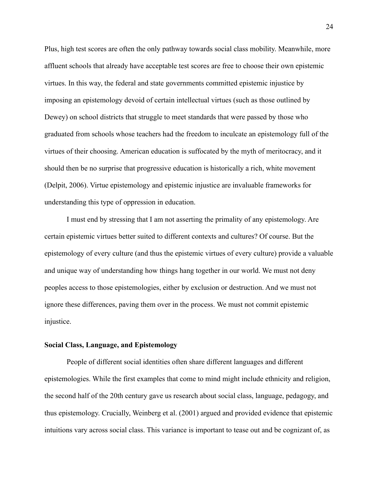Plus, high test scores are often the only pathway towards social class mobility. Meanwhile, more affluent schools that already have acceptable test scores are free to choose their own epistemic virtues. In this way, the federal and state governments committed epistemic injustice by imposing an epistemology devoid of certain intellectual virtues (such as those outlined by Dewey) on school districts that struggle to meet standards that were passed by those who graduated from schools whose teachers had the freedom to inculcate an epistemology full of the virtues of their choosing. American education is suffocated by the myth of meritocracy, and it should then be no surprise that progressive education is historically a rich, white movement (Delpit, 2006). Virtue epistemology and epistemic injustice are invaluable frameworks for understanding this type of oppression in education.

I must end by stressing that I am not asserting the primality of any epistemology. Are certain epistemic virtues better suited to different contexts and cultures? Of course. But the epistemology of every culture (and thus the epistemic virtues of every culture) provide a valuable and unique way of understanding how things hang together in our world. We must not deny peoples access to those epistemologies, either by exclusion or destruction. And we must not ignore these differences, paving them over in the process. We must not commit epistemic injustice.

#### <span id="page-26-0"></span>**Social Class, Language, and Epistemology**

People of different social identities often share different languages and different epistemologies. While the first examples that come to mind might include ethnicity and religion, the second half of the 20th century gave us research about social class, language, pedagogy, and thus epistemology. Crucially, Weinberg et al. (2001) argued and provided evidence that epistemic intuitions vary across social class. This variance is important to tease out and be cognizant of, as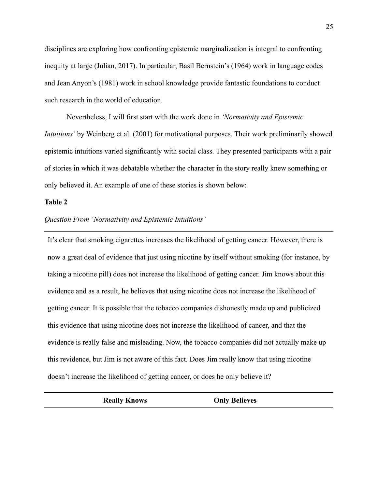disciplines are exploring how confronting epistemic marginalization is integral to confronting inequity at large (Julian, 2017). In particular, Basil Bernstein's (1964) work in language codes and Jean Anyon's (1981) work in school knowledge provide fantastic foundations to conduct such research in the world of education.

Nevertheless, I will first start with the work done in *'Normativity and Epistemic Intuitions'* by Weinberg et al. (2001) for motivational purposes. Their work preliminarily showed epistemic intuitions varied significantly with social class. They presented participants with a pair of stories in which it was debatable whether the character in the story really knew something or only believed it. An example of one of these stories is shown below:

#### **Table 2**

#### *Question From 'Normativity and Epistemic Intuitions'*

It's clear that smoking cigarettes increases the likelihood of getting cancer. However, there is now a great deal of evidence that just using nicotine by itself without smoking (for instance, by taking a nicotine pill) does not increase the likelihood of getting cancer. Jim knows about this evidence and as a result, he believes that using nicotine does not increase the likelihood of getting cancer. It is possible that the tobacco companies dishonestly made up and publicized this evidence that using nicotine does not increase the likelihood of cancer, and that the evidence is really false and misleading. Now, the tobacco companies did not actually make up this revidence, but Jim is not aware of this fact. Does Jim really know that using nicotine doesn't increase the likelihood of getting cancer, or does he only believe it?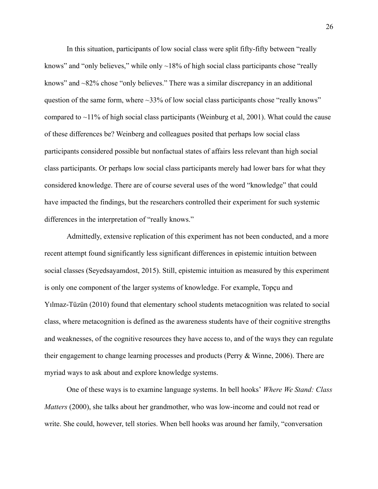In this situation, participants of low social class were split fifty-fifty between "really knows" and "only believes," while only  $\sim$ 18% of high social class participants chose "really knows" and ~82% chose "only believes." There was a similar discrepancy in an additional question of the same form, where  $\sim$ 33% of low social class participants chose "really knows" compared to  $\sim$ 11% of high social class participants (Weinburg et al, 2001). What could the cause of these differences be? Weinberg and colleagues posited that perhaps low social class participants considered possible but nonfactual states of affairs less relevant than high social class participants. Or perhaps low social class participants merely had lower bars for what they considered knowledge. There are of course several uses of the word "knowledge" that could have impacted the findings, but the researchers controlled their experiment for such systemic differences in the interpretation of "really knows."

Admittedly, extensive replication of this experiment has not been conducted, and a more recent attempt found significantly less significant differences in epistemic intuition between social classes (Seyedsayamdost, 2015). Still, epistemic intuition as measured by this experiment is only one component of the larger systems of knowledge. For example, Topçu and Yılmaz-Tüzün (2010) found that elementary school students metacognition was related to social class, where metacognition is defined as the awareness students have of their cognitive strengths and weaknesses, of the cognitive resources they have access to, and of the ways they can regulate their engagement to change learning processes and products (Perry & Winne, 2006). There are myriad ways to ask about and explore knowledge systems.

One of these ways is to examine language systems. In bell hooks' *Where We Stand: Class Matters* (2000), she talks about her grandmother, who was low-income and could not read or write. She could, however, tell stories. When bell hooks was around her family, "conversation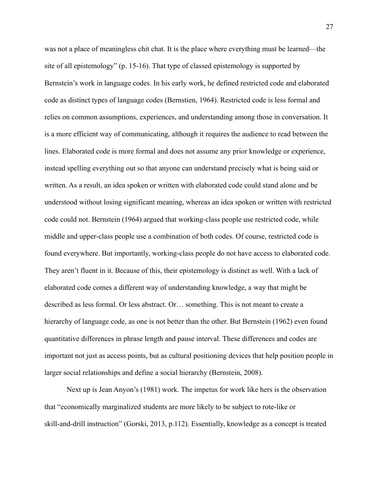was not a place of meaningless chit chat. It is the place where everything must be learned—the site of all epistemology" (p. 15-16). That type of classed epistemology is supported by Bernstein's work in language codes. In his early work, he defined restricted code and elaborated code as distinct types of language codes (Bernstien, 1964). Restricted code is less formal and relies on common assumptions, experiences, and understanding among those in conversation. It is a more efficient way of communicating, although it requires the audience to read between the lines. Elaborated code is more formal and does not assume any prior knowledge or experience, instead spelling everything out so that anyone can understand precisely what is being said or written. As a result, an idea spoken or written with elaborated code could stand alone and be understood without losing significant meaning, whereas an idea spoken or written with restricted code could not. Bernstein (1964) argued that working-class people use restricted code, while middle and upper-class people use a combination of both codes. Of course, restricted code is found everywhere. But importantly, working-class people do not have access to elaborated code. They aren't fluent in it. Because of this, their epistemology is distinct as well. With a lack of elaborated code comes a different way of understanding knowledge, a way that might be described as less formal. Or less abstract. Or… something. This is not meant to create a hierarchy of language code, as one is not better than the other. But Bernstein (1962) even found quantitative differences in phrase length and pause interval. These differences and codes are important not just as access points, but as cultural positioning devices that help position people in larger social relationships and define a social hierarchy (Bernstein, 2008).

Next up is Jean Anyon's (1981) work. The impetus for work like hers is the observation that "economically marginalized students are more likely to be subject to rote-like or skill-and-drill instruction" (Gorski, 2013, p.112). Essentially, knowledge as a concept is treated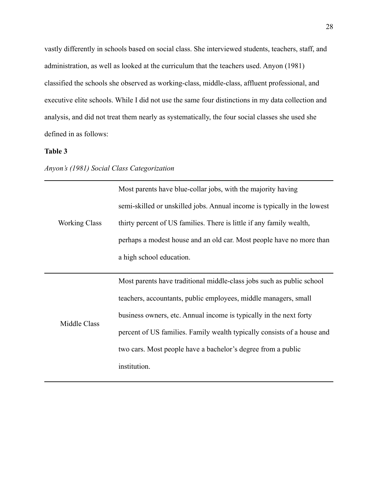vastly differently in schools based on social class. She interviewed students, teachers, staff, and administration, as well as looked at the curriculum that the teachers used. Anyon (1981) classified the schools she observed as working-class, middle-class, affluent professional, and executive elite schools. While I did not use the same four distinctions in my data collection and analysis, and did not treat them nearly as systematically, the four social classes she used she defined in as follows:

### **Table 3**

|  |  |  | Anyon's (1981) Social Class Categorization |
|--|--|--|--------------------------------------------|
|--|--|--|--------------------------------------------|

| <b>Working Class</b> | Most parents have blue-collar jobs, with the majority having             |
|----------------------|--------------------------------------------------------------------------|
|                      | semi-skilled or unskilled jobs. Annual income is typically in the lowest |
|                      | thirty percent of US families. There is little if any family wealth,     |
|                      | perhaps a modest house and an old car. Most people have no more than     |
|                      | a high school education.                                                 |
|                      |                                                                          |
| Middle Class         | Most parents have traditional middle-class jobs such as public school    |
|                      | teachers, accountants, public employees, middle managers, small          |
|                      | business owners, etc. Annual income is typically in the next forty       |
|                      | percent of US families. Family wealth typically consists of a house and  |
|                      | two cars. Most people have a bachelor's degree from a public             |
|                      | institution.                                                             |
|                      |                                                                          |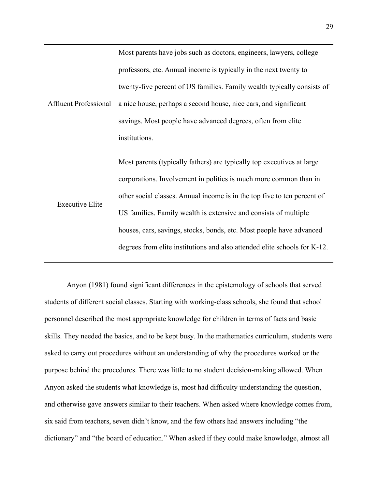|                              | Most parents have jobs such as doctors, engineers, lawyers, college       |
|------------------------------|---------------------------------------------------------------------------|
| <b>Affluent Professional</b> | professors, etc. Annual income is typically in the next twenty to         |
|                              | twenty-five percent of US families. Family wealth typically consists of   |
|                              | a nice house, perhaps a second house, nice cars, and significant          |
|                              | savings. Most people have advanced degrees, often from elite              |
|                              | institutions.                                                             |
|                              |                                                                           |
| <b>Executive Elite</b>       | Most parents (typically fathers) are typically top executives at large    |
|                              | corporations. Involvement in politics is much more common than in         |
|                              | other social classes. Annual income is in the top five to ten percent of  |
|                              | US families. Family wealth is extensive and consists of multiple          |
|                              | houses, cars, savings, stocks, bonds, etc. Most people have advanced      |
|                              | degrees from elite institutions and also attended elite schools for K-12. |

Anyon (1981) found significant differences in the epistemology of schools that served students of different social classes. Starting with working-class schools, she found that school personnel described the most appropriate knowledge for children in terms of facts and basic skills. They needed the basics, and to be kept busy. In the mathematics curriculum, students were asked to carry out procedures without an understanding of why the procedures worked or the purpose behind the procedures. There was little to no student decision-making allowed. When Anyon asked the students what knowledge is, most had difficulty understanding the question, and otherwise gave answers similar to their teachers. When asked where knowledge comes from, six said from teachers, seven didn't know, and the few others had answers including "the dictionary" and "the board of education." When asked if they could make knowledge, almost all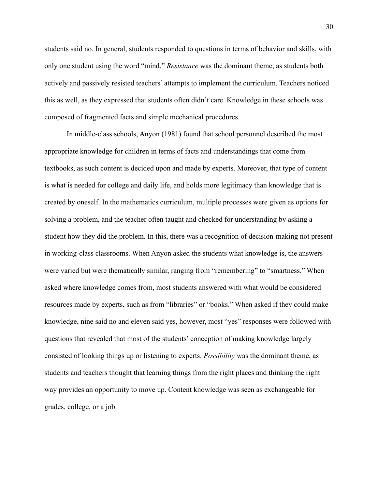students said no. In general, students responded to questions in terms of behavior and skills, with only one student using the word "mind." *Resistance* was the dominant theme, as students both actively and passively resisted teachers' attempts to implement the curriculum. Teachers noticed this as well, as they expressed that students often didn't care. Knowledge in these schools was composed of fragmented facts and simple mechanical procedures.

In middle-class schools, Anyon (1981) found that school personnel described the most appropriate knowledge for children in terms of facts and understandings that come from textbooks, as such content is decided upon and made by experts. Moreover, that type of content is what is needed for college and daily life, and holds more legitimacy than knowledge that is created by oneself. In the mathematics curriculum, multiple processes were given as options for solving a problem, and the teacher often taught and checked for understanding by asking a student how they did the problem. In this, there was a recognition of decision-making not present in working-class classrooms. When Anyon asked the students what knowledge is, the answers were varied but were thematically similar, ranging from "remembering" to "smartness." When asked where knowledge comes from, most students answered with what would be considered resources made by experts, such as from "libraries" or "books." When asked if they could make knowledge, nine said no and eleven said yes, however, most "yes" responses were followed with questions that revealed that most of the students' conception of making knowledge largely consisted of looking things up or listening to experts. *Possibility* was the dominant theme, as students and teachers thought that learning things from the right places and thinking the right way provides an opportunity to move up. Content knowledge was seen as exchangeable for grades, college, or a job.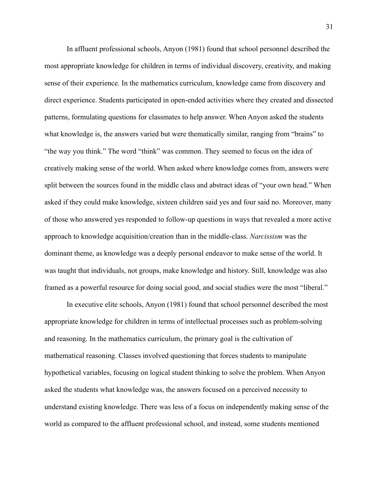In affluent professional schools, Anyon (1981) found that school personnel described the most appropriate knowledge for children in terms of individual discovery, creativity, and making sense of their experience. In the mathematics curriculum, knowledge came from discovery and direct experience. Students participated in open-ended activities where they created and dissected patterns, formulating questions for classmates to help answer. When Anyon asked the students what knowledge is, the answers varied but were thematically similar, ranging from "brains" to "the way you think." The word "think" was common. They seemed to focus on the idea of creatively making sense of the world. When asked where knowledge comes from, answers were split between the sources found in the middle class and abstract ideas of "your own head." When asked if they could make knowledge, sixteen children said yes and four said no. Moreover, many of those who answered yes responded to follow-up questions in ways that revealed a more active approach to knowledge acquisition/creation than in the middle-class. *Narcissism* was the dominant theme, as knowledge was a deeply personal endeavor to make sense of the world. It was taught that individuals, not groups, make knowledge and history. Still, knowledge was also framed as a powerful resource for doing social good, and social studies were the most "liberal."

In executive elite schools, Anyon (1981) found that school personnel described the most appropriate knowledge for children in terms of intellectual processes such as problem-solving and reasoning. In the mathematics curriculum, the primary goal is the cultivation of mathematical reasoning. Classes involved questioning that forces students to manipulate hypothetical variables, focusing on logical student thinking to solve the problem. When Anyon asked the students what knowledge was, the answers focused on a perceived necessity to understand existing knowledge. There was less of a focus on independently making sense of the world as compared to the affluent professional school, and instead, some students mentioned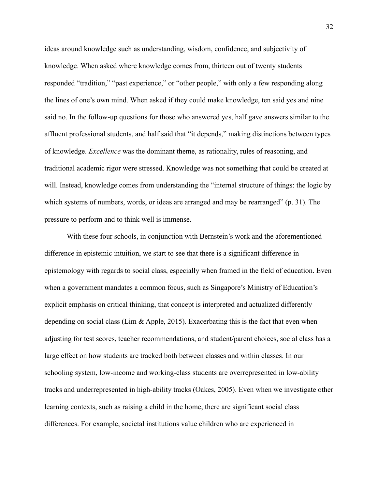ideas around knowledge such as understanding, wisdom, confidence, and subjectivity of knowledge. When asked where knowledge comes from, thirteen out of twenty students responded "tradition," "past experience," or "other people," with only a few responding along the lines of one's own mind. When asked if they could make knowledge, ten said yes and nine said no. In the follow-up questions for those who answered yes, half gave answers similar to the affluent professional students, and half said that "it depends," making distinctions between types of knowledge. *Excellence* was the dominant theme, as rationality, rules of reasoning, and traditional academic rigor were stressed. Knowledge was not something that could be created at will. Instead, knowledge comes from understanding the "internal structure of things: the logic by which systems of numbers, words, or ideas are arranged and may be rearranged" (p. 31). The pressure to perform and to think well is immense.

With these four schools, in conjunction with Bernstein's work and the aforementioned difference in epistemic intuition, we start to see that there is a significant difference in epistemology with regards to social class, especially when framed in the field of education. Even when a government mandates a common focus, such as Singapore's Ministry of Education's explicit emphasis on critical thinking, that concept is interpreted and actualized differently depending on social class (Lim  $\&$  Apple, 2015). Exacerbating this is the fact that even when adjusting for test scores, teacher recommendations, and student/parent choices, social class has a large effect on how students are tracked both between classes and within classes. In our schooling system, low-income and working-class students are overrepresented in low-ability tracks and underrepresented in high-ability tracks (Oakes, 2005). Even when we investigate other learning contexts, such as raising a child in the home, there are significant social class differences. For example, societal institutions value children who are experienced in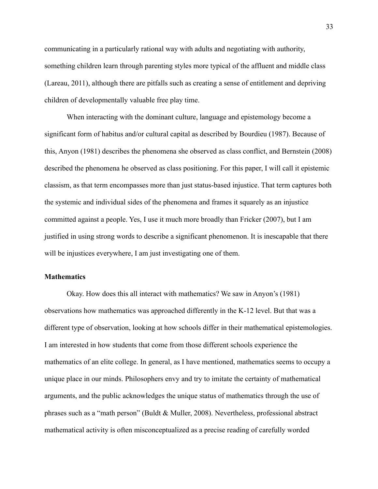communicating in a particularly rational way with adults and negotiating with authority, something children learn through parenting styles more typical of the affluent and middle class (Lareau, 2011), although there are pitfalls such as creating a sense of entitlement and depriving children of developmentally valuable free play time.

When interacting with the dominant culture, language and epistemology become a significant form of habitus and/or cultural capital as described by Bourdieu (1987). Because of this, Anyon (1981) describes the phenomena she observed as class conflict, and Bernstein (2008) described the phenomena he observed as class positioning. For this paper, I will call it epistemic classism, as that term encompasses more than just status-based injustice. That term captures both the systemic and individual sides of the phenomena and frames it squarely as an injustice committed against a people. Yes, I use it much more broadly than Fricker (2007), but I am justified in using strong words to describe a significant phenomenon. It is inescapable that there will be injustices everywhere, I am just investigating one of them.

#### <span id="page-35-0"></span>**Mathematics**

Okay. How does this all interact with mathematics? We saw in Anyon's (1981) observations how mathematics was approached differently in the K-12 level. But that was a different type of observation, looking at how schools differ in their mathematical epistemologies. I am interested in how students that come from those different schools experience the mathematics of an elite college. In general, as I have mentioned, mathematics seems to occupy a unique place in our minds. Philosophers envy and try to imitate the certainty of mathematical arguments, and the public acknowledges the unique status of mathematics through the use of phrases such as a "math person" (Buldt & Muller, 2008). Nevertheless, professional abstract mathematical activity is often misconceptualized as a precise reading of carefully worded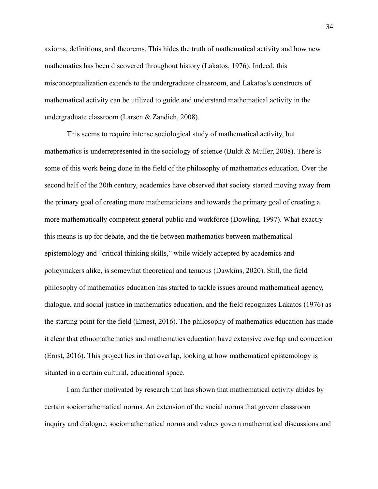axioms, definitions, and theorems. This hides the truth of mathematical activity and how new mathematics has been discovered throughout history (Lakatos, 1976). Indeed, this misconceptualization extends to the undergraduate classroom, and Lakatos's constructs of mathematical activity can be utilized to guide and understand mathematical activity in the undergraduate classroom (Larsen & Zandieh, 2008).

This seems to require intense sociological study of mathematical activity, but mathematics is underrepresented in the sociology of science (Buldt  $&$  Muller, 2008). There is some of this work being done in the field of the philosophy of mathematics education. Over the second half of the 20th century, academics have observed that society started moving away from the primary goal of creating more mathematicians and towards the primary goal of creating a more mathematically competent general public and workforce (Dowling, 1997). What exactly this means is up for debate, and the tie between mathematics between mathematical epistemology and "critical thinking skills," while widely accepted by academics and policymakers alike, is somewhat theoretical and tenuous (Dawkins, 2020). Still, the field philosophy of mathematics education has started to tackle issues around mathematical agency, dialogue, and social justice in mathematics education, and the field recognizes Lakatos (1976) as the starting point for the field (Ernest, 2016). The philosophy of mathematics education has made it clear that ethnomathematics and mathematics education have extensive overlap and connection (Ernst, 2016). This project lies in that overlap, looking at how mathematical epistemology is situated in a certain cultural, educational space.

I am further motivated by research that has shown that mathematical activity abides by certain sociomathematical norms. An extension of the social norms that govern classroom inquiry and dialogue, sociomathematical norms and values govern mathematical discussions and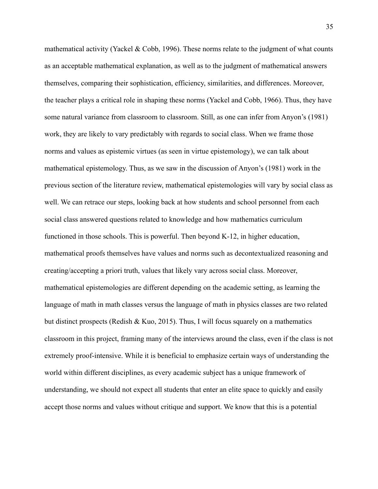mathematical activity (Yackel & Cobb, 1996). These norms relate to the judgment of what counts as an acceptable mathematical explanation, as well as to the judgment of mathematical answers themselves, comparing their sophistication, efficiency, similarities, and differences. Moreover, the teacher plays a critical role in shaping these norms (Yackel and Cobb, 1966). Thus, they have some natural variance from classroom to classroom. Still, as one can infer from Anyon's (1981) work, they are likely to vary predictably with regards to social class. When we frame those norms and values as epistemic virtues (as seen in virtue epistemology), we can talk about mathematical epistemology. Thus, as we saw in the discussion of Anyon's (1981) work in the previous section of the literature review, mathematical epistemologies will vary by social class as well. We can retrace our steps, looking back at how students and school personnel from each social class answered questions related to knowledge and how mathematics curriculum functioned in those schools. This is powerful. Then beyond K-12, in higher education, mathematical proofs themselves have values and norms such as decontextualized reasoning and creating/accepting a priori truth, values that likely vary across social class. Moreover, mathematical epistemologies are different depending on the academic setting, as learning the language of math in math classes versus the language of math in physics classes are two related but distinct prospects (Redish & Kuo, 2015). Thus, I will focus squarely on a mathematics classroom in this project, framing many of the interviews around the class, even if the class is not extremely proof-intensive. While it is beneficial to emphasize certain ways of understanding the world within different disciplines, as every academic subject has a unique framework of understanding, we should not expect all students that enter an elite space to quickly and easily accept those norms and values without critique and support. We know that this is a potential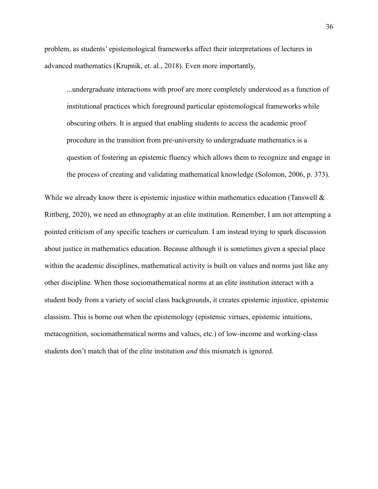problem, as students' epistemological frameworks affect their interpretations of lectures in advanced mathematics (Krupnik, et. al., 2018). Even more importantly,

...undergraduate interactions with proof are more completely understood as a function of institutional practices which foreground particular epistemological frameworks while obscuring others. It is argued that enabling students to access the academic proof procedure in the transition from pre-university to undergraduate mathematics is a question of fostering an epistemic fluency which allows them to recognize and engage in the process of creating and validating mathematical knowledge (Solomon, 2006, p. 373).

While we already know there is epistemic injustice within mathematics education (Tanswell  $\&$ Rittberg, 2020), we need an ethnography at an elite institution. Remember, I am not attempting a pointed criticism of any specific teachers or curriculum. I am instead trying to spark discussion about justice in mathematics education. Because although it is sometimes given a special place within the academic disciplines, mathematical activity is built on values and norms just like any other discipline. When those sociomathematical norms at an elite institution interact with a student body from a variety of social class backgrounds, it creates epistemic injustice, epistemic classism. This is borne out when the epistemology (epistemic virtues, epistemic intuitions, metacognition, sociomathematical norms and values, etc.) of low-income and working-class students don't match that of the elite institution *and* this mismatch is ignored.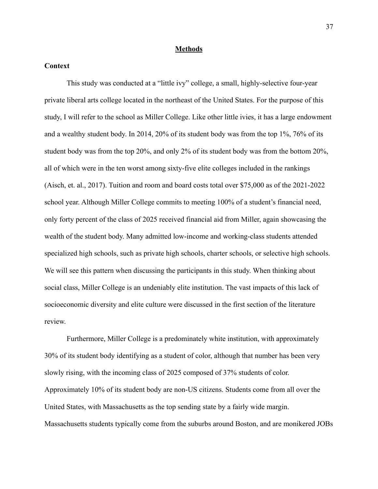#### **Methods**

### **Context**

This study was conducted at a "little ivy" college, a small, highly-selective four-year private liberal arts college located in the northeast of the United States. For the purpose of this study, I will refer to the school as Miller College. Like other little ivies, it has a large endowment and a wealthy student body. In 2014, 20% of its student body was from the top 1%, 76% of its student body was from the top 20%, and only 2% of its student body was from the bottom 20%, all of which were in the ten worst among sixty-five elite colleges included in the rankings (Aisch, et. al., 2017). Tuition and room and board costs total over \$75,000 as of the 2021-2022 school year. Although Miller College commits to meeting 100% of a student's financial need, only forty percent of the class of 2025 received financial aid from Miller, again showcasing the wealth of the student body. Many admitted low-income and working-class students attended specialized high schools, such as private high schools, charter schools, or selective high schools. We will see this pattern when discussing the participants in this study. When thinking about social class, Miller College is an undeniably elite institution. The vast impacts of this lack of socioeconomic diversity and elite culture were discussed in the first section of the literature review.

Furthermore, Miller College is a predominately white institution, with approximately 30% of its student body identifying as a student of color, although that number has been very slowly rising, with the incoming class of 2025 composed of 37% students of color. Approximately 10% of its student body are non-US citizens. Students come from all over the United States, with Massachusetts as the top sending state by a fairly wide margin. Massachusetts students typically come from the suburbs around Boston, and are monikered JOBs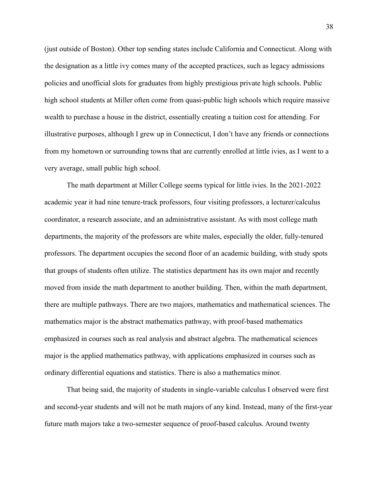(just outside of Boston). Other top sending states include California and Connecticut. Along with the designation as a little ivy comes many of the accepted practices, such as legacy admissions policies and unofficial slots for graduates from highly prestigious private high schools. Public high school students at Miller often come from quasi-public high schools which require massive wealth to purchase a house in the district, essentially creating a tuition cost for attending. For illustrative purposes, although I grew up in Connecticut, I don't have any friends or connections from my hometown or surrounding towns that are currently enrolled at little ivies, as I went to a very average, small public high school.

The math department at Miller College seems typical for little ivies. In the 2021-2022 academic year it had nine tenure-track professors, four visiting professors, a lecturer/calculus coordinator, a research associate, and an administrative assistant. As with most college math departments, the majority of the professors are white males, especially the older, fully-tenured professors. The department occupies the second floor of an academic building, with study spots that groups of students often utilize. The statistics department has its own major and recently moved from inside the math department to another building. Then, within the math department, there are multiple pathways. There are two majors, mathematics and mathematical sciences. The mathematics major is the abstract mathematics pathway, with proof-based mathematics emphasized in courses such as real analysis and abstract algebra. The mathematical sciences major is the applied mathematics pathway, with applications emphasized in courses such as ordinary differential equations and statistics. There is also a mathematics minor.

That being said, the majority of students in single-variable calculus I observed were first and second-year students and will not be math majors of any kind. Instead, many of the first-year future math majors take a two-semester sequence of proof-based calculus. Around twenty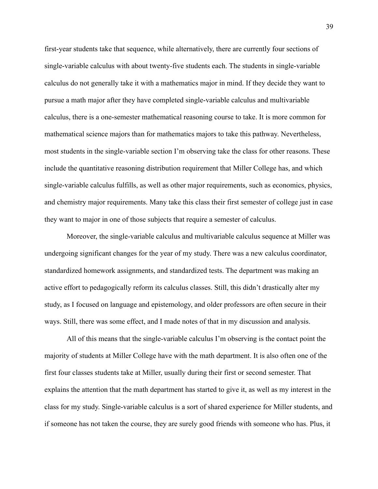first-year students take that sequence, while alternatively, there are currently four sections of single-variable calculus with about twenty-five students each. The students in single-variable calculus do not generally take it with a mathematics major in mind. If they decide they want to pursue a math major after they have completed single-variable calculus and multivariable calculus, there is a one-semester mathematical reasoning course to take. It is more common for mathematical science majors than for mathematics majors to take this pathway. Nevertheless, most students in the single-variable section I'm observing take the class for other reasons. These include the quantitative reasoning distribution requirement that Miller College has, and which single-variable calculus fulfills, as well as other major requirements, such as economics, physics, and chemistry major requirements. Many take this class their first semester of college just in case they want to major in one of those subjects that require a semester of calculus.

Moreover, the single-variable calculus and multivariable calculus sequence at Miller was undergoing significant changes for the year of my study. There was a new calculus coordinator, standardized homework assignments, and standardized tests. The department was making an active effort to pedagogically reform its calculus classes. Still, this didn't drastically alter my study, as I focused on language and epistemology, and older professors are often secure in their ways. Still, there was some effect, and I made notes of that in my discussion and analysis.

All of this means that the single-variable calculus I'm observing is the contact point the majority of students at Miller College have with the math department. It is also often one of the first four classes students take at Miller, usually during their first or second semester. That explains the attention that the math department has started to give it, as well as my interest in the class for my study. Single-variable calculus is a sort of shared experience for Miller students, and if someone has not taken the course, they are surely good friends with someone who has. Plus, it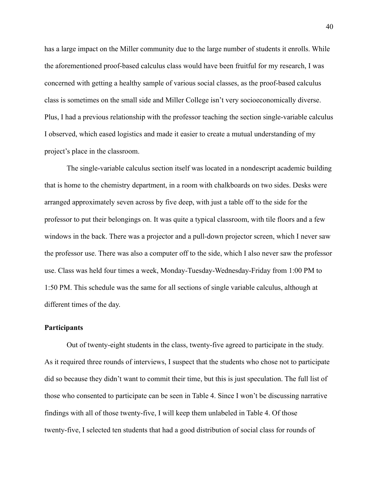has a large impact on the Miller community due to the large number of students it enrolls. While the aforementioned proof-based calculus class would have been fruitful for my research, I was concerned with getting a healthy sample of various social classes, as the proof-based calculus class is sometimes on the small side and Miller College isn't very socioeconomically diverse. Plus, I had a previous relationship with the professor teaching the section single-variable calculus I observed, which eased logistics and made it easier to create a mutual understanding of my project's place in the classroom.

The single-variable calculus section itself was located in a nondescript academic building that is home to the chemistry department, in a room with chalkboards on two sides. Desks were arranged approximately seven across by five deep, with just a table off to the side for the professor to put their belongings on. It was quite a typical classroom, with tile floors and a few windows in the back. There was a projector and a pull-down projector screen, which I never saw the professor use. There was also a computer off to the side, which I also never saw the professor use. Class was held four times a week, Monday-Tuesday-Wednesday-Friday from 1:00 PM to 1:50 PM. This schedule was the same for all sections of single variable calculus, although at different times of the day.

#### **Participants**

Out of twenty-eight students in the class, twenty-five agreed to participate in the study. As it required three rounds of interviews, I suspect that the students who chose not to participate did so because they didn't want to commit their time, but this is just speculation. The full list of those who consented to participate can be seen in Table 4. Since I won't be discussing narrative findings with all of those twenty-five, I will keep them unlabeled in Table 4. Of those twenty-five, I selected ten students that had a good distribution of social class for rounds of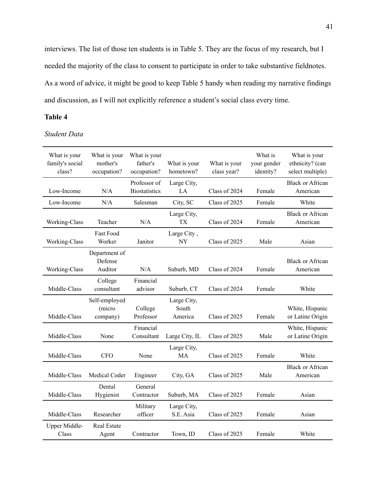interviews. The list of those ten students is in Table 5. They are the focus of my research, but I needed the majority of the class to consent to participate in order to take substantive fieldnotes. As a word of advice, it might be good to keep Table 5 handy when reading my narrative findings and discussion, as I will not explicitly reference a student's social class every time.

# **Table 4**

## *Student Data*

| What is your<br>family's social<br>class? | What is your<br>mother's<br>occupation? | What is your<br>father's<br>occupation? | What is your<br>hometown?       | What is your<br>class year? | What is<br>your gender<br>identity? | What is your<br>ethnicity? (can<br>select multiple) |
|-------------------------------------------|-----------------------------------------|-----------------------------------------|---------------------------------|-----------------------------|-------------------------------------|-----------------------------------------------------|
| Low-Income                                | N/A                                     | Professor of<br><b>Biostatistics</b>    | Large City,<br>LA               | Class of 2024               | Female                              | <b>Black or African</b><br>American                 |
| Low-Income                                | N/A                                     | Salesman                                | City, SC                        | Class of 2025               | Female                              | White                                               |
| Working-Class                             | Teacher                                 | N/A                                     | Large City,<br>TX               | Class of 2024               | Female                              | <b>Black or African</b><br>American                 |
| Working-Class                             | <b>Fast Food</b><br>Worker              | Janitor                                 | Large City,<br><b>NY</b>        | Class of 2025               | Male                                | Asian                                               |
| Working-Class                             | Department of<br>Defense<br>Auditor     | N/A                                     | Suburb, MD                      | Class of 2024               | Female                              | <b>Black or African</b><br>American                 |
| Middle-Class                              | College<br>consultant                   | Financial<br>advisor                    | Suburb, CT                      | Class of 2024               | Female                              | White                                               |
| Middle-Class                              | Self-employed<br>(micro<br>company)     | College<br>Professor                    | Large City,<br>South<br>America | Class of 2025               | Female                              | White, Hispanic<br>or Latine Origin                 |
| Middle-Class                              | None                                    | Financial<br>Consultant                 | Large City, IL                  | Class of 2025               | Male                                | White, Hispanic<br>or Latine Origin                 |
| Middle-Class                              | CFO                                     | None                                    | Large City,<br>MA               | Class of 2025               | Female                              | White                                               |
| Middle-Class                              | Medical Coder                           | Engineer                                | City, GA                        | Class of 2025               | Male                                | <b>Black or African</b><br>American                 |
| Middle-Class                              | Dental<br>Hygienist                     | General<br>Contractor                   | Suburb, MA                      | Class of 2025               | Female                              | Asian                                               |
| Middle-Class                              | Researcher                              | Military<br>officer                     | Large City,<br>S.E. Asia        | Class of 2025               | Female                              | Asian                                               |
| Upper Middle-<br>Class                    | <b>Real Estate</b><br>Agent             | Contractor                              | Town, ID                        | Class of 2025               | Female                              | White                                               |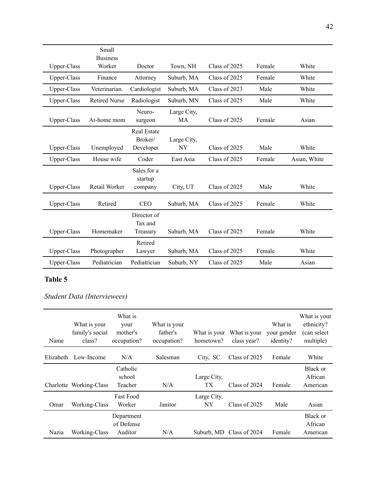|                    | Small<br><b>Business</b> |                        |                          |               |        |              |
|--------------------|--------------------------|------------------------|--------------------------|---------------|--------|--------------|
| Upper-Class        | Worker                   | Doctor                 | Town, NH                 | Class of 2025 | Female | White        |
| Upper-Class        | Finance                  | Attorney               | Suburb, MA               | Class of 2025 | Female | White        |
| Upper-Class        | Veterinarian.            | Cardiologist           | Suburb, MA               | Class of 2023 | Male   | White        |
| Upper-Class        | <b>Retired Nurse</b>     | Radiologist            | Suburb, MN               | Class of 2025 | Male   | White        |
| Upper-Class        | At-home mom              | Neuro-<br>surgeon      | Large City,<br>MA        | Class of 2025 | Female | Asian        |
|                    |                          | Real Estate            |                          |               |        |              |
| Upper-Class        | Unemployed               | Broker/<br>Developer   | Large City,<br><b>NY</b> | Class of 2025 | Male   | White        |
| Upper-Class        | House wife               | Coder                  | East Asia                | Class of 2025 | Female | Asian, White |
|                    |                          | Sales for a            |                          |               |        |              |
| Upper-Class        | Retail Worker            | startup<br>company     | City, UT                 | Class of 2025 | Male   | White        |
| Upper-Class        | Retired                  | <b>CEO</b>             | Suburb, MA               | Class of 2025 | Female | White        |
|                    |                          | Director of<br>Tax and |                          |               |        |              |
| Upper-Class        | Homemaker                | Treasury               | Suburb, MA               | Class of 2025 | Female | White        |
| <b>Upper-Class</b> | Photographer             | Retired<br>Lawyer      | Suburb, MA               | Class of 2025 | Female | White        |
| Upper-Class        | Pediatrician             | Pediatrician           | Suburb, NY               | Class of 2025 | Male   | Asian        |

# **Table 5**

# *Student Data (Interviewees)*

| Name      | What is your<br>family's social<br>class? | What is<br>your<br>mother's<br>occupation? | What is your<br>father's<br>occupation? | What is your<br>hometown? | What is your<br>class year? | What is<br>your gender<br>identity? | What is your<br>ethnicity?<br>(can select<br>multiple) |
|-----------|-------------------------------------------|--------------------------------------------|-----------------------------------------|---------------------------|-----------------------------|-------------------------------------|--------------------------------------------------------|
| Elizabeth | Low-Income                                | N/A                                        | Salesman                                | City, SC                  | Class of 2025               | Female                              | White                                                  |
| Charlotte | Working-Class                             | Catholic<br>school<br>Teacher              | N/A                                     | Large City,<br>TХ         | Class of 2024               | Female                              | Black or<br>African<br>American                        |
| Omar      | Working-Class                             | <b>Fast Food</b><br>Worker                 | Janitor                                 | Large City,<br><b>NY</b>  | Class of 2025               | Male                                | Asian                                                  |
| Nazia     | Working-Class                             | Department<br>of Defense<br>Auditor        | N/A                                     | Suburb. MD                | Class of 2024               | Female                              | Black or<br>African<br>American                        |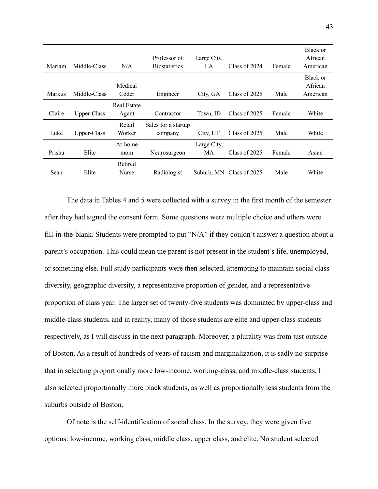| Mariam | Middle-Class | N/A                | Professor of<br><b>Biostatistics</b> | Large City,<br>LA | Class of $2024$ | Female | Black or<br>African<br>American |
|--------|--------------|--------------------|--------------------------------------|-------------------|-----------------|--------|---------------------------------|
| Markus | Middle-Class | Medical<br>Coder   | Engineer                             | City, GA          | Class of 2025   | Male   | Black or<br>African<br>American |
|        |              | <b>Real Estate</b> |                                      |                   |                 |        |                                 |
| Claire | Upper-Class  | Agent              | Contractor                           | Town, ID          | Class of 2025   | Female | White                           |
| Luke   | Upper-Class  | Retail<br>Worker   | Sales for a startup<br>company       | City, UT          | Class of 2025   | Male   | White                           |
|        |              | At-home            |                                      | Large City,       |                 |        |                                 |
| Prisha | Elite        | mom                | Neurosurgeon                         | MA                | Class of $2025$ | Female | Asian                           |
| Sean   | Elite        | Retired<br>Nurse   | Radiologist                          | Suburb, MN        | Class of 2025   | Male   | White                           |

The data in Tables 4 and 5 were collected with a survey in the first month of the semester after they had signed the consent form. Some questions were multiple choice and others were fill-in-the-blank. Students were prompted to put "N/A" if they couldn't answer a question about a parent's occupation. This could mean the parent is not present in the student's life, unemployed, or something else. Full study participants were then selected, attempting to maintain social class diversity, geographic diversity, a representative proportion of gender, and a representative proportion of class year. The larger set of twenty-five students was dominated by upper-class and middle-class students, and in reality, many of those students are elite and upper-class students respectively, as I will discuss in the next paragraph. Moreover, a plurality was from just outside of Boston. As a result of hundreds of years of racism and marginalization, it is sadly no surprise that in selecting proportionally more low-income, working-class, and middle-class students, I also selected proportionally more black students, as well as proportionally less students from the suburbs outside of Boston.

Of note is the self-identification of social class. In the survey, they were given five options: low-income, working class, middle class, upper class, and elite. No student selected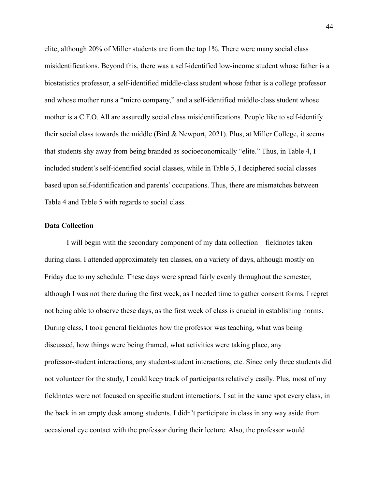elite, although 20% of Miller students are from the top 1%. There were many social class misidentifications. Beyond this, there was a self-identified low-income student whose father is a biostatistics professor, a self-identified middle-class student whose father is a college professor and whose mother runs a "micro company," and a self-identified middle-class student whose mother is a C.F.O. All are assuredly social class misidentifications. People like to self-identify their social class towards the middle (Bird & Newport, 2021). Plus, at Miller College, it seems that students shy away from being branded as socioeconomically "elite." Thus, in Table 4, I included student's self-identified social classes, while in Table 5, I deciphered social classes based upon self-identification and parents' occupations. Thus, there are mismatches between Table 4 and Table 5 with regards to social class.

### **Data Collection**

I will begin with the secondary component of my data collection—fieldnotes taken during class. I attended approximately ten classes, on a variety of days, although mostly on Friday due to my schedule. These days were spread fairly evenly throughout the semester, although I was not there during the first week, as I needed time to gather consent forms. I regret not being able to observe these days, as the first week of class is crucial in establishing norms. During class, I took general fieldnotes how the professor was teaching, what was being discussed, how things were being framed, what activities were taking place, any professor-student interactions, any student-student interactions, etc. Since only three students did not volunteer for the study, I could keep track of participants relatively easily. Plus, most of my fieldnotes were not focused on specific student interactions. I sat in the same spot every class, in the back in an empty desk among students. I didn't participate in class in any way aside from occasional eye contact with the professor during their lecture. Also, the professor would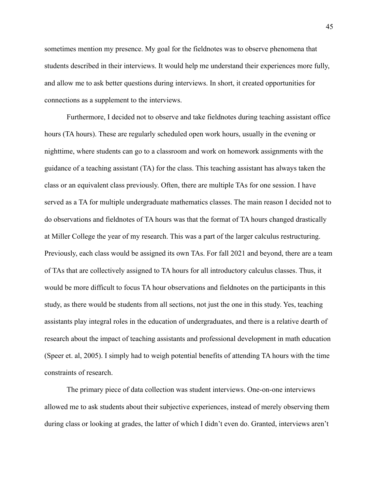sometimes mention my presence. My goal for the fieldnotes was to observe phenomena that students described in their interviews. It would help me understand their experiences more fully, and allow me to ask better questions during interviews. In short, it created opportunities for connections as a supplement to the interviews.

Furthermore, I decided not to observe and take fieldnotes during teaching assistant office hours (TA hours). These are regularly scheduled open work hours, usually in the evening or nighttime, where students can go to a classroom and work on homework assignments with the guidance of a teaching assistant (TA) for the class. This teaching assistant has always taken the class or an equivalent class previously. Often, there are multiple TAs for one session. I have served as a TA for multiple undergraduate mathematics classes. The main reason I decided not to do observations and fieldnotes of TA hours was that the format of TA hours changed drastically at Miller College the year of my research. This was a part of the larger calculus restructuring. Previously, each class would be assigned its own TAs. For fall 2021 and beyond, there are a team of TAs that are collectively assigned to TA hours for all introductory calculus classes. Thus, it would be more difficult to focus TA hour observations and fieldnotes on the participants in this study, as there would be students from all sections, not just the one in this study. Yes, teaching assistants play integral roles in the education of undergraduates, and there is a relative dearth of research about the impact of teaching assistants and professional development in math education (Speer et. al, 2005). I simply had to weigh potential benefits of attending TA hours with the time constraints of research.

The primary piece of data collection was student interviews. One-on-one interviews allowed me to ask students about their subjective experiences, instead of merely observing them during class or looking at grades, the latter of which I didn't even do. Granted, interviews aren't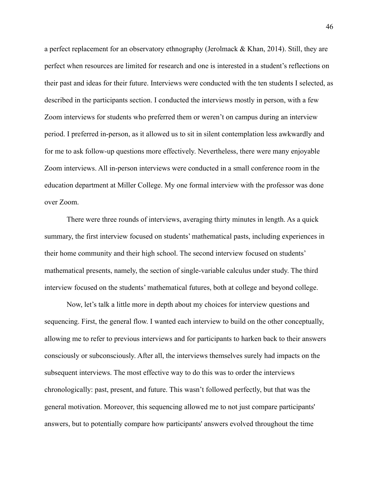a perfect replacement for an observatory ethnography (Jerolmack & Khan, 2014). Still, they are perfect when resources are limited for research and one is interested in a student's reflections on their past and ideas for their future. Interviews were conducted with the ten students I selected, as described in the participants section. I conducted the interviews mostly in person, with a few Zoom interviews for students who preferred them or weren't on campus during an interview period. I preferred in-person, as it allowed us to sit in silent contemplation less awkwardly and for me to ask follow-up questions more effectively. Nevertheless, there were many enjoyable Zoom interviews. All in-person interviews were conducted in a small conference room in the education department at Miller College. My one formal interview with the professor was done over Zoom.

There were three rounds of interviews, averaging thirty minutes in length. As a quick summary, the first interview focused on students' mathematical pasts, including experiences in their home community and their high school. The second interview focused on students' mathematical presents, namely, the section of single-variable calculus under study. The third interview focused on the students' mathematical futures, both at college and beyond college.

Now, let's talk a little more in depth about my choices for interview questions and sequencing. First, the general flow. I wanted each interview to build on the other conceptually, allowing me to refer to previous interviews and for participants to harken back to their answers consciously or subconsciously. After all, the interviews themselves surely had impacts on the subsequent interviews. The most effective way to do this was to order the interviews chronologically: past, present, and future. This wasn't followed perfectly, but that was the general motivation. Moreover, this sequencing allowed me to not just compare participants' answers, but to potentially compare how participants' answers evolved throughout the time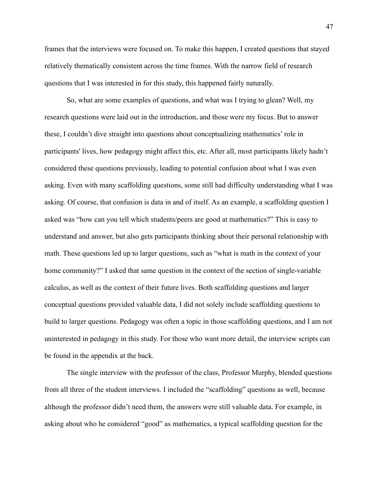frames that the interviews were focused on. To make this happen, I created questions that stayed relatively thematically consistent across the time frames. With the narrow field of research questions that I was interested in for this study, this happened fairly naturally.

So, what are some examples of questions, and what was I trying to glean? Well, my research questions were laid out in the introduction, and those were my focus. But to answer these, I couldn't dive straight into questions about conceptualizing mathematics' role in participants' lives, how pedagogy might affect this, etc. After all, most participants likely hadn't considered these questions previously, leading to potential confusion about what I was even asking. Even with many scaffolding questions, some still had difficulty understanding what I was asking. Of course, that confusion is data in and of itself. As an example, a scaffolding question I asked was "how can you tell which students/peers are good at mathematics?" This is easy to understand and answer, but also gets participants thinking about their personal relationship with math. These questions led up to larger questions, such as "what is math in the context of your home community?" I asked that same question in the context of the section of single-variable calculus, as well as the context of their future lives. Both scaffolding questions and larger conceptual questions provided valuable data, I did not solely include scaffolding questions to build to larger questions. Pedagogy was often a topic in those scaffolding questions, and I am not uninterested in pedagogy in this study. For those who want more detail, the interview scripts can be found in the appendix at the back.

The single interview with the professor of the class, Professor Murphy, blended questions from all three of the student interviews. I included the "scaffolding" questions as well, because although the professor didn't need them, the answers were still valuable data. For example, in asking about who he considered "good" as mathematics, a typical scaffolding question for the

47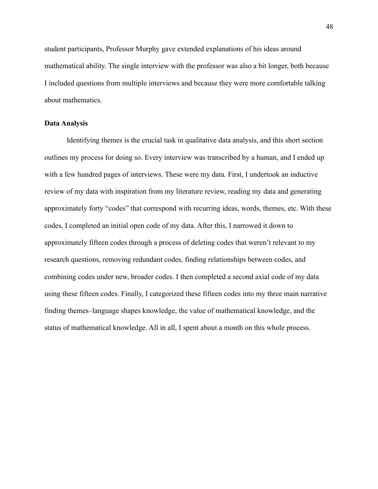student participants, Professor Murphy gave extended explanations of his ideas around mathematical ability. The single interview with the professor was also a bit longer, both because I included questions from multiple interviews and because they were more comfortable talking about mathematics.

#### **Data Analysis**

Identifying themes is the crucial task in qualitative data analysis, and this short section outlines my process for doing so. Every interview was transcribed by a human, and I ended up with a few hundred pages of interviews. These were my data. First, I undertook an inductive review of my data with inspiration from my literature review, reading my data and generating approximately forty "codes" that correspond with recurring ideas, words, themes, etc. With these codes, I completed an initial open code of my data. After this, I narrowed it down to approximately fifteen codes through a process of deleting codes that weren't relevant to my research questions, removing redundant codes, finding relationships between codes, and combining codes under new, broader codes. I then completed a second axial code of my data using these fifteen codes. Finally, I categorized these fifteen codes into my three main narrative finding themes–language shapes knowledge, the value of mathematical knowledge, and the status of mathematical knowledge. All in all, I spent about a month on this whole process.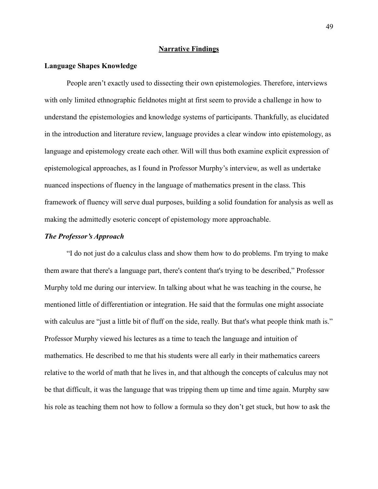### **Narrative Findings**

#### **Language Shapes Knowledge**

People aren't exactly used to dissecting their own epistemologies. Therefore, interviews with only limited ethnographic fieldnotes might at first seem to provide a challenge in how to understand the epistemologies and knowledge systems of participants. Thankfully, as elucidated in the introduction and literature review, language provides a clear window into epistemology, as language and epistemology create each other. Will will thus both examine explicit expression of epistemological approaches, as I found in Professor Murphy's interview, as well as undertake nuanced inspections of fluency in the language of mathematics present in the class. This framework of fluency will serve dual purposes, building a solid foundation for analysis as well as making the admittedly esoteric concept of epistemology more approachable.

#### *The Professor's Approach*

"I do not just do a calculus class and show them how to do problems. I'm trying to make them aware that there's a language part, there's content that's trying to be described," Professor Murphy told me during our interview. In talking about what he was teaching in the course, he mentioned little of differentiation or integration. He said that the formulas one might associate with calculus are "just a little bit of fluff on the side, really. But that's what people think math is." Professor Murphy viewed his lectures as a time to teach the language and intuition of mathematics. He described to me that his students were all early in their mathematics careers relative to the world of math that he lives in, and that although the concepts of calculus may not be that difficult, it was the language that was tripping them up time and time again. Murphy saw his role as teaching them not how to follow a formula so they don't get stuck, but how to ask the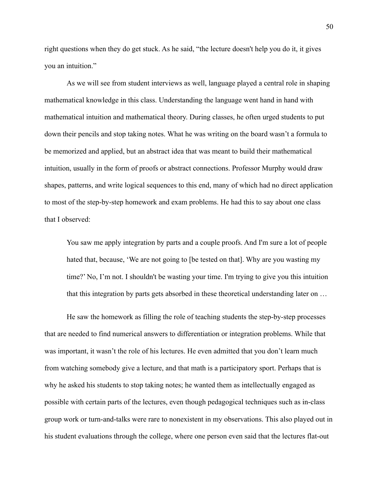right questions when they do get stuck. As he said, "the lecture doesn't help you do it, it gives you an intuition."

As we will see from student interviews as well, language played a central role in shaping mathematical knowledge in this class. Understanding the language went hand in hand with mathematical intuition and mathematical theory. During classes, he often urged students to put down their pencils and stop taking notes. What he was writing on the board wasn't a formula to be memorized and applied, but an abstract idea that was meant to build their mathematical intuition, usually in the form of proofs or abstract connections. Professor Murphy would draw shapes, patterns, and write logical sequences to this end, many of which had no direct application to most of the step-by-step homework and exam problems. He had this to say about one class that I observed:

You saw me apply integration by parts and a couple proofs. And I'm sure a lot of people hated that, because, 'We are not going to [be tested on that]. Why are you wasting my time?' No, I'm not. I shouldn't be wasting your time. I'm trying to give you this intuition that this integration by parts gets absorbed in these theoretical understanding later on …

He saw the homework as filling the role of teaching students the step-by-step processes that are needed to find numerical answers to differentiation or integration problems. While that was important, it wasn't the role of his lectures. He even admitted that you don't learn much from watching somebody give a lecture, and that math is a participatory sport. Perhaps that is why he asked his students to stop taking notes; he wanted them as intellectually engaged as possible with certain parts of the lectures, even though pedagogical techniques such as in-class group work or turn-and-talks were rare to nonexistent in my observations. This also played out in his student evaluations through the college, where one person even said that the lectures flat-out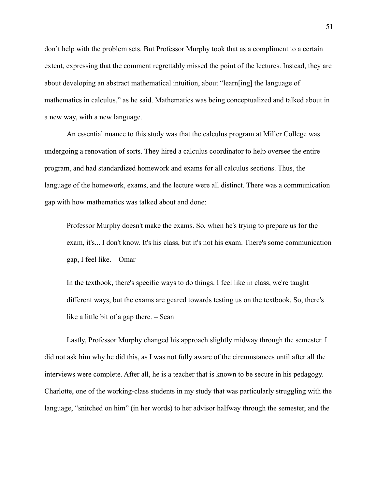don't help with the problem sets. But Professor Murphy took that as a compliment to a certain extent, expressing that the comment regrettably missed the point of the lectures. Instead, they are about developing an abstract mathematical intuition, about "learn[ing] the language of mathematics in calculus," as he said. Mathematics was being conceptualized and talked about in a new way, with a new language.

An essential nuance to this study was that the calculus program at Miller College was undergoing a renovation of sorts. They hired a calculus coordinator to help oversee the entire program, and had standardized homework and exams for all calculus sections. Thus, the language of the homework, exams, and the lecture were all distinct. There was a communication gap with how mathematics was talked about and done:

Professor Murphy doesn't make the exams. So, when he's trying to prepare us for the exam, it's... I don't know. It's his class, but it's not his exam. There's some communication gap, I feel like. – Omar

In the textbook, there's specific ways to do things. I feel like in class, we're taught different ways, but the exams are geared towards testing us on the textbook. So, there's like a little bit of a gap there. – Sean

Lastly, Professor Murphy changed his approach slightly midway through the semester. I did not ask him why he did this, as I was not fully aware of the circumstances until after all the interviews were complete. After all, he is a teacher that is known to be secure in his pedagogy. Charlotte, one of the working-class students in my study that was particularly struggling with the language, "snitched on him" (in her words) to her advisor halfway through the semester, and the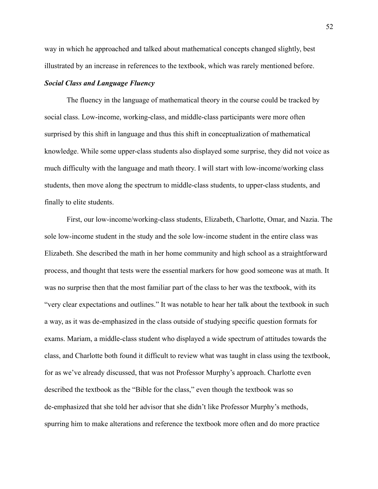way in which he approached and talked about mathematical concepts changed slightly, best illustrated by an increase in references to the textbook, which was rarely mentioned before.

### *Social Class and Language Fluency*

The fluency in the language of mathematical theory in the course could be tracked by social class. Low-income, working-class, and middle-class participants were more often surprised by this shift in language and thus this shift in conceptualization of mathematical knowledge. While some upper-class students also displayed some surprise, they did not voice as much difficulty with the language and math theory. I will start with low-income/working class students, then move along the spectrum to middle-class students, to upper-class students, and finally to elite students.

First, our low-income/working-class students, Elizabeth, Charlotte, Omar, and Nazia. The sole low-income student in the study and the sole low-income student in the entire class was Elizabeth. She described the math in her home community and high school as a straightforward process, and thought that tests were the essential markers for how good someone was at math. It was no surprise then that the most familiar part of the class to her was the textbook, with its "very clear expectations and outlines." It was notable to hear her talk about the textbook in such a way, as it was de-emphasized in the class outside of studying specific question formats for exams. Mariam, a middle-class student who displayed a wide spectrum of attitudes towards the class, and Charlotte both found it difficult to review what was taught in class using the textbook, for as we've already discussed, that was not Professor Murphy's approach. Charlotte even described the textbook as the "Bible for the class," even though the textbook was so de-emphasized that she told her advisor that she didn't like Professor Murphy's methods, spurring him to make alterations and reference the textbook more often and do more practice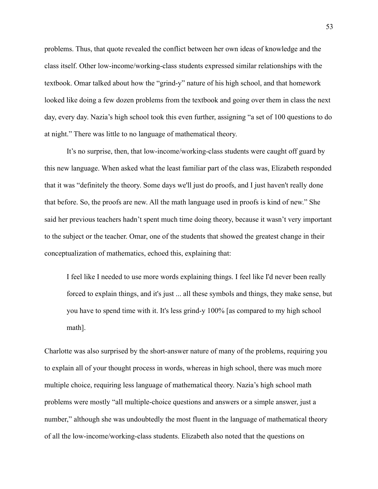problems. Thus, that quote revealed the conflict between her own ideas of knowledge and the class itself. Other low-income/working-class students expressed similar relationships with the textbook. Omar talked about how the "grind-y" nature of his high school, and that homework looked like doing a few dozen problems from the textbook and going over them in class the next day, every day. Nazia's high school took this even further, assigning "a set of 100 questions to do at night." There was little to no language of mathematical theory.

It's no surprise, then, that low-income/working-class students were caught off guard by this new language. When asked what the least familiar part of the class was, Elizabeth responded that it was "definitely the theory. Some days we'll just do proofs, and I just haven't really done that before. So, the proofs are new. All the math language used in proofs is kind of new." She said her previous teachers hadn't spent much time doing theory, because it wasn't very important to the subject or the teacher. Omar, one of the students that showed the greatest change in their conceptualization of mathematics, echoed this, explaining that:

I feel like I needed to use more words explaining things. I feel like I'd never been really forced to explain things, and it's just ... all these symbols and things, they make sense, but you have to spend time with it. It's less grind-y 100% [as compared to my high school math].

Charlotte was also surprised by the short-answer nature of many of the problems, requiring you to explain all of your thought process in words, whereas in high school, there was much more multiple choice, requiring less language of mathematical theory. Nazia's high school math problems were mostly "all multiple-choice questions and answers or a simple answer, just a number," although she was undoubtedly the most fluent in the language of mathematical theory of all the low-income/working-class students. Elizabeth also noted that the questions on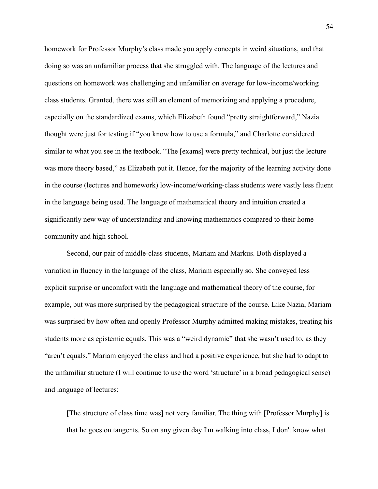homework for Professor Murphy's class made you apply concepts in weird situations, and that doing so was an unfamiliar process that she struggled with. The language of the lectures and questions on homework was challenging and unfamiliar on average for low-income/working class students. Granted, there was still an element of memorizing and applying a procedure, especially on the standardized exams, which Elizabeth found "pretty straightforward," Nazia thought were just for testing if "you know how to use a formula," and Charlotte considered similar to what you see in the textbook. "The [exams] were pretty technical, but just the lecture was more theory based," as Elizabeth put it. Hence, for the majority of the learning activity done in the course (lectures and homework) low-income/working-class students were vastly less fluent in the language being used. The language of mathematical theory and intuition created a significantly new way of understanding and knowing mathematics compared to their home community and high school.

Second, our pair of middle-class students, Mariam and Markus. Both displayed a variation in fluency in the language of the class, Mariam especially so. She conveyed less explicit surprise or uncomfort with the language and mathematical theory of the course, for example, but was more surprised by the pedagogical structure of the course. Like Nazia, Mariam was surprised by how often and openly Professor Murphy admitted making mistakes, treating his students more as epistemic equals. This was a "weird dynamic" that she wasn't used to, as they "aren't equals." Mariam enjoyed the class and had a positive experience, but she had to adapt to the unfamiliar structure (I will continue to use the word 'structure' in a broad pedagogical sense) and language of lectures:

[The structure of class time was] not very familiar. The thing with [Professor Murphy] is that he goes on tangents. So on any given day I'm walking into class, I don't know what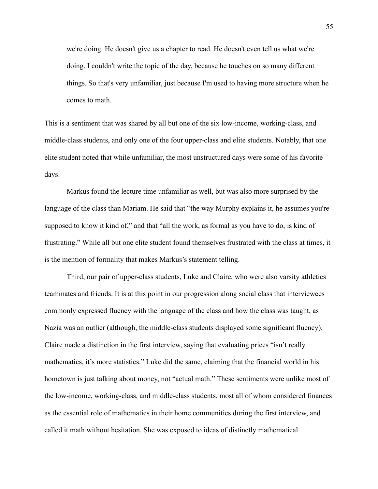we're doing. He doesn't give us a chapter to read. He doesn't even tell us what we're doing. I couldn't write the topic of the day, because he touches on so many different things. So that's very unfamiliar, just because I'm used to having more structure when he comes to math.

This is a sentiment that was shared by all but one of the six low-income, working-class, and middle-class students, and only one of the four upper-class and elite students. Notably, that one elite student noted that while unfamiliar, the most unstructured days were some of his favorite days.

Markus found the lecture time unfamiliar as well, but was also more surprised by the language of the class than Mariam. He said that "the way Murphy explains it, he assumes you're supposed to know it kind of," and that "all the work, as formal as you have to do, is kind of frustrating." While all but one elite student found themselves frustrated with the class at times, it is the mention of formality that makes Markus's statement telling.

Third, our pair of upper-class students, Luke and Claire, who were also varsity athletics teammates and friends. It is at this point in our progression along social class that interviewees commonly expressed fluency with the language of the class and how the class was taught, as Nazia was an outlier (although, the middle-class students displayed some significant fluency). Claire made a distinction in the first interview, saying that evaluating prices "isn't really mathematics, it's more statistics." Luke did the same, claiming that the financial world in his hometown is just talking about money, not "actual math." These sentiments were unlike most of the low-income, working-class, and middle-class students, most all of whom considered finances as the essential role of mathematics in their home communities during the first interview, and called it math without hesitation. She was exposed to ideas of distinctly mathematical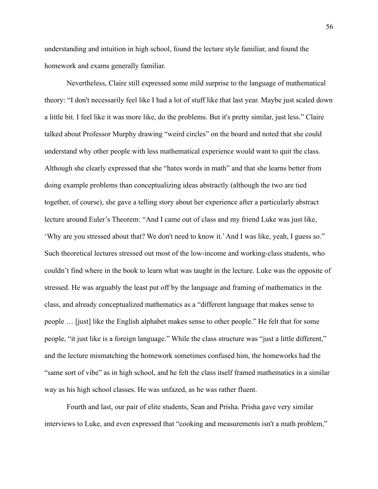understanding and intuition in high school, found the lecture style familiar, and found the homework and exams generally familiar.

Nevertheless, Claire still expressed some mild surprise to the language of mathematical theory: "I don't necessarily feel like I had a lot of stuff like that last year. Maybe just scaled down a little bit. I feel like it was more like, do the problems. But it's pretty similar, just less." Claire talked about Professor Murphy drawing "weird circles" on the board and noted that she could understand why other people with less mathematical experience would want to quit the class. Although she clearly expressed that she "hates words in math" and that she learns better from doing example problems than conceptualizing ideas abstractly (although the two are tied together, of course), she gave a telling story about her experience after a particularly abstract lecture around Euler's Theorem: "And I came out of class and my friend Luke was just like, 'Why are you stressed about that? We don't need to know it.'And I was like, yeah, I guess so." Such theoretical lectures stressed out most of the low-income and working-class students, who couldn't find where in the book to learn what was taught in the lecture. Luke was the opposite of stressed. He was arguably the least put off by the language and framing of mathematics in the class, and already conceptualized mathematics as a "different language that makes sense to people … [just] like the English alphabet makes sense to other people." He felt that for some people, "it just like is a foreign language." While the class structure was "just a little different," and the lecture mismatching the homework sometimes confused him, the homeworks had the "same sort of vibe" as in high school, and he felt the class itself framed mathematics in a similar way as his high school classes. He was unfazed, as he was rather fluent.

Fourth and last, our pair of elite students, Sean and Prisha. Prisha gave very similar interviews to Luke, and even expressed that "cooking and measurements isn't a math problem,"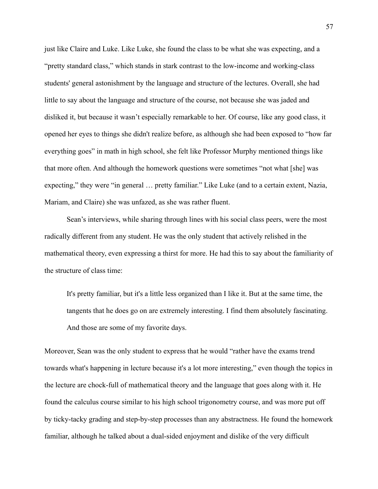just like Claire and Luke. Like Luke, she found the class to be what she was expecting, and a "pretty standard class," which stands in stark contrast to the low-income and working-class students' general astonishment by the language and structure of the lectures. Overall, she had little to say about the language and structure of the course, not because she was jaded and disliked it, but because it wasn't especially remarkable to her. Of course, like any good class, it opened her eyes to things she didn't realize before, as although she had been exposed to "how far everything goes" in math in high school, she felt like Professor Murphy mentioned things like that more often. And although the homework questions were sometimes "not what [she] was expecting," they were "in general … pretty familiar." Like Luke (and to a certain extent, Nazia, Mariam, and Claire) she was unfazed, as she was rather fluent.

Sean's interviews, while sharing through lines with his social class peers, were the most radically different from any student. He was the only student that actively relished in the mathematical theory, even expressing a thirst for more. He had this to say about the familiarity of the structure of class time:

It's pretty familiar, but it's a little less organized than I like it. But at the same time, the tangents that he does go on are extremely interesting. I find them absolutely fascinating. And those are some of my favorite days.

Moreover, Sean was the only student to express that he would "rather have the exams trend towards what's happening in lecture because it's a lot more interesting," even though the topics in the lecture are chock-full of mathematical theory and the language that goes along with it. He found the calculus course similar to his high school trigonometry course, and was more put off by ticky-tacky grading and step-by-step processes than any abstractness. He found the homework familiar, although he talked about a dual-sided enjoyment and dislike of the very difficult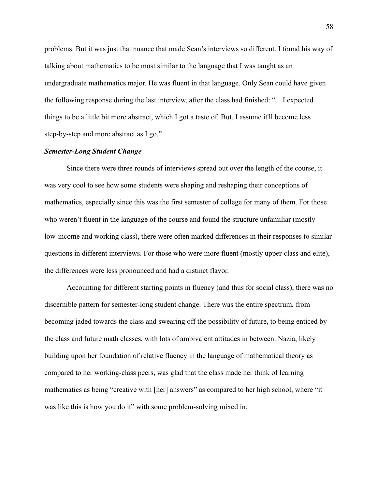problems. But it was just that nuance that made Sean's interviews so different. I found his way of talking about mathematics to be most similar to the language that I was taught as an undergraduate mathematics major. He was fluent in that language. Only Sean could have given the following response during the last interview, after the class had finished: "... I expected things to be a little bit more abstract, which I got a taste of. But, I assume it'll become less step-by-step and more abstract as I go."

#### *Semester-Long Student Change*

Since there were three rounds of interviews spread out over the length of the course, it was very cool to see how some students were shaping and reshaping their conceptions of mathematics, especially since this was the first semester of college for many of them. For those who weren't fluent in the language of the course and found the structure unfamiliar (mostly low-income and working class), there were often marked differences in their responses to similar questions in different interviews. For those who were more fluent (mostly upper-class and elite), the differences were less pronounced and had a distinct flavor.

Accounting for different starting points in fluency (and thus for social class), there was no discernible pattern for semester-long student change. There was the entire spectrum, from becoming jaded towards the class and swearing off the possibility of future, to being enticed by the class and future math classes, with lots of ambivalent attitudes in between. Nazia, likely building upon her foundation of relative fluency in the language of mathematical theory as compared to her working-class peers, was glad that the class made her think of learning mathematics as being "creative with [her] answers" as compared to her high school, where "it was like this is how you do it" with some problem-solving mixed in.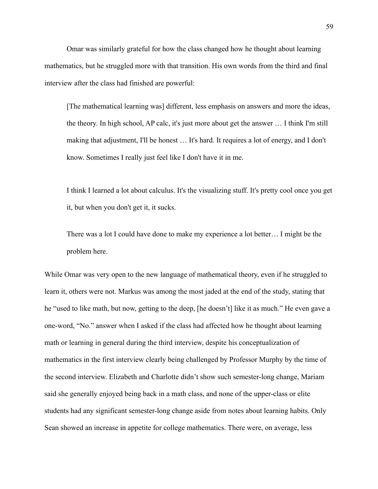Omar was similarly grateful for how the class changed how he thought about learning mathematics, but he struggled more with that transition. His own words from the third and final interview after the class had finished are powerful:

[The mathematical learning was] different, less emphasis on answers and more the ideas, the theory. In high school, AP calc, it's just more about get the answer … I think I'm still making that adjustment, I'll be honest … It's hard. It requires a lot of energy, and I don't know. Sometimes I really just feel like I don't have it in me.

I think I learned a lot about calculus. It's the visualizing stuff. It's pretty cool once you get it, but when you don't get it, it sucks.

There was a lot I could have done to make my experience a lot better… I might be the problem here.

While Omar was very open to the new language of mathematical theory, even if he struggled to learn it, others were not. Markus was among the most jaded at the end of the study, stating that he "used to like math, but now, getting to the deep, [he doesn't] like it as much." He even gave a one-word, "No." answer when I asked if the class had affected how he thought about learning math or learning in general during the third interview, despite his conceptualization of mathematics in the first interview clearly being challenged by Professor Murphy by the time of the second interview. Elizabeth and Charlotte didn't show such semester-long change, Mariam said she generally enjoyed being back in a math class, and none of the upper-class or elite students had any significant semester-long change aside from notes about learning habits. Only Sean showed an increase in appetite for college mathematics. There were, on average, less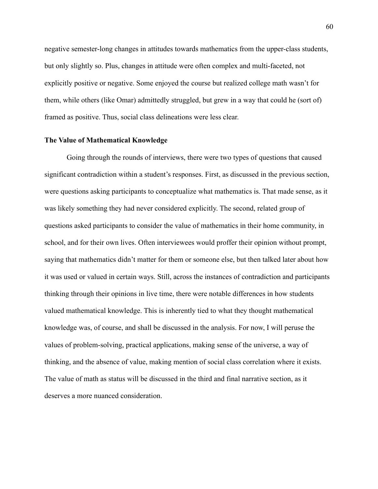negative semester-long changes in attitudes towards mathematics from the upper-class students, but only slightly so. Plus, changes in attitude were often complex and multi-faceted, not explicitly positive or negative. Some enjoyed the course but realized college math wasn't for them, while others (like Omar) admittedly struggled, but grew in a way that could he (sort of) framed as positive. Thus, social class delineations were less clear.

#### **The Value of Mathematical Knowledge**

Going through the rounds of interviews, there were two types of questions that caused significant contradiction within a student's responses. First, as discussed in the previous section, were questions asking participants to conceptualize what mathematics is. That made sense, as it was likely something they had never considered explicitly. The second, related group of questions asked participants to consider the value of mathematics in their home community, in school, and for their own lives. Often interviewees would proffer their opinion without prompt, saying that mathematics didn't matter for them or someone else, but then talked later about how it was used or valued in certain ways. Still, across the instances of contradiction and participants thinking through their opinions in live time, there were notable differences in how students valued mathematical knowledge. This is inherently tied to what they thought mathematical knowledge was, of course, and shall be discussed in the analysis. For now, I will peruse the values of problem-solving, practical applications, making sense of the universe, a way of thinking, and the absence of value, making mention of social class correlation where it exists. The value of math as status will be discussed in the third and final narrative section, as it deserves a more nuanced consideration.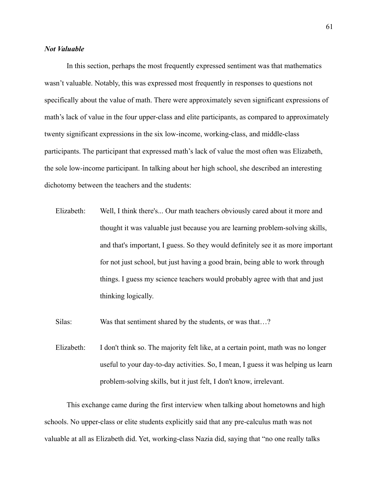#### *Not Valuable*

In this section, perhaps the most frequently expressed sentiment was that mathematics wasn't valuable. Notably, this was expressed most frequently in responses to questions not specifically about the value of math. There were approximately seven significant expressions of math's lack of value in the four upper-class and elite participants, as compared to approximately twenty significant expressions in the six low-income, working-class, and middle-class participants. The participant that expressed math's lack of value the most often was Elizabeth, the sole low-income participant. In talking about her high school, she described an interesting dichotomy between the teachers and the students:

Elizabeth: Well, I think there's... Our math teachers obviously cared about it more and thought it was valuable just because you are learning problem-solving skills, and that's important, I guess. So they would definitely see it as more important for not just school, but just having a good brain, being able to work through things. I guess my science teachers would probably agree with that and just thinking logically.

Silas: Was that sentiment shared by the students, or was that...?

Elizabeth: I don't think so. The majority felt like, at a certain point, math was no longer useful to your day-to-day activities. So, I mean, I guess it was helping us learn problem-solving skills, but it just felt, I don't know, irrelevant.

This exchange came during the first interview when talking about hometowns and high schools. No upper-class or elite students explicitly said that any pre-calculus math was not valuable at all as Elizabeth did. Yet, working-class Nazia did, saying that "no one really talks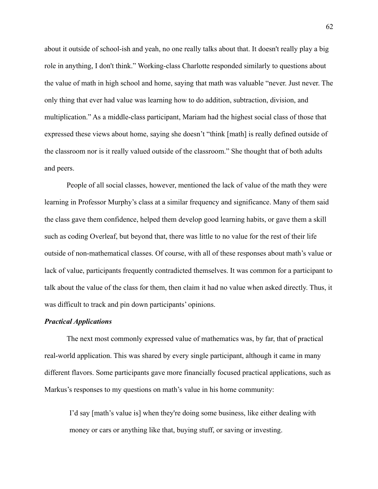about it outside of school-ish and yeah, no one really talks about that. It doesn't really play a big role in anything, I don't think." Working-class Charlotte responded similarly to questions about the value of math in high school and home, saying that math was valuable "never. Just never. The only thing that ever had value was learning how to do addition, subtraction, division, and multiplication." As a middle-class participant, Mariam had the highest social class of those that expressed these views about home, saying she doesn't "think [math] is really defined outside of the classroom nor is it really valued outside of the classroom." She thought that of both adults and peers.

People of all social classes, however, mentioned the lack of value of the math they were learning in Professor Murphy's class at a similar frequency and significance. Many of them said the class gave them confidence, helped them develop good learning habits, or gave them a skill such as coding Overleaf, but beyond that, there was little to no value for the rest of their life outside of non-mathematical classes. Of course, with all of these responses about math's value or lack of value, participants frequently contradicted themselves. It was common for a participant to talk about the value of the class for them, then claim it had no value when asked directly. Thus, it was difficult to track and pin down participants' opinions.

#### *Practical Applications*

The next most commonly expressed value of mathematics was, by far, that of practical real-world application. This was shared by every single participant, although it came in many different flavors. Some participants gave more financially focused practical applications, such as Markus's responses to my questions on math's value in his home community:

I'd say [math's value is] when they're doing some business, like either dealing with money or cars or anything like that, buying stuff, or saving or investing.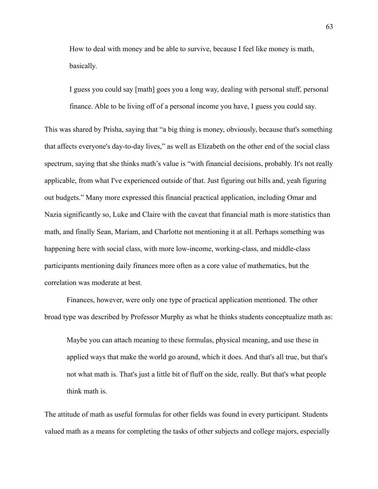How to deal with money and be able to survive, because I feel like money is math, basically.

I guess you could say [math] goes you a long way, dealing with personal stuff, personal finance. Able to be living off of a personal income you have, I guess you could say.

This was shared by Prisha, saying that "a big thing is money, obviously, because that's something that affects everyone's day-to-day lives," as well as Elizabeth on the other end of the social class spectrum, saying that she thinks math's value is "with financial decisions, probably. It's not really applicable, from what I've experienced outside of that. Just figuring out bills and, yeah figuring out budgets." Many more expressed this financial practical application, including Omar and Nazia significantly so, Luke and Claire with the caveat that financial math is more statistics than math, and finally Sean, Mariam, and Charlotte not mentioning it at all. Perhaps something was happening here with social class, with more low-income, working-class, and middle-class participants mentioning daily finances more often as a core value of mathematics, but the correlation was moderate at best.

Finances, however, were only one type of practical application mentioned. The other broad type was described by Professor Murphy as what he thinks students conceptualize math as:

Maybe you can attach meaning to these formulas, physical meaning, and use these in applied ways that make the world go around, which it does. And that's all true, but that's not what math is. That's just a little bit of fluff on the side, really. But that's what people think math is.

The attitude of math as useful formulas for other fields was found in every participant. Students valued math as a means for completing the tasks of other subjects and college majors, especially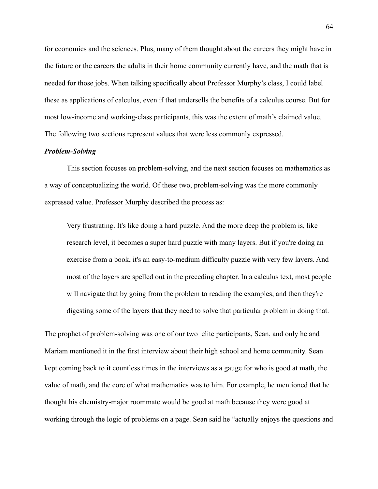for economics and the sciences. Plus, many of them thought about the careers they might have in the future or the careers the adults in their home community currently have, and the math that is needed for those jobs. When talking specifically about Professor Murphy's class, I could label these as applications of calculus, even if that undersells the benefits of a calculus course. But for most low-income and working-class participants, this was the extent of math's claimed value. The following two sections represent values that were less commonly expressed.

#### *Problem-Solving*

This section focuses on problem-solving, and the next section focuses on mathematics as a way of conceptualizing the world. Of these two, problem-solving was the more commonly expressed value. Professor Murphy described the process as:

Very frustrating. It's like doing a hard puzzle. And the more deep the problem is, like research level, it becomes a super hard puzzle with many layers. But if you're doing an exercise from a book, it's an easy-to-medium difficulty puzzle with very few layers. And most of the layers are spelled out in the preceding chapter. In a calculus text, most people will navigate that by going from the problem to reading the examples, and then they're digesting some of the layers that they need to solve that particular problem in doing that.

The prophet of problem-solving was one of our two elite participants, Sean, and only he and Mariam mentioned it in the first interview about their high school and home community. Sean kept coming back to it countless times in the interviews as a gauge for who is good at math, the value of math, and the core of what mathematics was to him. For example, he mentioned that he thought his chemistry-major roommate would be good at math because they were good at working through the logic of problems on a page. Sean said he "actually enjoys the questions and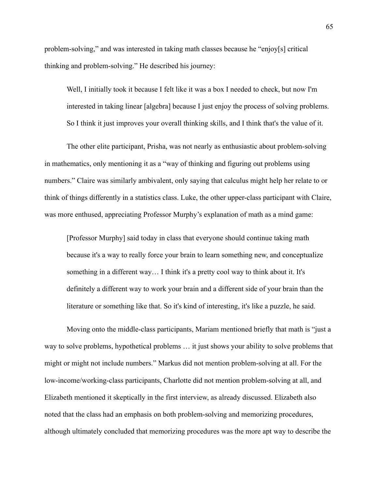problem-solving," and was interested in taking math classes because he "enjoy[s] critical thinking and problem-solving." He described his journey:

Well, I initially took it because I felt like it was a box I needed to check, but now I'm interested in taking linear [algebra] because I just enjoy the process of solving problems. So I think it just improves your overall thinking skills, and I think that's the value of it.

The other elite participant, Prisha, was not nearly as enthusiastic about problem-solving in mathematics, only mentioning it as a "way of thinking and figuring out problems using numbers." Claire was similarly ambivalent, only saying that calculus might help her relate to or think of things differently in a statistics class. Luke, the other upper-class participant with Claire, was more enthused, appreciating Professor Murphy's explanation of math as a mind game:

[Professor Murphy] said today in class that everyone should continue taking math because it's a way to really force your brain to learn something new, and conceptualize something in a different way… I think it's a pretty cool way to think about it. It's definitely a different way to work your brain and a different side of your brain than the literature or something like that. So it's kind of interesting, it's like a puzzle, he said.

Moving onto the middle-class participants, Mariam mentioned briefly that math is "just a way to solve problems, hypothetical problems … it just shows your ability to solve problems that might or might not include numbers." Markus did not mention problem-solving at all. For the low-income/working-class participants, Charlotte did not mention problem-solving at all, and Elizabeth mentioned it skeptically in the first interview, as already discussed. Elizabeth also noted that the class had an emphasis on both problem-solving and memorizing procedures, although ultimately concluded that memorizing procedures was the more apt way to describe the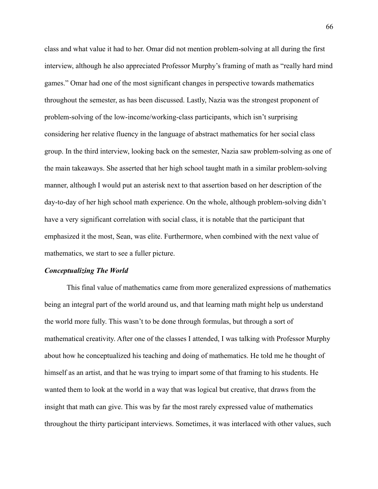class and what value it had to her. Omar did not mention problem-solving at all during the first interview, although he also appreciated Professor Murphy's framing of math as "really hard mind games." Omar had one of the most significant changes in perspective towards mathematics throughout the semester, as has been discussed. Lastly, Nazia was the strongest proponent of problem-solving of the low-income/working-class participants, which isn't surprising considering her relative fluency in the language of abstract mathematics for her social class group. In the third interview, looking back on the semester, Nazia saw problem-solving as one of the main takeaways. She asserted that her high school taught math in a similar problem-solving manner, although I would put an asterisk next to that assertion based on her description of the day-to-day of her high school math experience. On the whole, although problem-solving didn't have a very significant correlation with social class, it is notable that the participant that emphasized it the most, Sean, was elite. Furthermore, when combined with the next value of mathematics, we start to see a fuller picture.

#### *Conceptualizing The World*

This final value of mathematics came from more generalized expressions of mathematics being an integral part of the world around us, and that learning math might help us understand the world more fully. This wasn't to be done through formulas, but through a sort of mathematical creativity. After one of the classes I attended, I was talking with Professor Murphy about how he conceptualized his teaching and doing of mathematics. He told me he thought of himself as an artist, and that he was trying to impart some of that framing to his students. He wanted them to look at the world in a way that was logical but creative, that draws from the insight that math can give. This was by far the most rarely expressed value of mathematics throughout the thirty participant interviews. Sometimes, it was interlaced with other values, such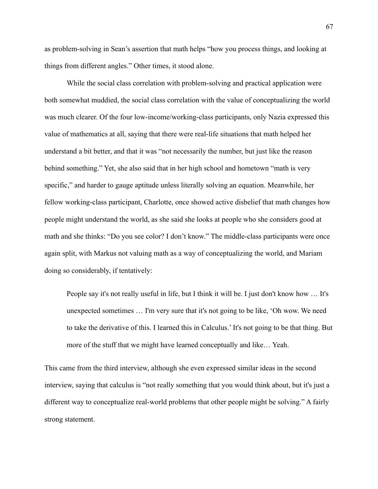as problem-solving in Sean's assertion that math helps "how you process things, and looking at things from different angles." Other times, it stood alone.

While the social class correlation with problem-solving and practical application were both somewhat muddied, the social class correlation with the value of conceptualizing the world was much clearer. Of the four low-income/working-class participants, only Nazia expressed this value of mathematics at all, saying that there were real-life situations that math helped her understand a bit better, and that it was "not necessarily the number, but just like the reason behind something." Yet, she also said that in her high school and hometown "math is very specific," and harder to gauge aptitude unless literally solving an equation. Meanwhile, her fellow working-class participant, Charlotte, once showed active disbelief that math changes how people might understand the world, as she said she looks at people who she considers good at math and she thinks: "Do you see color? I don't know." The middle-class participants were once again split, with Markus not valuing math as a way of conceptualizing the world, and Mariam doing so considerably, if tentatively:

People say it's not really useful in life, but I think it will be. I just don't know how … It's unexpected sometimes … I'm very sure that it's not going to be like, 'Oh wow. We need to take the derivative of this. I learned this in Calculus.' It's not going to be that thing. But more of the stuff that we might have learned conceptually and like… Yeah.

This came from the third interview, although she even expressed similar ideas in the second interview, saying that calculus is "not really something that you would think about, but it's just a different way to conceptualize real-world problems that other people might be solving." A fairly strong statement.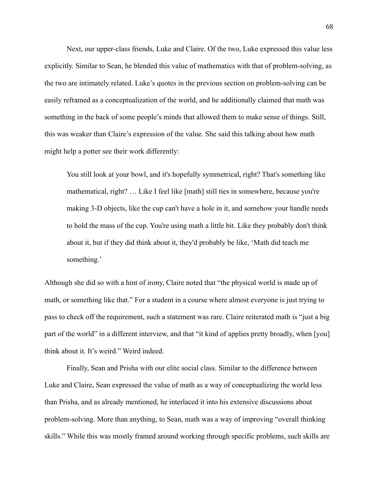Next, our upper-class friends, Luke and Claire. Of the two, Luke expressed this value less explicitly. Similar to Sean, he blended this value of mathematics with that of problem-solving, as the two are intimately related. Luke's quotes in the previous section on problem-solving can be easily reframed as a conceptualization of the world, and he additionally claimed that math was something in the back of some people's minds that allowed them to make sense of things. Still, this was weaker than Claire's expression of the value. She said this talking about how math might help a potter see their work differently:

You still look at your bowl, and it's hopefully symmetrical, right? That's something like mathematical, right? … Like I feel like [math] still ties in somewhere, because you're making 3-D objects, like the cup can't have a hole in it, and somehow your handle needs to hold the mass of the cup. You're using math a little bit. Like they probably don't think about it, but if they did think about it, they'd probably be like, 'Math did teach me something.'

Although she did so with a hint of irony, Claire noted that "the physical world is made up of math, or something like that." For a student in a course where almost everyone is just trying to pass to check off the requirement, such a statement was rare. Claire reiterated math is "just a big part of the world" in a different interview, and that "it kind of applies pretty broadly, when [you] think about it. It's weird." Weird indeed.

Finally, Sean and Prisha with our elite social class. Similar to the difference between Luke and Claire, Sean expressed the value of math as a way of conceptualizing the world less than Prisha, and as already mentioned, he interlaced it into his extensive discussions about problem-solving. More than anything, to Sean, math was a way of improving "overall thinking skills." While this was mostly framed around working through specific problems, such skills are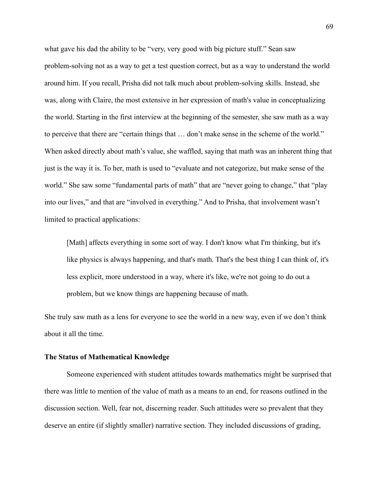what gave his dad the ability to be "very, very good with big picture stuff." Sean saw problem-solving not as a way to get a test question correct, but as a way to understand the world around him. If you recall, Prisha did not talk much about problem-solving skills. Instead, she was, along with Claire, the most extensive in her expression of math's value in conceptualizing the world. Starting in the first interview at the beginning of the semester, she saw math as a way to perceive that there are "certain things that … don't make sense in the scheme of the world." When asked directly about math's value, she waffled, saying that math was an inherent thing that just is the way it is. To her, math is used to "evaluate and not categorize, but make sense of the world." She saw some "fundamental parts of math" that are "never going to change," that "play into our lives," and that are "involved in everything." And to Prisha, that involvement wasn't limited to practical applications:

[Math] affects everything in some sort of way. I don't know what I'm thinking, but it's like physics is always happening, and that's math. That's the best thing I can think of, it's less explicit, more understood in a way, where it's like, we're not going to do out a problem, but we know things are happening because of math.

She truly saw math as a lens for everyone to see the world in a new way, even if we don't think about it all the time.

#### **The Status of Mathematical Knowledge**

Someone experienced with student attitudes towards mathematics might be surprised that there was little to mention of the value of math as a means to an end, for reasons outlined in the discussion section. Well, fear not, discerning reader. Such attitudes were so prevalent that they deserve an entire (if slightly smaller) narrative section. They included discussions of grading,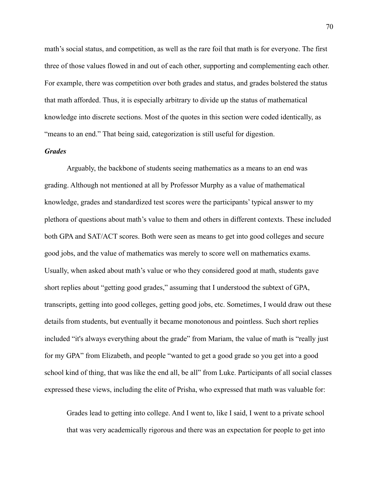math's social status, and competition, as well as the rare foil that math is for everyone. The first three of those values flowed in and out of each other, supporting and complementing each other. For example, there was competition over both grades and status, and grades bolstered the status that math afforded. Thus, it is especially arbitrary to divide up the status of mathematical knowledge into discrete sections. Most of the quotes in this section were coded identically, as "means to an end." That being said, categorization is still useful for digestion.

#### *Grades*

Arguably, the backbone of students seeing mathematics as a means to an end was grading. Although not mentioned at all by Professor Murphy as a value of mathematical knowledge, grades and standardized test scores were the participants' typical answer to my plethora of questions about math's value to them and others in different contexts. These included both GPA and SAT/ACT scores. Both were seen as means to get into good colleges and secure good jobs, and the value of mathematics was merely to score well on mathematics exams. Usually, when asked about math's value or who they considered good at math, students gave short replies about "getting good grades," assuming that I understood the subtext of GPA, transcripts, getting into good colleges, getting good jobs, etc. Sometimes, I would draw out these details from students, but eventually it became monotonous and pointless. Such short replies included "it's always everything about the grade" from Mariam, the value of math is "really just for my GPA" from Elizabeth, and people "wanted to get a good grade so you get into a good school kind of thing, that was like the end all, be all" from Luke. Participants of all social classes expressed these views, including the elite of Prisha, who expressed that math was valuable for:

Grades lead to getting into college. And I went to, like I said, I went to a private school that was very academically rigorous and there was an expectation for people to get into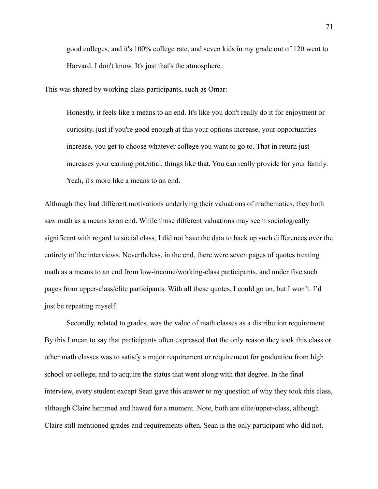good colleges, and it's 100% college rate, and seven kids in my grade out of 120 went to Harvard. I don't know. It's just that's the atmosphere.

This was shared by working-class participants, such as Omar:

Honestly, it feels like a means to an end. It's like you don't really do it for enjoyment or curiosity, just if you're good enough at this your options increase, your opportunities increase, you get to choose whatever college you want to go to. That in return just increases your earning potential, things like that. You can really provide for your family. Yeah, it's more like a means to an end.

Although they had different motivations underlying their valuations of mathematics, they both saw math as a means to an end. While those different valuations may seem sociologically significant with regard to social class, I did not have the data to back up such differences over the entirety of the interviews. Nevertheless, in the end, there were seven pages of quotes treating math as a means to an end from low-income/working-class participants, and under five such pages from upper-class/elite participants. With all these quotes, I could go on, but I won't. I'd just be repeating myself.

Secondly, related to grades, was the value of math classes as a distribution requirement. By this I mean to say that participants often expressed that the only reason they took this class or other math classes was to satisfy a major requirement or requirement for graduation from high school or college, and to acquire the status that went along with that degree. In the final interview, every student except Sean gave this answer to my question of why they took this class, although Claire hemmed and hawed for a moment. Note, both are elite/upper-class, although Claire still mentioned grades and requirements often. Sean is the only participant who did not.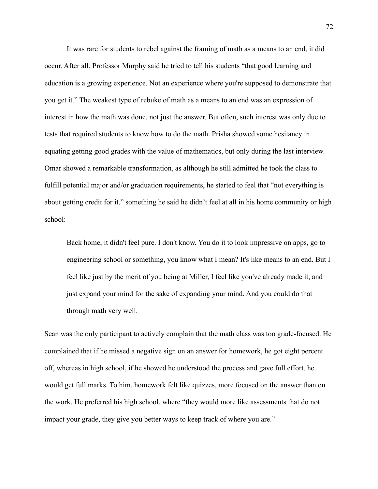It was rare for students to rebel against the framing of math as a means to an end, it did occur. After all, Professor Murphy said he tried to tell his students "that good learning and education is a growing experience. Not an experience where you're supposed to demonstrate that you get it." The weakest type of rebuke of math as a means to an end was an expression of interest in how the math was done, not just the answer. But often, such interest was only due to tests that required students to know how to do the math. Prisha showed some hesitancy in equating getting good grades with the value of mathematics, but only during the last interview. Omar showed a remarkable transformation, as although he still admitted he took the class to fulfill potential major and/or graduation requirements, he started to feel that "not everything is about getting credit for it," something he said he didn't feel at all in his home community or high school:

Back home, it didn't feel pure. I don't know. You do it to look impressive on apps, go to engineering school or something, you know what I mean? It's like means to an end. But I feel like just by the merit of you being at Miller, I feel like you've already made it, and just expand your mind for the sake of expanding your mind. And you could do that through math very well.

Sean was the only participant to actively complain that the math class was too grade-focused. He complained that if he missed a negative sign on an answer for homework, he got eight percent off, whereas in high school, if he showed he understood the process and gave full effort, he would get full marks. To him, homework felt like quizzes, more focused on the answer than on the work. He preferred his high school, where "they would more like assessments that do not impact your grade, they give you better ways to keep track of where you are."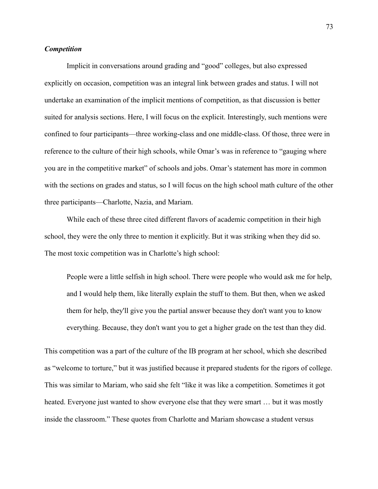### *Competition*

Implicit in conversations around grading and "good" colleges, but also expressed explicitly on occasion, competition was an integral link between grades and status. I will not undertake an examination of the implicit mentions of competition, as that discussion is better suited for analysis sections. Here, I will focus on the explicit. Interestingly, such mentions were confined to four participants—three working-class and one middle-class. Of those, three were in reference to the culture of their high schools, while Omar's was in reference to "gauging where you are in the competitive market" of schools and jobs. Omar's statement has more in common with the sections on grades and status, so I will focus on the high school math culture of the other three participants—Charlotte, Nazia, and Mariam.

While each of these three cited different flavors of academic competition in their high school, they were the only three to mention it explicitly. But it was striking when they did so. The most toxic competition was in Charlotte's high school:

People were a little selfish in high school. There were people who would ask me for help, and I would help them, like literally explain the stuff to them. But then, when we asked them for help, they'll give you the partial answer because they don't want you to know everything. Because, they don't want you to get a higher grade on the test than they did.

This competition was a part of the culture of the IB program at her school, which she described as "welcome to torture," but it was justified because it prepared students for the rigors of college. This was similar to Mariam, who said she felt "like it was like a competition. Sometimes it got heated. Everyone just wanted to show everyone else that they were smart … but it was mostly inside the classroom." These quotes from Charlotte and Mariam showcase a student versus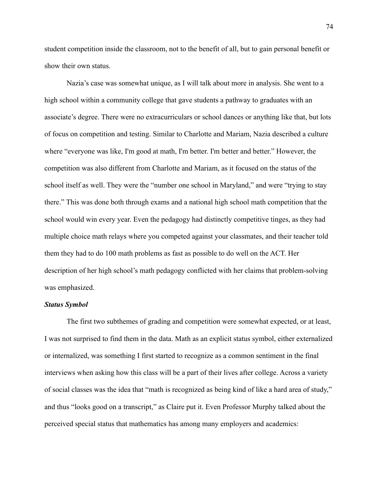student competition inside the classroom, not to the benefit of all, but to gain personal benefit or show their own status.

Nazia's case was somewhat unique, as I will talk about more in analysis. She went to a high school within a community college that gave students a pathway to graduates with an associate's degree. There were no extracurriculars or school dances or anything like that, but lots of focus on competition and testing. Similar to Charlotte and Mariam, Nazia described a culture where "everyone was like, I'm good at math, I'm better. I'm better and better." However, the competition was also different from Charlotte and Mariam, as it focused on the status of the school itself as well. They were the "number one school in Maryland," and were "trying to stay there." This was done both through exams and a national high school math competition that the school would win every year. Even the pedagogy had distinctly competitive tinges, as they had multiple choice math relays where you competed against your classmates, and their teacher told them they had to do 100 math problems as fast as possible to do well on the ACT. Her description of her high school's math pedagogy conflicted with her claims that problem-solving was emphasized.

#### *Status Symbol*

The first two subthemes of grading and competition were somewhat expected, or at least, I was not surprised to find them in the data. Math as an explicit status symbol, either externalized or internalized, was something I first started to recognize as a common sentiment in the final interviews when asking how this class will be a part of their lives after college. Across a variety of social classes was the idea that "math is recognized as being kind of like a hard area of study," and thus "looks good on a transcript," as Claire put it. Even Professor Murphy talked about the perceived special status that mathematics has among many employers and academics: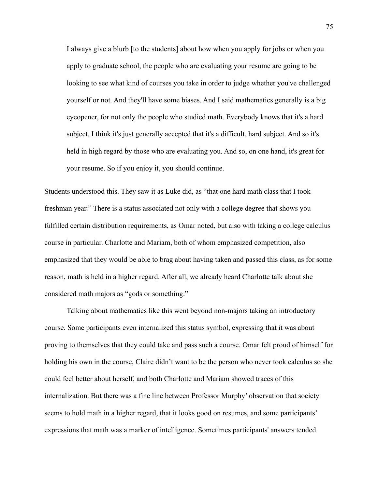I always give a blurb [to the students] about how when you apply for jobs or when you apply to graduate school, the people who are evaluating your resume are going to be looking to see what kind of courses you take in order to judge whether you've challenged yourself or not. And they'll have some biases. And I said mathematics generally is a big eyeopener, for not only the people who studied math. Everybody knows that it's a hard subject. I think it's just generally accepted that it's a difficult, hard subject. And so it's held in high regard by those who are evaluating you. And so, on one hand, it's great for your resume. So if you enjoy it, you should continue.

Students understood this. They saw it as Luke did, as "that one hard math class that I took freshman year." There is a status associated not only with a college degree that shows you fulfilled certain distribution requirements, as Omar noted, but also with taking a college calculus course in particular. Charlotte and Mariam, both of whom emphasized competition, also emphasized that they would be able to brag about having taken and passed this class, as for some reason, math is held in a higher regard. After all, we already heard Charlotte talk about she considered math majors as "gods or something."

Talking about mathematics like this went beyond non-majors taking an introductory course. Some participants even internalized this status symbol, expressing that it was about proving to themselves that they could take and pass such a course. Omar felt proud of himself for holding his own in the course, Claire didn't want to be the person who never took calculus so she could feel better about herself, and both Charlotte and Mariam showed traces of this internalization. But there was a fine line between Professor Murphy' observation that society seems to hold math in a higher regard, that it looks good on resumes, and some participants' expressions that math was a marker of intelligence. Sometimes participants' answers tended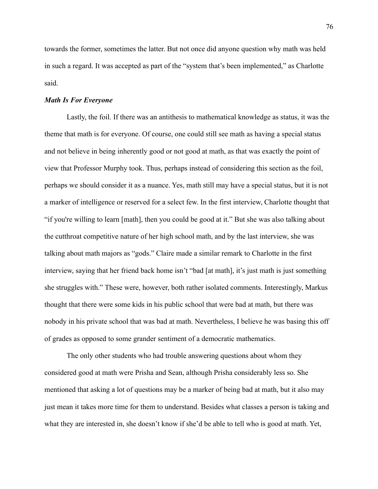towards the former, sometimes the latter. But not once did anyone question why math was held in such a regard. It was accepted as part of the "system that's been implemented," as Charlotte said.

#### *Math Is For Everyone*

Lastly, the foil. If there was an antithesis to mathematical knowledge as status, it was the theme that math is for everyone. Of course, one could still see math as having a special status and not believe in being inherently good or not good at math, as that was exactly the point of view that Professor Murphy took. Thus, perhaps instead of considering this section as the foil, perhaps we should consider it as a nuance. Yes, math still may have a special status, but it is not a marker of intelligence or reserved for a select few. In the first interview, Charlotte thought that "if you're willing to learn [math], then you could be good at it." But she was also talking about the cutthroat competitive nature of her high school math, and by the last interview, she was talking about math majors as "gods." Claire made a similar remark to Charlotte in the first interview, saying that her friend back home isn't "bad [at math], it's just math is just something she struggles with." These were, however, both rather isolated comments. Interestingly, Markus thought that there were some kids in his public school that were bad at math, but there was nobody in his private school that was bad at math. Nevertheless, I believe he was basing this off of grades as opposed to some grander sentiment of a democratic mathematics.

The only other students who had trouble answering questions about whom they considered good at math were Prisha and Sean, although Prisha considerably less so. She mentioned that asking a lot of questions may be a marker of being bad at math, but it also may just mean it takes more time for them to understand. Besides what classes a person is taking and what they are interested in, she doesn't know if she'd be able to tell who is good at math. Yet,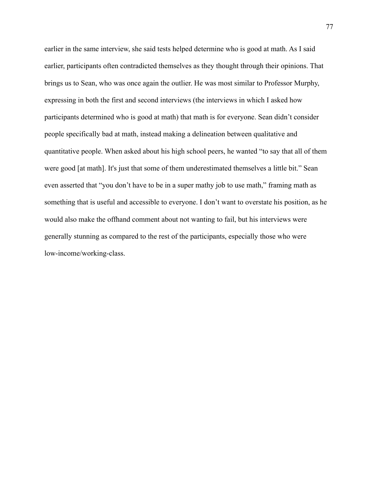earlier in the same interview, she said tests helped determine who is good at math. As I said earlier, participants often contradicted themselves as they thought through their opinions. That brings us to Sean, who was once again the outlier. He was most similar to Professor Murphy, expressing in both the first and second interviews (the interviews in which I asked how participants determined who is good at math) that math is for everyone. Sean didn't consider people specifically bad at math, instead making a delineation between qualitative and quantitative people. When asked about his high school peers, he wanted "to say that all of them were good [at math]. It's just that some of them underestimated themselves a little bit." Sean even asserted that "you don't have to be in a super mathy job to use math," framing math as something that is useful and accessible to everyone. I don't want to overstate his position, as he would also make the offhand comment about not wanting to fail, but his interviews were generally stunning as compared to the rest of the participants, especially those who were low-income/working-class.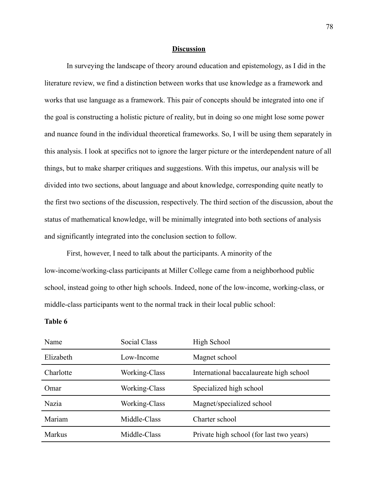### **Discussion**

In surveying the landscape of theory around education and epistemology, as I did in the literature review, we find a distinction between works that use knowledge as a framework and works that use language as a framework. This pair of concepts should be integrated into one if the goal is constructing a holistic picture of reality, but in doing so one might lose some power and nuance found in the individual theoretical frameworks. So, I will be using them separately in this analysis. I look at specifics not to ignore the larger picture or the interdependent nature of all things, but to make sharper critiques and suggestions. With this impetus, our analysis will be divided into two sections, about language and about knowledge, corresponding quite neatly to the first two sections of the discussion, respectively. The third section of the discussion, about the status of mathematical knowledge, will be minimally integrated into both sections of analysis and significantly integrated into the conclusion section to follow.

First, however, I need to talk about the participants. A minority of the low-income/working-class participants at Miller College came from a neighborhood public school, instead going to other high schools. Indeed, none of the low-income, working-class, or middle-class participants went to the normal track in their local public school:

#### **Table 6**

| Name          | Social Class  | High School                              |
|---------------|---------------|------------------------------------------|
| Elizabeth     | Low-Income    | Magnet school                            |
| Charlotte     | Working-Class | International baccalaureate high school  |
| Omar          | Working-Class | Specialized high school                  |
| Nazia         | Working-Class | Magnet/specialized school                |
| Mariam        | Middle-Class  | Charter school                           |
| <b>Markus</b> | Middle-Class  | Private high school (for last two years) |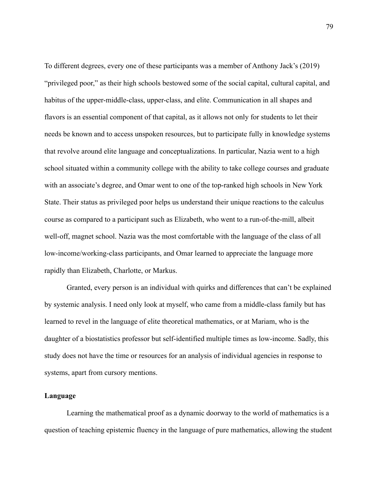To different degrees, every one of these participants was a member of Anthony Jack's (2019) "privileged poor," as their high schools bestowed some of the social capital, cultural capital, and habitus of the upper-middle-class, upper-class, and elite. Communication in all shapes and flavors is an essential component of that capital, as it allows not only for students to let their needs be known and to access unspoken resources, but to participate fully in knowledge systems that revolve around elite language and conceptualizations. In particular, Nazia went to a high school situated within a community college with the ability to take college courses and graduate with an associate's degree, and Omar went to one of the top-ranked high schools in New York State. Their status as privileged poor helps us understand their unique reactions to the calculus course as compared to a participant such as Elizabeth, who went to a run-of-the-mill, albeit well-off, magnet school. Nazia was the most comfortable with the language of the class of all low-income/working-class participants, and Omar learned to appreciate the language more rapidly than Elizabeth, Charlotte, or Markus.

Granted, every person is an individual with quirks and differences that can't be explained by systemic analysis. I need only look at myself, who came from a middle-class family but has learned to revel in the language of elite theoretical mathematics, or at Mariam, who is the daughter of a biostatistics professor but self-identified multiple times as low-income. Sadly, this study does not have the time or resources for an analysis of individual agencies in response to systems, apart from cursory mentions.

## **Language**

Learning the mathematical proof as a dynamic doorway to the world of mathematics is a question of teaching epistemic fluency in the language of pure mathematics, allowing the student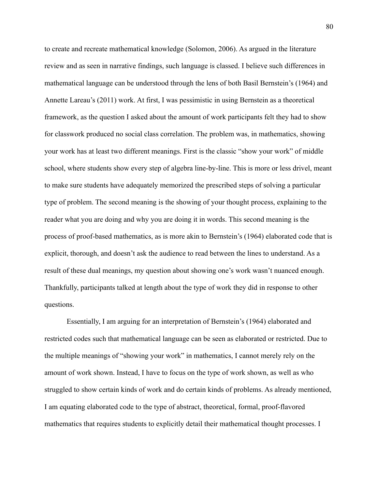to create and recreate mathematical knowledge (Solomon, 2006). As argued in the literature review and as seen in narrative findings, such language is classed. I believe such differences in mathematical language can be understood through the lens of both Basil Bernstein's (1964) and Annette Lareau's (2011) work. At first, I was pessimistic in using Bernstein as a theoretical framework, as the question I asked about the amount of work participants felt they had to show for classwork produced no social class correlation. The problem was, in mathematics, showing your work has at least two different meanings. First is the classic "show your work" of middle school, where students show every step of algebra line-by-line. This is more or less drivel, meant to make sure students have adequately memorized the prescribed steps of solving a particular type of problem. The second meaning is the showing of your thought process, explaining to the reader what you are doing and why you are doing it in words. This second meaning is the process of proof-based mathematics, as is more akin to Bernstein's (1964) elaborated code that is explicit, thorough, and doesn't ask the audience to read between the lines to understand. As a result of these dual meanings, my question about showing one's work wasn't nuanced enough. Thankfully, participants talked at length about the type of work they did in response to other questions.

Essentially, I am arguing for an interpretation of Bernstein's (1964) elaborated and restricted codes such that mathematical language can be seen as elaborated or restricted. Due to the multiple meanings of "showing your work" in mathematics, I cannot merely rely on the amount of work shown. Instead, I have to focus on the type of work shown, as well as who struggled to show certain kinds of work and do certain kinds of problems. As already mentioned, I am equating elaborated code to the type of abstract, theoretical, formal, proof-flavored mathematics that requires students to explicitly detail their mathematical thought processes. I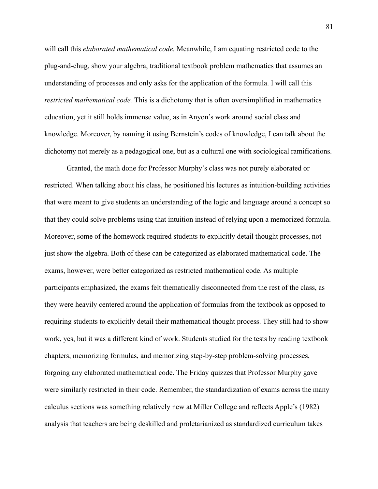will call this *elaborated mathematical code.* Meanwhile, I am equating restricted code to the plug-and-chug, show your algebra, traditional textbook problem mathematics that assumes an understanding of processes and only asks for the application of the formula. I will call this *restricted mathematical code.* This is a dichotomy that is often oversimplified in mathematics education, yet it still holds immense value, as in Anyon's work around social class and knowledge. Moreover, by naming it using Bernstein's codes of knowledge, I can talk about the dichotomy not merely as a pedagogical one, but as a cultural one with sociological ramifications.

Granted, the math done for Professor Murphy's class was not purely elaborated or restricted. When talking about his class, he positioned his lectures as intuition-building activities that were meant to give students an understanding of the logic and language around a concept so that they could solve problems using that intuition instead of relying upon a memorized formula. Moreover, some of the homework required students to explicitly detail thought processes, not just show the algebra. Both of these can be categorized as elaborated mathematical code. The exams, however, were better categorized as restricted mathematical code. As multiple participants emphasized, the exams felt thematically disconnected from the rest of the class, as they were heavily centered around the application of formulas from the textbook as opposed to requiring students to explicitly detail their mathematical thought process. They still had to show work, yes, but it was a different kind of work. Students studied for the tests by reading textbook chapters, memorizing formulas, and memorizing step-by-step problem-solving processes, forgoing any elaborated mathematical code. The Friday quizzes that Professor Murphy gave were similarly restricted in their code. Remember, the standardization of exams across the many calculus sections was something relatively new at Miller College and reflects Apple's (1982) analysis that teachers are being deskilled and proletarianized as standardized curriculum takes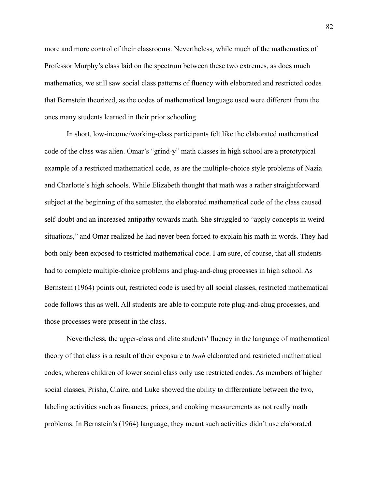more and more control of their classrooms. Nevertheless, while much of the mathematics of Professor Murphy's class laid on the spectrum between these two extremes, as does much mathematics, we still saw social class patterns of fluency with elaborated and restricted codes that Bernstein theorized, as the codes of mathematical language used were different from the ones many students learned in their prior schooling.

In short, low-income/working-class participants felt like the elaborated mathematical code of the class was alien. Omar's "grind-y" math classes in high school are a prototypical example of a restricted mathematical code, as are the multiple-choice style problems of Nazia and Charlotte's high schools. While Elizabeth thought that math was a rather straightforward subject at the beginning of the semester, the elaborated mathematical code of the class caused self-doubt and an increased antipathy towards math. She struggled to "apply concepts in weird situations," and Omar realized he had never been forced to explain his math in words. They had both only been exposed to restricted mathematical code. I am sure, of course, that all students had to complete multiple-choice problems and plug-and-chug processes in high school. As Bernstein (1964) points out, restricted code is used by all social classes, restricted mathematical code follows this as well. All students are able to compute rote plug-and-chug processes, and those processes were present in the class.

Nevertheless, the upper-class and elite students' fluency in the language of mathematical theory of that class is a result of their exposure to *both* elaborated and restricted mathematical codes, whereas children of lower social class only use restricted codes. As members of higher social classes, Prisha, Claire, and Luke showed the ability to differentiate between the two, labeling activities such as finances, prices, and cooking measurements as not really math problems. In Bernstein's (1964) language, they meant such activities didn't use elaborated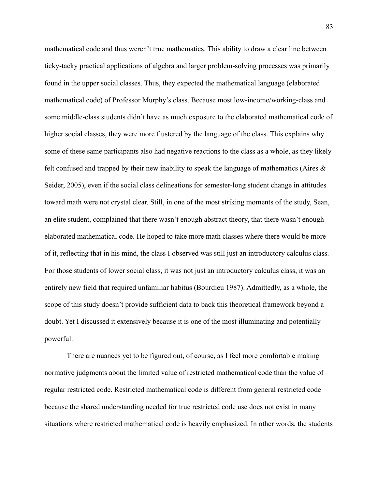mathematical code and thus weren't true mathematics. This ability to draw a clear line between ticky-tacky practical applications of algebra and larger problem-solving processes was primarily found in the upper social classes. Thus, they expected the mathematical language (elaborated mathematical code) of Professor Murphy's class. Because most low-income/working-class and some middle-class students didn't have as much exposure to the elaborated mathematical code of higher social classes, they were more flustered by the language of the class. This explains why some of these same participants also had negative reactions to the class as a whole, as they likely felt confused and trapped by their new inability to speak the language of mathematics (Aires  $\&$ Seider, 2005), even if the social class delineations for semester-long student change in attitudes toward math were not crystal clear. Still, in one of the most striking moments of the study, Sean, an elite student, complained that there wasn't enough abstract theory, that there wasn't enough elaborated mathematical code. He hoped to take more math classes where there would be more of it, reflecting that in his mind, the class I observed was still just an introductory calculus class. For those students of lower social class, it was not just an introductory calculus class, it was an entirely new field that required unfamiliar habitus (Bourdieu 1987). Admittedly, as a whole, the scope of this study doesn't provide sufficient data to back this theoretical framework beyond a doubt. Yet I discussed it extensively because it is one of the most illuminating and potentially powerful.

There are nuances yet to be figured out, of course, as I feel more comfortable making normative judgments about the limited value of restricted mathematical code than the value of regular restricted code. Restricted mathematical code is different from general restricted code because the shared understanding needed for true restricted code use does not exist in many situations where restricted mathematical code is heavily emphasized. In other words, the students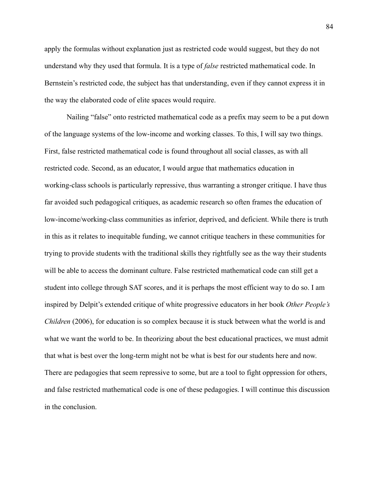apply the formulas without explanation just as restricted code would suggest, but they do not understand why they used that formula. It is a type of *false* restricted mathematical code. In Bernstein's restricted code, the subject has that understanding, even if they cannot express it in the way the elaborated code of elite spaces would require.

Nailing "false" onto restricted mathematical code as a prefix may seem to be a put down of the language systems of the low-income and working classes. To this, I will say two things. First, false restricted mathematical code is found throughout all social classes, as with all restricted code. Second, as an educator, I would argue that mathematics education in working-class schools is particularly repressive, thus warranting a stronger critique. I have thus far avoided such pedagogical critiques, as academic research so often frames the education of low-income/working-class communities as inferior, deprived, and deficient. While there is truth in this as it relates to inequitable funding, we cannot critique teachers in these communities for trying to provide students with the traditional skills they rightfully see as the way their students will be able to access the dominant culture. False restricted mathematical code can still get a student into college through SAT scores, and it is perhaps the most efficient way to do so. I am inspired by Delpit's extended critique of white progressive educators in her book *Other People's Children* (2006), for education is so complex because it is stuck between what the world is and what we want the world to be. In the origing about the best educational practices, we must admit that what is best over the long-term might not be what is best for our students here and now. There are pedagogies that seem repressive to some, but are a tool to fight oppression for others, and false restricted mathematical code is one of these pedagogies. I will continue this discussion in the conclusion.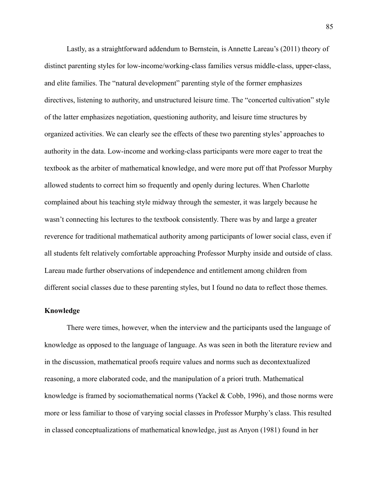Lastly, as a straightforward addendum to Bernstein, is Annette Lareau's (2011) theory of distinct parenting styles for low-income/working-class families versus middle-class, upper-class, and elite families. The "natural development" parenting style of the former emphasizes directives, listening to authority, and unstructured leisure time. The "concerted cultivation" style of the latter emphasizes negotiation, questioning authority, and leisure time structures by organized activities. We can clearly see the effects of these two parenting styles' approaches to authority in the data. Low-income and working-class participants were more eager to treat the textbook as the arbiter of mathematical knowledge, and were more put off that Professor Murphy allowed students to correct him so frequently and openly during lectures. When Charlotte complained about his teaching style midway through the semester, it was largely because he wasn't connecting his lectures to the textbook consistently. There was by and large a greater reverence for traditional mathematical authority among participants of lower social class, even if all students felt relatively comfortable approaching Professor Murphy inside and outside of class. Lareau made further observations of independence and entitlement among children from different social classes due to these parenting styles, but I found no data to reflect those themes.

### **Knowledge**

There were times, however, when the interview and the participants used the language of knowledge as opposed to the language of language. As was seen in both the literature review and in the discussion, mathematical proofs require values and norms such as decontextualized reasoning, a more elaborated code, and the manipulation of a priori truth. Mathematical knowledge is framed by sociomathematical norms (Yackel & Cobb, 1996), and those norms were more or less familiar to those of varying social classes in Professor Murphy's class. This resulted in classed conceptualizations of mathematical knowledge, just as Anyon (1981) found in her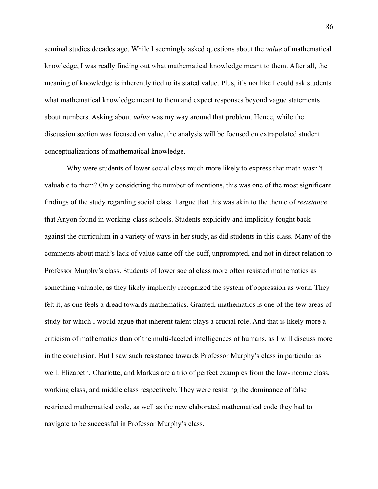seminal studies decades ago. While I seemingly asked questions about the *value* of mathematical knowledge, I was really finding out what mathematical knowledge meant to them. After all, the meaning of knowledge is inherently tied to its stated value. Plus, it's not like I could ask students what mathematical knowledge meant to them and expect responses beyond vague statements about numbers. Asking about *value* was my way around that problem. Hence, while the discussion section was focused on value, the analysis will be focused on extrapolated student conceptualizations of mathematical knowledge.

Why were students of lower social class much more likely to express that math wasn't valuable to them? Only considering the number of mentions, this was one of the most significant findings of the study regarding social class. I argue that this was akin to the theme of *resistance* that Anyon found in working-class schools. Students explicitly and implicitly fought back against the curriculum in a variety of ways in her study, as did students in this class. Many of the comments about math's lack of value came off-the-cuff, unprompted, and not in direct relation to Professor Murphy's class. Students of lower social class more often resisted mathematics as something valuable, as they likely implicitly recognized the system of oppression as work. They felt it, as one feels a dread towards mathematics. Granted, mathematics is one of the few areas of study for which I would argue that inherent talent plays a crucial role. And that is likely more a criticism of mathematics than of the multi-faceted intelligences of humans, as I will discuss more in the conclusion. But I saw such resistance towards Professor Murphy's class in particular as well. Elizabeth, Charlotte, and Markus are a trio of perfect examples from the low-income class, working class, and middle class respectively. They were resisting the dominance of false restricted mathematical code, as well as the new elaborated mathematical code they had to navigate to be successful in Professor Murphy's class.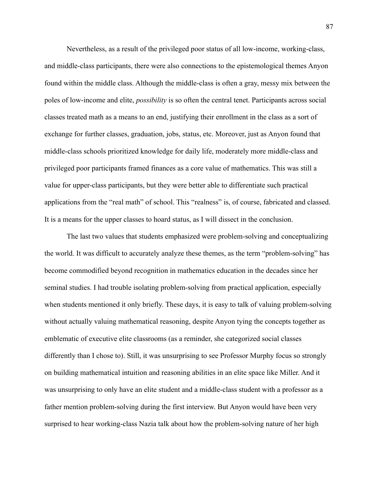Nevertheless, as a result of the privileged poor status of all low-income, working-class, and middle-class participants, there were also connections to the epistemological themes Anyon found within the middle class. Although the middle-class is often a gray, messy mix between the poles of low-income and elite, *possibility* is so often the central tenet. Participants across social classes treated math as a means to an end, justifying their enrollment in the class as a sort of exchange for further classes, graduation, jobs, status, etc. Moreover, just as Anyon found that middle-class schools prioritized knowledge for daily life, moderately more middle-class and privileged poor participants framed finances as a core value of mathematics. This was still a value for upper-class participants, but they were better able to differentiate such practical applications from the "real math" of school. This "realness" is, of course, fabricated and classed. It is a means for the upper classes to hoard status, as I will dissect in the conclusion.

The last two values that students emphasized were problem-solving and conceptualizing the world. It was difficult to accurately analyze these themes, as the term "problem-solving" has become commodified beyond recognition in mathematics education in the decades since her seminal studies. I had trouble isolating problem-solving from practical application, especially when students mentioned it only briefly. These days, it is easy to talk of valuing problem-solving without actually valuing mathematical reasoning, despite Anyon tying the concepts together as emblematic of executive elite classrooms (as a reminder, she categorized social classes differently than I chose to). Still, it was unsurprising to see Professor Murphy focus so strongly on building mathematical intuition and reasoning abilities in an elite space like Miller. And it was unsurprising to only have an elite student and a middle-class student with a professor as a father mention problem-solving during the first interview. But Anyon would have been very surprised to hear working-class Nazia talk about how the problem-solving nature of her high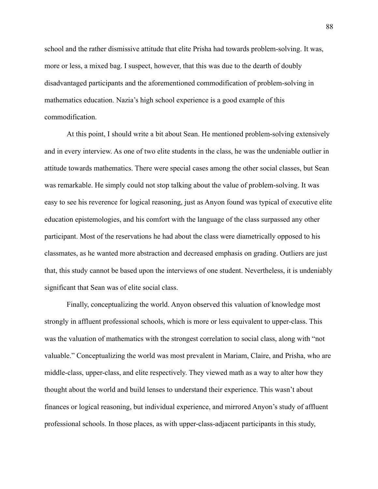school and the rather dismissive attitude that elite Prisha had towards problem-solving. It was, more or less, a mixed bag. I suspect, however, that this was due to the dearth of doubly disadvantaged participants and the aforementioned commodification of problem-solving in mathematics education. Nazia's high school experience is a good example of this commodification.

At this point, I should write a bit about Sean. He mentioned problem-solving extensively and in every interview. As one of two elite students in the class, he was the undeniable outlier in attitude towards mathematics. There were special cases among the other social classes, but Sean was remarkable. He simply could not stop talking about the value of problem-solving. It was easy to see his reverence for logical reasoning, just as Anyon found was typical of executive elite education epistemologies, and his comfort with the language of the class surpassed any other participant. Most of the reservations he had about the class were diametrically opposed to his classmates, as he wanted more abstraction and decreased emphasis on grading. Outliers are just that, this study cannot be based upon the interviews of one student. Nevertheless, it is undeniably significant that Sean was of elite social class.

Finally, conceptualizing the world. Anyon observed this valuation of knowledge most strongly in affluent professional schools, which is more or less equivalent to upper-class. This was the valuation of mathematics with the strongest correlation to social class, along with "not valuable." Conceptualizing the world was most prevalent in Mariam, Claire, and Prisha, who are middle-class, upper-class, and elite respectively. They viewed math as a way to alter how they thought about the world and build lenses to understand their experience. This wasn't about finances or logical reasoning, but individual experience, and mirrored Anyon's study of affluent professional schools. In those places, as with upper-class-adjacent participants in this study,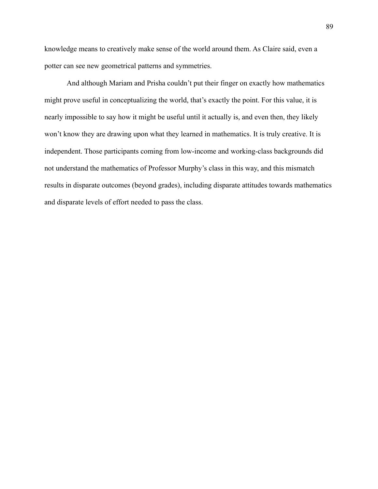knowledge means to creatively make sense of the world around them. As Claire said, even a potter can see new geometrical patterns and symmetries.

And although Mariam and Prisha couldn't put their finger on exactly how mathematics might prove useful in conceptualizing the world, that's exactly the point. For this value, it is nearly impossible to say how it might be useful until it actually is, and even then, they likely won't know they are drawing upon what they learned in mathematics. It is truly creative. It is independent. Those participants coming from low-income and working-class backgrounds did not understand the mathematics of Professor Murphy's class in this way, and this mismatch results in disparate outcomes (beyond grades), including disparate attitudes towards mathematics and disparate levels of effort needed to pass the class.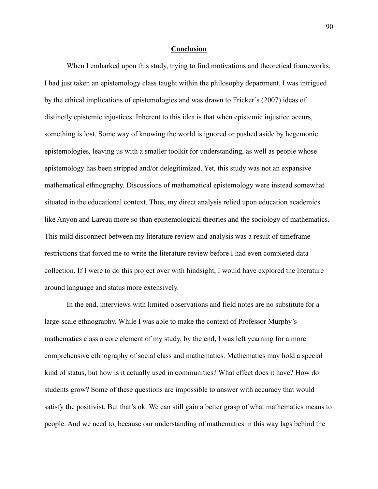### **Conclusion**

When I embarked upon this study, trying to find motivations and theoretical frameworks, I had just taken an epistemology class taught within the philosophy department. I was intrigued by the ethical implications of epistemologies and was drawn to Fricker's (2007) ideas of distinctly epistemic injustices. Inherent to this idea is that when epistemic injustice occurs, something is lost. Some way of knowing the world is ignored or pushed aside by hegemonic epistemologies, leaving us with a smaller toolkit for understanding, as well as people whose epistemology has been stripped and/or delegitimized. Yet, this study was not an expansive mathematical ethnography. Discussions of mathematical epistemology were instead somewhat situated in the educational context. Thus, my direct analysis relied upon education academics like Anyon and Lareau more so than epistemological theories and the sociology of mathematics. This mild disconnect between my literature review and analysis was a result of timeframe restrictions that forced me to write the literature review before I had even completed data collection. If I were to do this project over with hindsight, I would have explored the literature around language and status more extensively.

In the end, interviews with limited observations and field notes are no substitute for a large-scale ethnography. While I was able to make the context of Professor Murphy's mathematics class a core element of my study, by the end, I was left yearning for a more comprehensive ethnography of social class and mathematics. Mathematics may hold a special kind of status, but how is it actually used in communities? What effect does it have? How do students grow? Some of these questions are impossible to answer with accuracy that would satisfy the positivist. But that's ok. We can still gain a better grasp of what mathematics means to people. And we need to, because our understanding of mathematics in this way lags behind the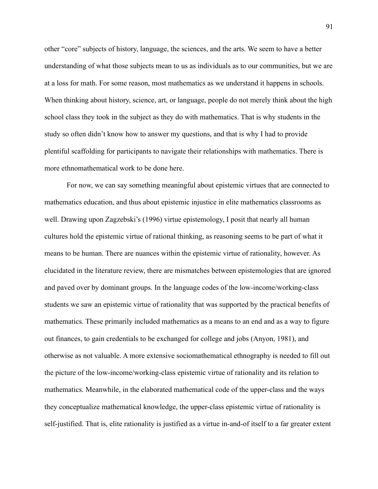other "core" subjects of history, language, the sciences, and the arts. We seem to have a better understanding of what those subjects mean to us as individuals as to our communities, but we are at a loss for math. For some reason, most mathematics as we understand it happens in schools. When thinking about history, science, art, or language, people do not merely think about the high school class they took in the subject as they do with mathematics. That is why students in the study so often didn't know how to answer my questions, and that is why I had to provide plentiful scaffolding for participants to navigate their relationships with mathematics. There is more ethnomathematical work to be done here.

For now, we can say something meaningful about epistemic virtues that are connected to mathematics education, and thus about epistemic injustice in elite mathematics classrooms as well. Drawing upon Zagzebski's (1996) virtue epistemology, I posit that nearly all human cultures hold the epistemic virtue of rational thinking, as reasoning seems to be part of what it means to be human. There are nuances within the epistemic virtue of rationality, however. As elucidated in the literature review, there are mismatches between epistemologies that are ignored and paved over by dominant groups. In the language codes of the low-income/working-class students we saw an epistemic virtue of rationality that was supported by the practical benefits of mathematics. These primarily included mathematics as a means to an end and as a way to figure out finances, to gain credentials to be exchanged for college and jobs (Anyon, 1981), and otherwise as not valuable. A more extensive sociomathematical ethnography is needed to fill out the picture of the low-income/working-class epistemic virtue of rationality and its relation to mathematics. Meanwhile, in the elaborated mathematical code of the upper-class and the ways they conceptualize mathematical knowledge, the upper-class epistemic virtue of rationality is self-justified. That is, elite rationality is justified as a virtue in-and-of itself to a far greater extent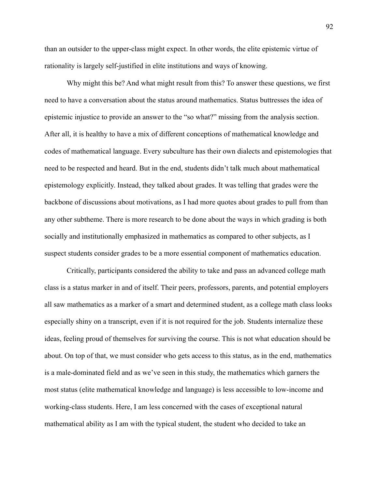than an outsider to the upper-class might expect. In other words, the elite epistemic virtue of rationality is largely self-justified in elite institutions and ways of knowing.

Why might this be? And what might result from this? To answer these questions, we first need to have a conversation about the status around mathematics. Status buttresses the idea of epistemic injustice to provide an answer to the "so what?" missing from the analysis section. After all, it is healthy to have a mix of different conceptions of mathematical knowledge and codes of mathematical language. Every subculture has their own dialects and epistemologies that need to be respected and heard. But in the end, students didn't talk much about mathematical epistemology explicitly. Instead, they talked about grades. It was telling that grades were the backbone of discussions about motivations, as I had more quotes about grades to pull from than any other subtheme. There is more research to be done about the ways in which grading is both socially and institutionally emphasized in mathematics as compared to other subjects, as I suspect students consider grades to be a more essential component of mathematics education.

Critically, participants considered the ability to take and pass an advanced college math class is a status marker in and of itself. Their peers, professors, parents, and potential employers all saw mathematics as a marker of a smart and determined student, as a college math class looks especially shiny on a transcript, even if it is not required for the job. Students internalize these ideas, feeling proud of themselves for surviving the course. This is not what education should be about. On top of that, we must consider who gets access to this status, as in the end, mathematics is a male-dominated field and as we've seen in this study, the mathematics which garners the most status (elite mathematical knowledge and language) is less accessible to low-income and working-class students. Here, I am less concerned with the cases of exceptional natural mathematical ability as I am with the typical student, the student who decided to take an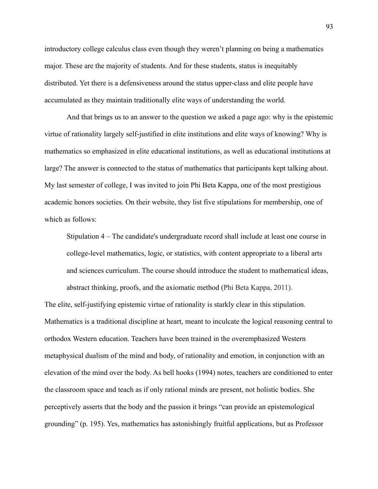introductory college calculus class even though they weren't planning on being a mathematics major. These are the majority of students. And for these students, status is inequitably distributed. Yet there is a defensiveness around the status upper-class and elite people have accumulated as they maintain traditionally elite ways of understanding the world.

And that brings us to an answer to the question we asked a page ago: why is the epistemic virtue of rationality largely self-justified in elite institutions and elite ways of knowing? Why is mathematics so emphasized in elite educational institutions, as well as educational institutions at large? The answer is connected to the status of mathematics that participants kept talking about. My last semester of college, I was invited to join Phi Beta Kappa, one of the most prestigious academic honors societies. On their website, they list five stipulations for membership, one of which as follows:

Stipulation 4 – The candidate's undergraduate record shall include at least one course in college-level mathematics, logic, or statistics, with content appropriate to a liberal arts and sciences curriculum. The course should introduce the student to mathematical ideas, abstract thinking, proofs, and the axiomatic method (Phi Beta Kappa, 2011).

The elite, self-justifying epistemic virtue of rationality is starkly clear in this stipulation. Mathematics is a traditional discipline at heart, meant to inculcate the logical reasoning central to orthodox Western education. Teachers have been trained in the overemphasized Western metaphysical dualism of the mind and body, of rationality and emotion, in conjunction with an elevation of the mind over the body. As bell hooks (1994) notes, teachers are conditioned to enter the classroom space and teach as if only rational minds are present, not holistic bodies. She perceptively asserts that the body and the passion it brings "can provide an epistemological grounding" (p. 195). Yes, mathematics has astonishingly fruitful applications, but as Professor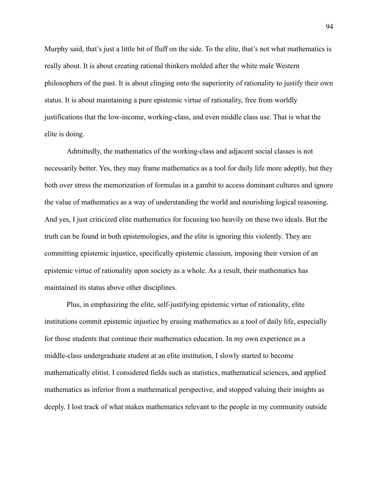Murphy said, that's just a little bit of fluff on the side. To the elite, that's not what mathematics is really about. It is about creating rational thinkers molded after the white male Western philosophers of the past. It is about clinging onto the superiority of rationality to justify their own status. It is about maintaining a pure epistemic virtue of rationality, free from worldly justifications that the low-income, working-class, and even middle class use. That is what the elite is doing.

Admittedly, the mathematics of the working-class and adjacent social classes is not necessarily better. Yes, they may frame mathematics as a tool for daily life more adeptly, but they both over stress the memorization of formulas in a gambit to access dominant cultures and ignore the value of mathematics as a way of understanding the world and nourishing logical reasoning. And yes, I just criticized elite mathematics for focusing too heavily on these two ideals. But the truth can be found in both epistemologies, and the elite is ignoring this violently. They are committing epistemic injustice, specifically epistemic classism, imposing their version of an epistemic virtue of rationality upon society as a whole. As a result, their mathematics has maintained its status above other disciplines.

Plus, in emphasizing the elite, self-justifying epistemic virtue of rationality, elite institutions commit epistemic injustice by erasing mathematics as a tool of daily life, especially for those students that continue their mathematics education. In my own experience as a middle-class undergraduate student at an elite institution, I slowly started to become mathematically elitist. I considered fields such as statistics, mathematical sciences, and applied mathematics as inferior from a mathematical perspective, and stopped valuing their insights as deeply. I lost track of what makes mathematics relevant to the people in my community outside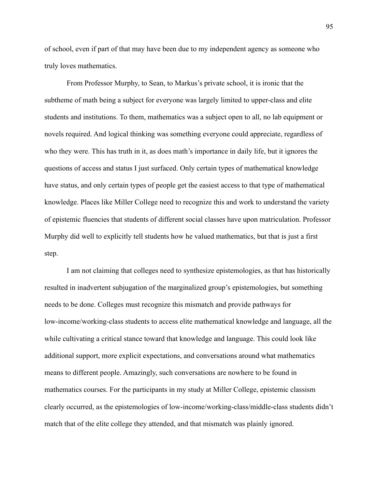of school, even if part of that may have been due to my independent agency as someone who truly loves mathematics.

From Professor Murphy, to Sean, to Markus's private school, it is ironic that the subtheme of math being a subject for everyone was largely limited to upper-class and elite students and institutions. To them, mathematics was a subject open to all, no lab equipment or novels required. And logical thinking was something everyone could appreciate, regardless of who they were. This has truth in it, as does math's importance in daily life, but it ignores the questions of access and status I just surfaced. Only certain types of mathematical knowledge have status, and only certain types of people get the easiest access to that type of mathematical knowledge. Places like Miller College need to recognize this and work to understand the variety of epistemic fluencies that students of different social classes have upon matriculation. Professor Murphy did well to explicitly tell students how he valued mathematics, but that is just a first step.

I am not claiming that colleges need to synthesize epistemologies, as that has historically resulted in inadvertent subjugation of the marginalized group's epistemologies, but something needs to be done. Colleges must recognize this mismatch and provide pathways for low-income/working-class students to access elite mathematical knowledge and language, all the while cultivating a critical stance toward that knowledge and language. This could look like additional support, more explicit expectations, and conversations around what mathematics means to different people. Amazingly, such conversations are nowhere to be found in mathematics courses. For the participants in my study at Miller College, epistemic classism clearly occurred, as the epistemologies of low-income/working-class/middle-class students didn't match that of the elite college they attended, and that mismatch was plainly ignored.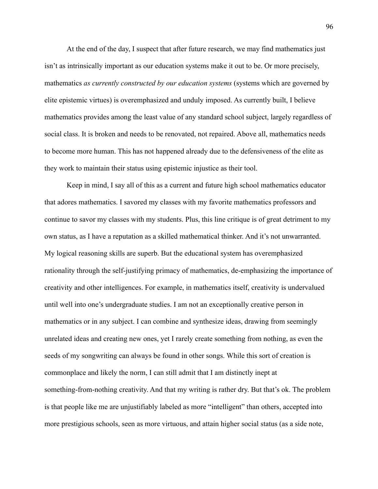At the end of the day, I suspect that after future research, we may find mathematics just isn't as intrinsically important as our education systems make it out to be. Or more precisely, mathematics *as currently constructed by our education systems* (systems which are governed by elite epistemic virtues) is overemphasized and unduly imposed. As currently built, I believe mathematics provides among the least value of any standard school subject, largely regardless of social class. It is broken and needs to be renovated, not repaired. Above all, mathematics needs to become more human. This has not happened already due to the defensiveness of the elite as they work to maintain their status using epistemic injustice as their tool.

Keep in mind, I say all of this as a current and future high school mathematics educator that adores mathematics. I savored my classes with my favorite mathematics professors and continue to savor my classes with my students. Plus, this line critique is of great detriment to my own status, as I have a reputation as a skilled mathematical thinker. And it's not unwarranted. My logical reasoning skills are superb. But the educational system has overemphasized rationality through the self-justifying primacy of mathematics, de-emphasizing the importance of creativity and other intelligences. For example, in mathematics itself, creativity is undervalued until well into one's undergraduate studies. I am not an exceptionally creative person in mathematics or in any subject. I can combine and synthesize ideas, drawing from seemingly unrelated ideas and creating new ones, yet I rarely create something from nothing, as even the seeds of my songwriting can always be found in other songs. While this sort of creation is commonplace and likely the norm, I can still admit that I am distinctly inept at something-from-nothing creativity. And that my writing is rather dry. But that's ok. The problem is that people like me are unjustifiably labeled as more "intelligent" than others, accepted into more prestigious schools, seen as more virtuous, and attain higher social status (as a side note,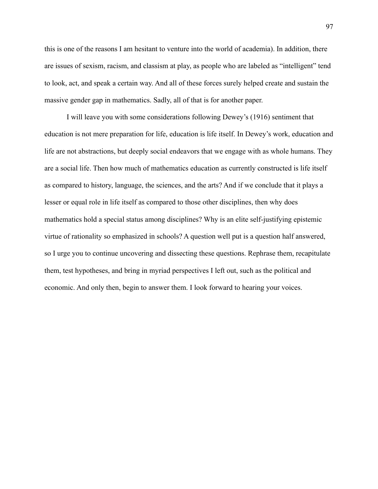this is one of the reasons I am hesitant to venture into the world of academia). In addition, there are issues of sexism, racism, and classism at play, as people who are labeled as "intelligent" tend to look, act, and speak a certain way. And all of these forces surely helped create and sustain the massive gender gap in mathematics. Sadly, all of that is for another paper.

I will leave you with some considerations following Dewey's (1916) sentiment that education is not mere preparation for life, education is life itself. In Dewey's work, education and life are not abstractions, but deeply social endeavors that we engage with as whole humans. They are a social life. Then how much of mathematics education as currently constructed is life itself as compared to history, language, the sciences, and the arts? And if we conclude that it plays a lesser or equal role in life itself as compared to those other disciplines, then why does mathematics hold a special status among disciplines? Why is an elite self-justifying epistemic virtue of rationality so emphasized in schools? A question well put is a question half answered, so I urge you to continue uncovering and dissecting these questions. Rephrase them, recapitulate them, test hypotheses, and bring in myriad perspectives I left out, such as the political and economic. And only then, begin to answer them. I look forward to hearing your voices.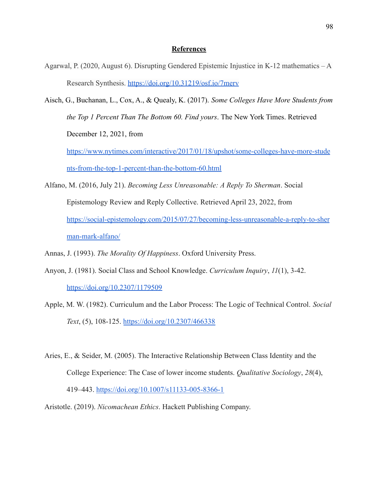### **References**

- Agarwal, P. (2020, August 6). Disrupting Gendered Epistemic Injustice in K-12 mathematics A Research Synthesis. <https://doi.org/10.31219/osf.io/7merv>
- Aisch, G., Buchanan, L., Cox, A., & Quealy, K. (2017). *Some Colleges Have More Students from the Top 1 Percent Than The Bottom 60. Find yours*. The New York Times. Retrieved December 12, 2021, from [https://www.nytimes.com/interactive/2017/01/18/upshot/some-colleges-have-more-stude](https://www.nytimes.com/interactive/2017/01/18/upshot/some-colleges-have-more-students-from-the-top-1-percent-than-the-bottom-60.html)

[nts-from-the-top-1-percent-than-the-bottom-60.html](https://www.nytimes.com/interactive/2017/01/18/upshot/some-colleges-have-more-students-from-the-top-1-percent-than-the-bottom-60.html)

Alfano, M. (2016, July 21). *Becoming Less Unreasonable: A Reply To Sherman*. Social Epistemology Review and Reply Collective. Retrieved April 23, 2022, from [https://social-epistemology.com/2015/07/27/becoming-less-unreasonable-a-reply-to-sher](https://social-epistemology.com/2015/07/27/becoming-less-unreasonable-a-reply-to-sherman-mark-alfano/) [man-mark-alfano/](https://social-epistemology.com/2015/07/27/becoming-less-unreasonable-a-reply-to-sherman-mark-alfano/)

Annas, J. (1993). *The Morality Of Happiness*. Oxford University Press.

- Anyon, J. (1981). Social Class and School Knowledge. *Curriculum Inquiry*, *11*(1), 3-42. <https://doi.org/10.2307/1179509>
- Apple, M. W. (1982). Curriculum and the Labor Process: The Logic of Technical Control. *Social Text*, (5), 108-125. <https://doi.org/10.2307/466338>
- Aries, E., & Seider, M. (2005). The Interactive Relationship Between Class Identity and the College Experience: The Case of lower income students. *Qualitative Sociology*, *28*(4), 419–443. <https://doi.org/10.1007/s11133-005-8366-1>

Aristotle. (2019). *Nicomachean Ethics*. Hackett Publishing Company.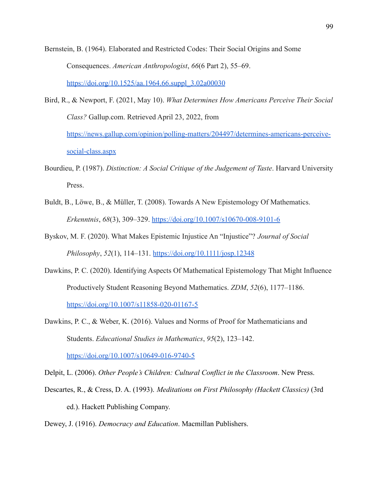Bernstein, B. (1964). Elaborated and Restricted Codes: Their Social Origins and Some Consequences. *American Anthropologist*, *66*(6 Part 2), 55–69. [https://doi.org/10.1525/aa.1964.66.suppl\\_3.02a00030](https://doi.org/10.1525/aa.1964.66.suppl_3.02a00030)

- Bird, R., & Newport, F. (2021, May 10). *What Determines How Americans Perceive Their Social Class?* Gallup.com. Retrieved April 23, 2022, from [https://news.gallup.com/opinion/polling-matters/204497/determines-americans-perceive](https://news.gallup.com/opinion/polling-matters/204497/determines-americans-perceive-social-class.aspx)[social-class.aspx](https://news.gallup.com/opinion/polling-matters/204497/determines-americans-perceive-social-class.aspx)
- Bourdieu, P. (1987). *Distinction: A Social Critique of the Judgement of Taste*. Harvard University Press.
- Buldt, B., Löwe, B., & Müller, T. (2008). Towards A New Epistemology Of Mathematics. *Erkenntnis*, *68*(3), 309–329. <https://doi.org/10.1007/s10670-008-9101-6>
- Byskov, M. F. (2020). What Makes Epistemic Injustice An "Injustice"? *Journal of Social Philosophy*, *52*(1), 114–131. <https://doi.org/10.1111/josp.12348>
- Dawkins, P. C. (2020). Identifying Aspects Of Mathematical Epistemology That Might Influence Productively Student Reasoning Beyond Mathematics. *ZDM*, *52*(6), 1177–1186.

<https://doi.org/10.1007/s11858-020-01167-5>

Dawkins, P. C., & Weber, K. (2016). Values and Norms of Proof for Mathematicians and Students. *Educational Studies in Mathematics*, *95*(2), 123–142.

<https://doi.org/10.1007/s10649-016-9740-5>

Delpit, L. (2006). *Other People's Children: Cultural Conflict in the Classroom*. New Press.

Descartes, R., & Cress, D. A. (1993). *Meditations on First Philosophy (Hackett Classics)* (3rd ed.). Hackett Publishing Company.

Dewey, J. (1916). *Democracy and Education*. Macmillan Publishers.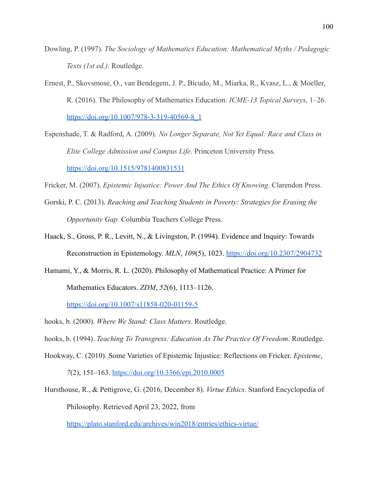- Dowling, P. (1997). *The Sociology of Mathematics Education: Mathematical Myths / Pedagogic Texts (1st ed.)*. Routledge.
- Ernest, P., Skovsmose, O., van Bendegem, J. P., Bicudo, M., Miarka, R., Kvasz, L., & Moeller, R. (2016). The Philosophy of Mathematics Education. *ICME-13 Topical Surveys*, 1–26. [https://doi.org/10.1007/978-3-319-40569-8\\_1](https://doi.org/10.1007/978-3-319-40569-8_1)
- Espenshade, T. & Radford, A. (2009). *No Longer Separate, Not Yet Equal: Race and Class in Elite College Admission and Campus Life.* Princeton University Press.

<https://doi.org/10.1515/9781400831531>

- Fricker, M. (2007). *Epistemic Injustice: Power And The Ethics Of Knowing*. Clarendon Press.
- Gorski, P. C. (2013). *Reaching and Teaching Students in Poverty: Strategies for Erasing the Opportunity Gap*. Columbia Teachers College Press.
- Haack, S., Gross, P. R., Levitt, N., & Livingston, P. (1994). Evidence and Inquiry: Towards Reconstruction in Epistemology. *MLN*, *109*(5), 1023. <https://doi.org/10.2307/2904732>
- Hamami, Y., & Morris, R. L. (2020). Philosophy of Mathematical Practice: A Primer for Mathematics Educators. *ZDM*, *52*(6), 1113–1126.

<https://doi.org/10.1007/s11858-020-01159-5>

- hooks, b. (2000). *Where We Stand: Class Matters*. Routledge.
- hooks, b. (1994). *Teaching To Transgress: Education As The Practice Of Freedom*. Routledge.
- Hookway, C. (2010). Some Varieties of Epistemic Injustice: Reflections on Fricker. *Episteme*,

*7*(2), 151–163. <https://doi.org/10.3366/epi.2010.0005>

Hursthouse, R., & Pettigrove, G. (2016, December 8). *Virtue Ethics*. Stanford Encyclopedia of Philosophy. Retrieved April 23, 2022, from

<https://plato.stanford.edu/archives/win2018/entries/ethics-virtue/>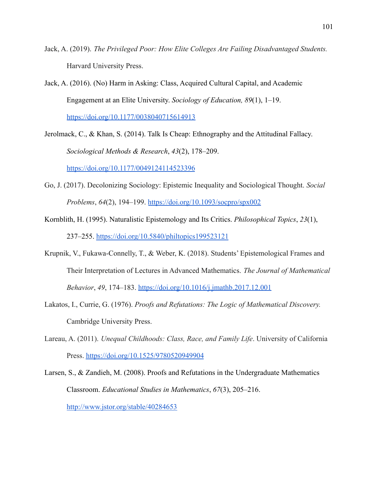- Jack, A. (2019). *The Privileged Poor: How Elite Colleges Are Failing Disadvantaged Students.* Harvard University Press.
- Jack, A. (2016). (No) Harm in Asking: Class, Acquired Cultural Capital, and Academic Engagement at an Elite University. *Sociology of Education, 89*(1), 1–19. <https://doi.org/10.1177/0038040715614913>
- Jerolmack, C., & Khan, S. (2014). Talk Is Cheap: Ethnography and the Attitudinal Fallacy. *Sociological Methods & Research*, *43*(2), 178–209. <https://doi.org/10.1177/0049124114523396>
- Go, J. (2017). Decolonizing Sociology: Epistemic Inequality and Sociological Thought. *Social Problems*, *64*(2), 194–199. <https://doi.org/10.1093/socpro/spx002>
- Kornblith, H. (1995). Naturalistic Epistemology and Its Critics. *Philosophical Topics*, *23*(1), 237–255. <https://doi.org/10.5840/philtopics199523121>
- Krupnik, V., Fukawa-Connelly, T., & Weber, K. (2018). Students' Epistemological Frames and Their Interpretation of Lectures in Advanced Mathematics. *The Journal of Mathematical Behavior*, *49*, 174–183. <https://doi.org/10.1016/j.jmathb.2017.12.001>
- Lakatos, I., Currie, G. (1976). *Proofs and Refutations: The Logic of Mathematical Discovery.* Cambridge University Press.
- Lareau, A. (2011). *Unequal Childhoods: Class, Race, and Family Life*. University of California Press. <https://doi.org/10.1525/9780520949904>
- Larsen, S., & Zandieh, M. (2008). Proofs and Refutations in the Undergraduate Mathematics Classroom. *Educational Studies in Mathematics*, *67*(3), 205–216. <http://www.jstor.org/stable/40284653>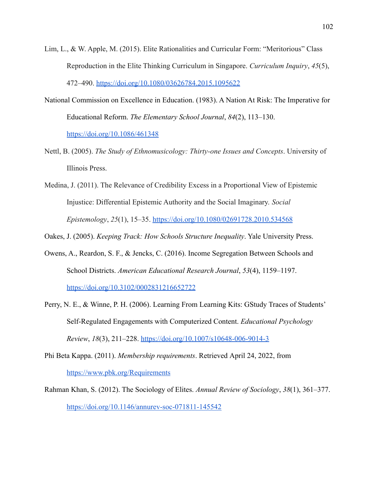- Lim, L., & W. Apple, M. (2015). Elite Rationalities and Curricular Form: "Meritorious" Class Reproduction in the Elite Thinking Curriculum in Singapore. *Curriculum Inquiry*, *45*(5), 472–490. <https://doi.org/10.1080/03626784.2015.1095622>
- National Commission on Excellence in Education. (1983). A Nation At Risk: The Imperative for Educational Reform. *The Elementary School Journal*, *84*(2), 113–130. <https://doi.org/10.1086/461348>
- Nettl, B. (2005). *The Study of Ethnomusicology: Thirty-one Issues and Concepts*. University of Illinois Press.
- Medina, J. (2011). The Relevance of Credibility Excess in a Proportional View of Epistemic Injustice: Differential Epistemic Authority and the Social Imaginary. *Social Epistemology*, *25*(1), 15–35. <https://doi.org/10.1080/02691728.2010.534568>

Oakes, J. (2005). *Keeping Track: How Schools Structure Inequality*. Yale University Press.

- Owens, A., Reardon, S. F., & Jencks, C. (2016). Income Segregation Between Schools and School Districts. *American Educational Research Journal*, *53*(4), 1159–1197. <https://doi.org/10.3102/0002831216652722>
- Perry, N. E., & Winne, P. H. (2006). Learning From Learning Kits: GStudy Traces of Students' Self-Regulated Engagements with Computerized Content. *Educational Psychology Review*, *18*(3), 211–228. <https://doi.org/10.1007/s10648-006-9014-3>
- Phi Beta Kappa. (2011). *Membership requirements*. Retrieved April 24, 2022, from <https://www.pbk.org/Requirements>
- Rahman Khan, S. (2012). The Sociology of Elites. *Annual Review of Sociology*, *38*(1), 361–377. <https://doi.org/10.1146/annurev-soc-071811-145542>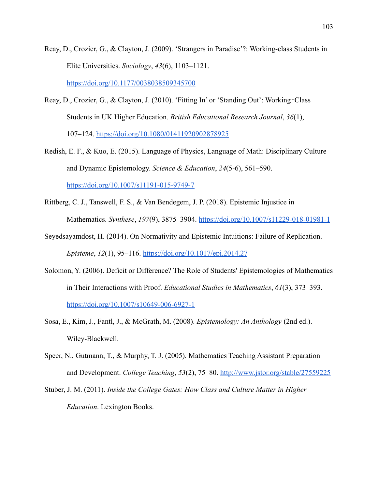Reay, D., Crozier, G., & Clayton, J. (2009). 'Strangers in Paradise'?: Working-class Students in Elite Universities. *Sociology*, *43*(6), 1103–1121. <https://doi.org/10.1177/0038038509345700>

Reay, D., Crozier, G., & Clayton, J. (2010). 'Fitting In' or 'Standing Out': Working‐Class Students in UK Higher Education. *British Educational Research Journal*, *36*(1), 107–124. <https://doi.org/10.1080/01411920902878925>

- Redish, E. F., & Kuo, E. (2015). Language of Physics, Language of Math: Disciplinary Culture and Dynamic Epistemology. *Science & Education*, *24*(5-6), 561–590. <https://doi.org/10.1007/s11191-015-9749-7>
- Rittberg, C. J., Tanswell, F. S., & Van Bendegem, J. P. (2018). Epistemic Injustice in Mathematics. *Synthese*, *197*(9), 3875–3904. <https://doi.org/10.1007/s11229-018-01981-1>
- Seyedsayamdost, H. (2014). On Normativity and Epistemic Intuitions: Failure of Replication. *Episteme*, *12*(1), 95–116. <https://doi.org/10.1017/epi.2014.27>
- Solomon, Y. (2006). Deficit or Difference? The Role of Students' Epistemologies of Mathematics in Their Interactions with Proof. *Educational Studies in Mathematics*, *61*(3), 373–393. <https://doi.org/10.1007/s10649-006-6927-1>
- Sosa, E., Kim, J., Fantl, J., & McGrath, M. (2008). *Epistemology: An Anthology* (2nd ed.). Wiley-Blackwell.
- Speer, N., Gutmann, T., & Murphy, T. J. (2005). Mathematics Teaching Assistant Preparation and Development. *College Teaching*, *53*(2), 75–80. <http://www.jstor.org/stable/27559225>
- Stuber, J. M. (2011). *Inside the College Gates: How Class and Culture Matter in Higher Education*. Lexington Books.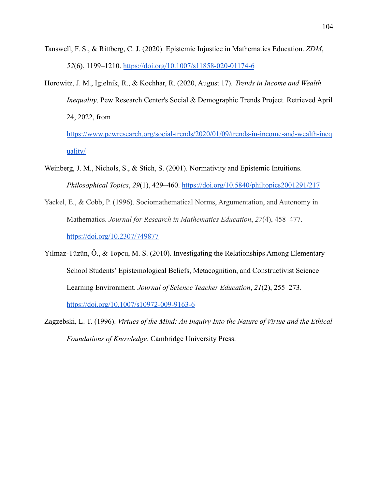- Tanswell, F. S., & Rittberg, C. J. (2020). Epistemic Injustice in Mathematics Education. *ZDM*, *52*(6), 1199–1210. <https://doi.org/10.1007/s11858-020-01174-6>
- Horowitz, J. M., Igielnik, R., & Kochhar, R. (2020, August 17). *Trends in Income and Wealth Inequality*. Pew Research Center's Social & Demographic Trends Project. Retrieved April 24, 2022, from

[https://www.pewresearch.org/social-trends/2020/01/09/trends-in-income-and-wealth-ineq](https://www.pewresearch.org/social-trends/2020/01/09/trends-in-income-and-wealth-inequality/) [uality/](https://www.pewresearch.org/social-trends/2020/01/09/trends-in-income-and-wealth-inequality/)

- Weinberg, J. M., Nichols, S., & Stich, S. (2001). Normativity and Epistemic Intuitions. *Philosophical Topics*, *29*(1), 429–460. <https://doi.org/10.5840/philtopics2001291/217>
- Yackel, E., & Cobb, P. (1996). Sociomathematical Norms, Argumentation, and Autonomy in Mathematics. *Journal for Research in Mathematics Education*, *27*(4), 458–477. <https://doi.org/10.2307/749877>
- Yılmaz-Tüzün, Ö., & Topcu, M. S. (2010). Investigating the Relationships Among Elementary School Students' Epistemological Beliefs, Metacognition, and Constructivist Science Learning Environment. *Journal of Science Teacher Education*, *21*(2), 255–273. <https://doi.org/10.1007/s10972-009-9163-6>

Zagzebski, L. T. (1996). *Virtues of the Mind: An Inquiry Into the Nature of Virtue and the Ethical Foundations of Knowledge*. Cambridge University Press.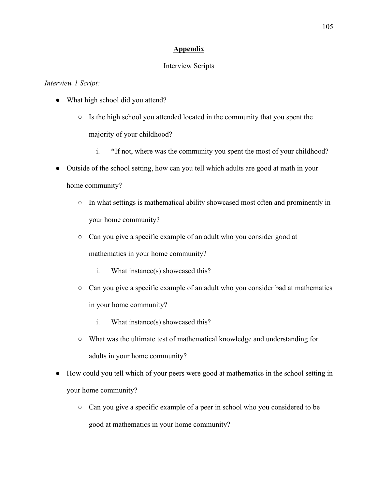## **Appendix**

## Interview Scripts

# *Interview 1 Script:*

- What high school did you attend?
	- Is the high school you attended located in the community that you spent the majority of your childhood?
		- i. \*If not, where was the community you spent the most of your childhood?
- Outside of the school setting, how can you tell which adults are good at math in your home community?
	- In what settings is mathematical ability showcased most often and prominently in your home community?
	- Can you give a specific example of an adult who you consider good at mathematics in your home community?
		- i. What instance(s) showcased this?
	- Can you give a specific example of an adult who you consider bad at mathematics in your home community?
		- i. What instance(s) showcased this?
	- What was the ultimate test of mathematical knowledge and understanding for adults in your home community?
- How could you tell which of your peers were good at mathematics in the school setting in your home community?
	- Can you give a specific example of a peer in school who you considered to be good at mathematics in your home community?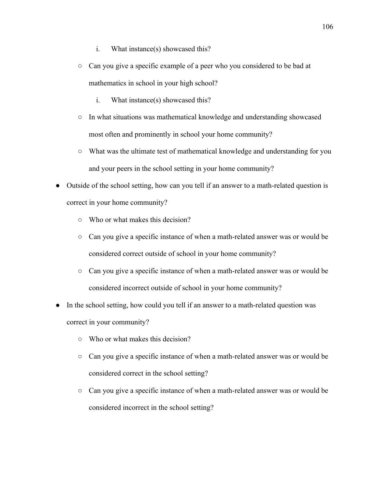- i. What instance(s) showcased this?
- Can you give a specific example of a peer who you considered to be bad at mathematics in school in your high school?
	- i. What instance(s) showcased this?
- In what situations was mathematical knowledge and understanding showcased most often and prominently in school your home community?
- What was the ultimate test of mathematical knowledge and understanding for you and your peers in the school setting in your home community?
- Outside of the school setting, how can you tell if an answer to a math-related question is correct in your home community?
	- Who or what makes this decision?
	- Can you give a specific instance of when a math-related answer was or would be considered correct outside of school in your home community?
	- Can you give a specific instance of when a math-related answer was or would be considered incorrect outside of school in your home community?
- In the school setting, how could you tell if an answer to a math-related question was correct in your community?
	- Who or what makes this decision?
	- Can you give a specific instance of when a math-related answer was or would be considered correct in the school setting?
	- Can you give a specific instance of when a math-related answer was or would be considered incorrect in the school setting?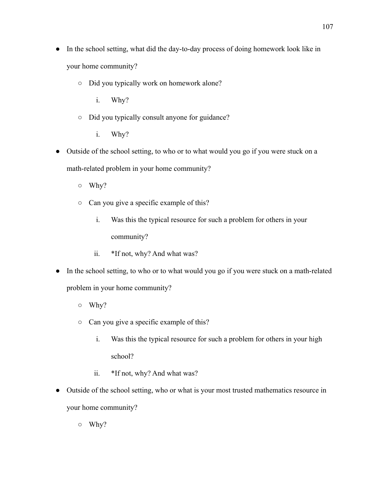- In the school setting, what did the day-to-day process of doing homework look like in your home community?
	- Did you typically work on homework alone?
		- i. Why?
	- Did you typically consult anyone for guidance?
		- i. Why?
- Outside of the school setting, to who or to what would you go if you were stuck on a math-related problem in your home community?
	- Why?
	- Can you give a specific example of this?
		- i. Was this the typical resource for such a problem for others in your community?
		- ii. \*If not, why? And what was?
- In the school setting, to who or to what would you go if you were stuck on a math-related problem in your home community?
	- Why?
	- Can you give a specific example of this?
		- i. Was this the typical resource for such a problem for others in your high school?
		- ii. \*If not, why? And what was?
- Outside of the school setting, who or what is your most trusted mathematics resource in your home community?
	- Why?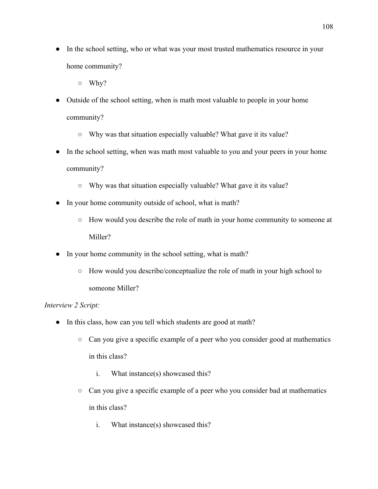- In the school setting, who or what was your most trusted mathematics resource in your home community?
	- Why?
- Outside of the school setting, when is math most valuable to people in your home community?
	- Why was that situation especially valuable? What gave it its value?
- In the school setting, when was math most valuable to you and your peers in your home community?
	- Why was that situation especially valuable? What gave it its value?
- In your home community outside of school, what is math?
	- How would you describe the role of math in your home community to someone at Miller?
- In your home community in the school setting, what is math?
	- How would you describe/conceptualize the role of math in your high school to someone Miller?

## *Interview 2 Script:*

- In this class, how can you tell which students are good at math?
	- Can you give a specific example of a peer who you consider good at mathematics in this class?
		- i. What instance(s) showcased this?
	- Can you give a specific example of a peer who you consider bad at mathematics in this class?
		- i. What instance(s) showcased this?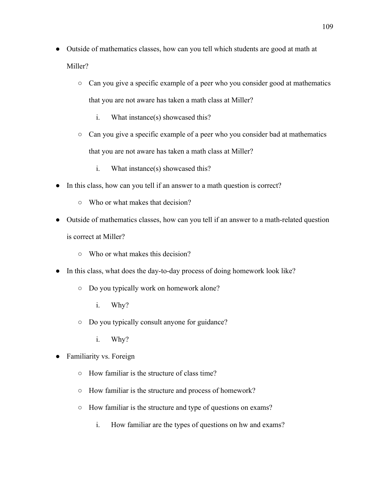- Outside of mathematics classes, how can you tell which students are good at math at Miller?
	- Can you give a specific example of a peer who you consider good at mathematics that you are not aware has taken a math class at Miller?
		- i. What instance(s) showcased this?
	- Can you give a specific example of a peer who you consider bad at mathematics that you are not aware has taken a math class at Miller?
		- i. What instance(s) showcased this?
- In this class, how can you tell if an answer to a math question is correct?
	- Who or what makes that decision?
- Outside of mathematics classes, how can you tell if an answer to a math-related question is correct at Miller?
	- Who or what makes this decision?
- In this class, what does the day-to-day process of doing homework look like?
	- Do you typically work on homework alone?
		- i. Why?
	- Do you typically consult anyone for guidance?
		- i. Why?
- Familiarity vs. Foreign
	- How familiar is the structure of class time?
	- How familiar is the structure and process of homework?
	- How familiar is the structure and type of questions on exams?
		- i. How familiar are the types of questions on hw and exams?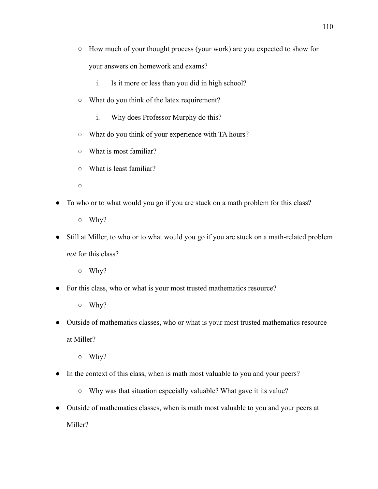- How much of your thought process (your work) are you expected to show for your answers on homework and exams?
	- i. Is it more or less than you did in high school?
- What do you think of the latex requirement?
	- i. Why does Professor Murphy do this?
- What do you think of your experience with TA hours?
- What is most familiar?
- What is least familiar?
- $\circ$
- To who or to what would you go if you are stuck on a math problem for this class?
	- Why?
- Still at Miller, to who or to what would you go if you are stuck on a math-related problem *not* for this class?
	- Why?
- For this class, who or what is your most trusted mathematics resource?
	- Why?
- Outside of mathematics classes, who or what is your most trusted mathematics resource at Miller?
	- Why?
- In the context of this class, when is math most valuable to you and your peers?
	- Why was that situation especially valuable? What gave it its value?
- Outside of mathematics classes, when is math most valuable to you and your peers at Miller?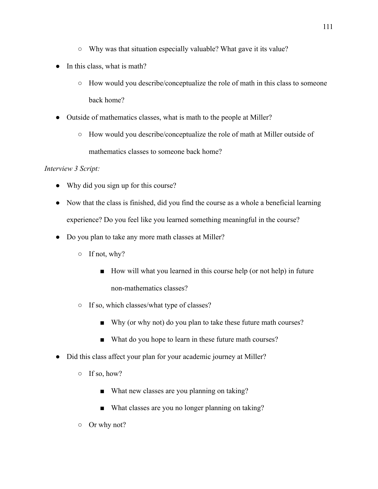- Why was that situation especially valuable? What gave it its value?
- In this class, what is math?
	- $\circ$  How would you describe/conceptualize the role of math in this class to someone back home?
- Outside of mathematics classes, what is math to the people at Miller?
	- How would you describe/conceptualize the role of math at Miller outside of mathematics classes to someone back home?

## *Interview 3 Script:*

- Why did you sign up for this course?
- Now that the class is finished, did you find the course as a whole a beneficial learning experience? Do you feel like you learned something meaningful in the course?
- Do you plan to take any more math classes at Miller?
	- If not, why?
		- How will what you learned in this course help (or not help) in future non-mathematics classes?
	- If so, which classes/what type of classes?
		- Why (or why not) do you plan to take these future math courses?
		- What do you hope to learn in these future math courses?
- Did this class affect your plan for your academic journey at Miller?
	- If so, how?
		- What new classes are you planning on taking?
		- What classes are you no longer planning on taking?
	- Or why not?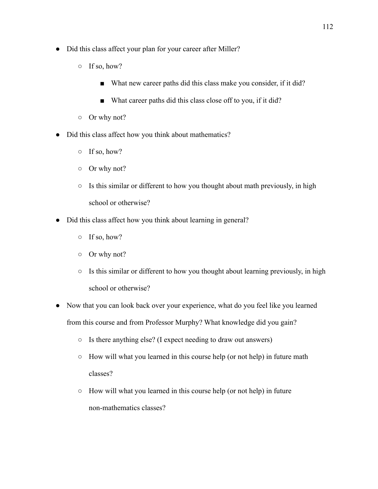- Did this class affect your plan for your career after Miller?
	- $\circ$  If so, how?
		- What new career paths did this class make you consider, if it did?
		- What career paths did this class close off to you, if it did?
	- Or why not?
- Did this class affect how you think about mathematics?
	- $\circ$  If so, how?
	- Or why not?
	- Is this similar or different to how you thought about math previously, in high school or otherwise?
- Did this class affect how you think about learning in general?
	- $\circ$  If so, how?
	- Or why not?
	- Is this similar or different to how you thought about learning previously, in high school or otherwise?
- Now that you can look back over your experience, what do you feel like you learned from this course and from Professor Murphy? What knowledge did you gain?
	- Is there anything else? (I expect needing to draw out answers)
	- How will what you learned in this course help (or not help) in future math classes?
	- How will what you learned in this course help (or not help) in future non-mathematics classes?